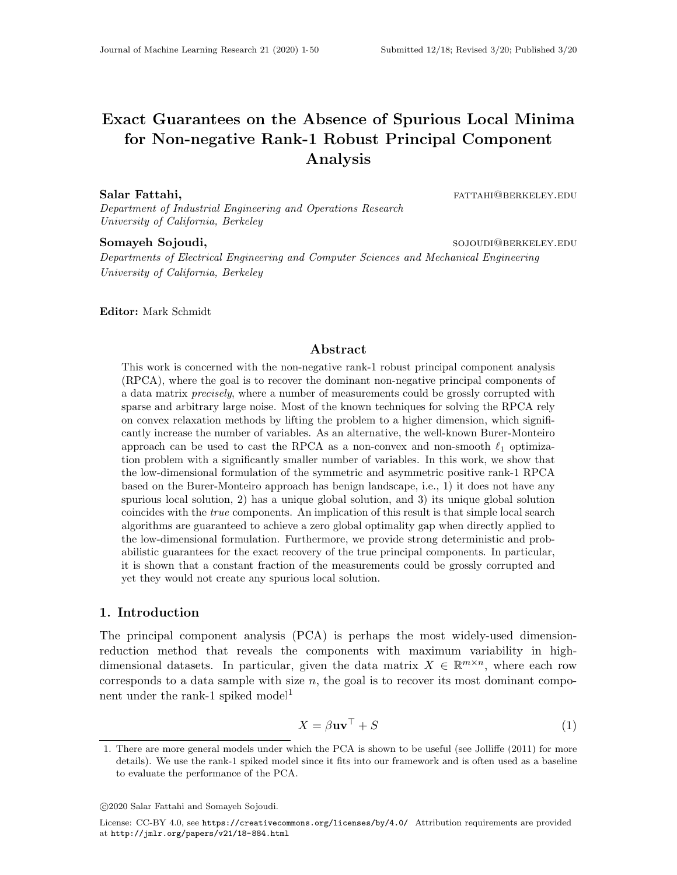# Exact Guarantees on the Absence of Spurious Local Minima for Non-negative Rank-1 Robust Principal Component Analysis

Salar Fattahi, fattahi, fattahi di kabupatèn kecamatan sebagai kecamatan sebagai kecamatan persebut di kabupatèn

Department of Industrial Engineering and Operations Research University of California, Berkeley

# Somayeh Sojoudi, soloting and the soloting soloting soloting and soloting  $\sim$  soloting  $\sim$  soloting  $\sim$  soloting  $\sim$  soloting  $\sim$  soloting  $\sim$  soloting  $\sim$  soloting  $\sim$  soloting  $\sim$  soloting  $\sim$  soloting  $\sim$  sol

Departments of Electrical Engineering and Computer Sciences and Mechanical Engineering University of California, Berkeley

Editor: Mark Schmidt

#### Abstract

This work is concerned with the non-negative rank-1 robust principal component analysis (RPCA), where the goal is to recover the dominant non-negative principal components of a data matrix *precisely*, where a number of measurements could be grossly corrupted with sparse and arbitrary large noise. Most of the known techniques for solving the RPCA rely on convex relaxation methods by lifting the problem to a higher dimension, which significantly increase the number of variables. As an alternative, the well-known Burer-Monteiro approach can be used to cast the RPCA as a non-convex and non-smooth  $\ell_1$  optimization problem with a significantly smaller number of variables. In this work, we show that the low-dimensional formulation of the symmetric and asymmetric positive rank-1 RPCA based on the Burer-Monteiro approach has benign landscape, i.e., 1) it does not have any spurious local solution, 2) has a unique global solution, and 3) its unique global solution coincides with the true components. An implication of this result is that simple local search algorithms are guaranteed to achieve a zero global optimality gap when directly applied to the low-dimensional formulation. Furthermore, we provide strong deterministic and probabilistic guarantees for the exact recovery of the true principal components. In particular, it is shown that a constant fraction of the measurements could be grossly corrupted and yet they would not create any spurious local solution.

#### <span id="page-0-2"></span>1. Introduction

The principal component analysis (PCA) is perhaps the most widely-used dimensionreduction method that reveals the components with maximum variability in highdimensional datasets. In particular, given the data matrix  $X \in \mathbb{R}^{m \times n}$ , where each row corresponds to a data sample with size  $n$ , the goal is to recover its most dominant compo-nent under the rank-[1](#page-0-0) spiked model<sup>1</sup>

$$
X = \beta \mathbf{u} \mathbf{v}^{\top} + S \tag{1}
$$

<span id="page-0-1"></span><span id="page-0-0"></span><sup>1.</sup> There are more general models under which the PCA is shown to be useful (see [Jolliffe](#page-34-0) [\(2011\)](#page-34-0) for more details). We use the rank-1 spiked model since it fits into our framework and is often used as a baseline to evaluate the performance of the PCA.

c 2020 Salar Fattahi and Somayeh Sojoudi.

License: CC-BY 4.0, see <https://creativecommons.org/licenses/by/4.0/>. Attribution requirements are provided at <http://jmlr.org/papers/v21/18-884.html>.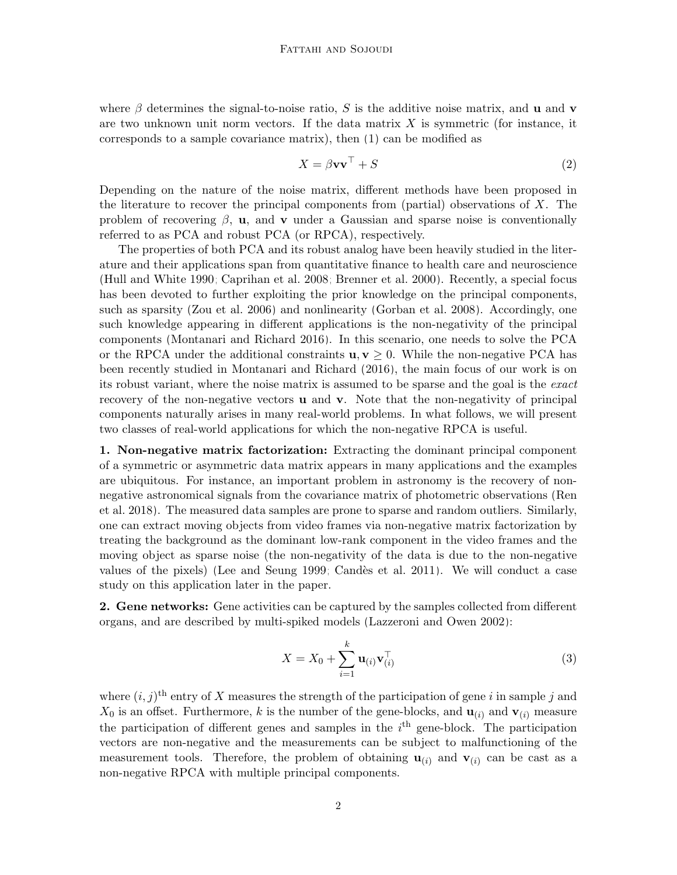where  $\beta$  determines the signal-to-noise ratio, S is the additive noise matrix, and **u** and **v** are two unknown unit norm vectors. If the data matrix  $X$  is symmetric (for instance, it corresponds to a sample covariance matrix), then [\(1\)](#page-0-1) can be modified as

$$
X = \beta \mathbf{v} \mathbf{v}^\top + S \tag{2}
$$

Depending on the nature of the noise matrix, different methods have been proposed in the literature to recover the principal components from (partial) observations of  $X$ . The problem of recovering  $\beta$ , **u**, and **v** under a Gaussian and sparse noise is conventionally referred to as PCA and robust PCA (or RPCA), respectively.

The properties of both PCA and its robust analog have been heavily studied in the literature and their applications span from quantitative finance to health care and neuroscience [\(Hull and White 1990;](#page-34-1) [Caprihan et al. 2008;](#page-32-0) [Brenner et al. 2000\)](#page-32-1). Recently, a special focus has been devoted to further exploiting the prior knowledge on the principal components, such as sparsity [\(Zou et al. 2006\)](#page-36-0) and nonlinearity [\(Gorban et al. 2008\)](#page-34-2). Accordingly, one such knowledge appearing in different applications is the non-negativity of the principal components [\(Montanari and Richard 2016\)](#page-35-0). In this scenario, one needs to solve the PCA or the RPCA under the additional constraints  $u, v \geq 0$ . While the non-negative PCA has been recently studied in [Montanari and Richard](#page-35-0) [\(2016\)](#page-35-0), the main focus of our work is on its robust variant, where the noise matrix is assumed to be sparse and the goal is the exact recovery of the non-negative vectors **u** and **v**. Note that the non-negativity of principal components naturally arises in many real-world problems. In what follows, we will present two classes of real-world applications for which the non-negative RPCA is useful.

1. Non-negative matrix factorization: Extracting the dominant principal component of a symmetric or asymmetric data matrix appears in many applications and the examples are ubiquitous. For instance, an important problem in astronomy is the recovery of nonnegative astronomical signals from the covariance matrix of photometric observations [\(Ren](#page-35-1) [et al. 2018\)](#page-35-1). The measured data samples are prone to sparse and random outliers. Similarly, one can extract moving objects from video frames via non-negative matrix factorization by treating the background as the dominant low-rank component in the video frames and the moving object as sparse noise (the non-negativity of the data is due to the non-negative values of the pixels) [\(Lee and Seung 1999;](#page-34-3) Candès et al. 2011). We will conduct a case study on this application later in the paper.

2. Gene networks: Gene activities can be captured by the samples collected from different organs, and are described by multi-spiked models [\(Lazzeroni and Owen 2002\)](#page-34-4):

<span id="page-1-0"></span>
$$
X = X_0 + \sum_{i=1}^{k} \mathbf{u}_{(i)} \mathbf{v}_{(i)}^\top
$$
 (3)

where  $(i, j)$ <sup>th</sup> entry of X measures the strength of the participation of gene i in sample j and  $X_0$  is an offset. Furthermore, k is the number of the gene-blocks, and  $\mathbf{u}_{(i)}$  and  $\mathbf{v}_{(i)}$  measure the participation of different genes and samples in the  $i<sup>th</sup>$  gene-block. The participation vectors are non-negative and the measurements can be subject to malfunctioning of the measurement tools. Therefore, the problem of obtaining  $\mathbf{u}_{(i)}$  and  $\mathbf{v}_{(i)}$  can be cast as a non-negative RPCA with multiple principal components.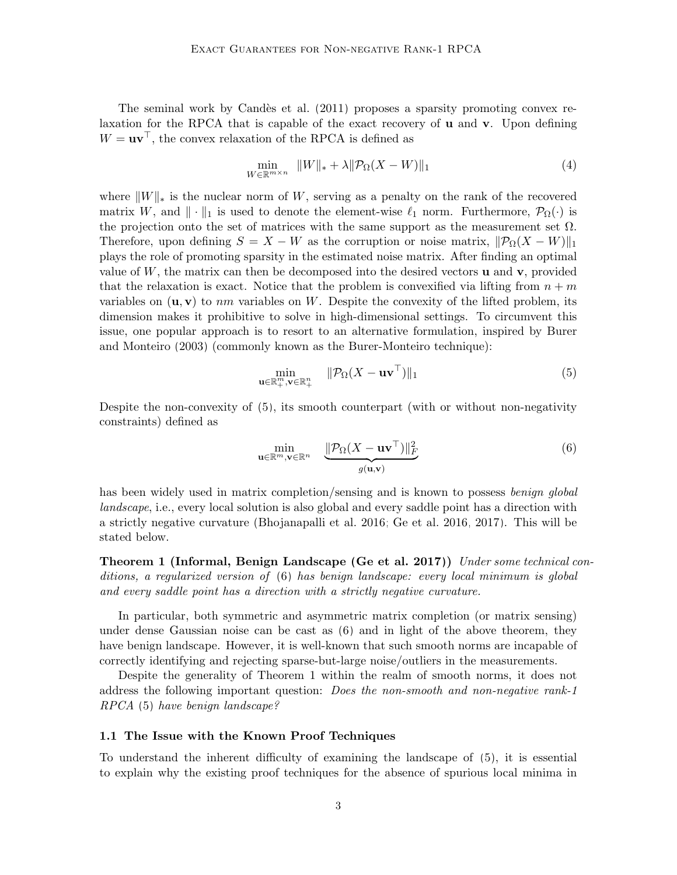The seminal work by Candès et al.  $(2011)$  proposes a sparsity promoting convex relaxation for the RPCA that is capable of the exact recovery of u and v. Upon defining  $W = uv^{\top}$ , the convex relaxation of the RPCA is defined as

$$
\min_{W \in \mathbb{R}^{m \times n}} \|W\|_{*} + \lambda \|\mathcal{P}_{\Omega}(X - W)\|_{1}
$$
\n<sup>(4)</sup>

where  $||W||_*$  is the nuclear norm of W, serving as a penalty on the rank of the recovered matrix W, and  $\|\cdot\|_1$  is used to denote the element-wise  $\ell_1$  norm. Furthermore,  $\mathcal{P}_{\Omega}(\cdot)$  is the projection onto the set of matrices with the same support as the measurement set  $\Omega$ . Therefore, upon defining  $S = X - W$  as the corruption or noise matrix,  $\|\mathcal{P}_{\Omega}(X - W)\|_1$ plays the role of promoting sparsity in the estimated noise matrix. After finding an optimal value of  $W$ , the matrix can then be decomposed into the desired vectors  $\bf{u}$  and  $\bf{v}$ , provided that the relaxation is exact. Notice that the problem is convexified via lifting from  $n + m$ variables on  $(\mathbf{u}, \mathbf{v})$  to nm variables on W. Despite the convexity of the lifted problem, its dimension makes it prohibitive to solve in high-dimensional settings. To circumvent this issue, one popular approach is to resort to an alternative formulation, inspired by [Burer](#page-32-3) [and Monteiro](#page-32-3) [\(2003\)](#page-32-3) (commonly known as the Burer-Monteiro technique):

<span id="page-2-0"></span>
$$
\min_{\mathbf{u}\in\mathbb{R}_+^m,\mathbf{v}\in\mathbb{R}_+^n} \quad \|\mathcal{P}_{\Omega}(X-\mathbf{u}\mathbf{v}^{\top})\|_1 \tag{5}
$$

Despite the non-convexity of [\(5\)](#page-2-0), its smooth counterpart (with or without non-negativity constraints) defined as

<span id="page-2-1"></span>
$$
\min_{\mathbf{u}\in\mathbb{R}^m,\mathbf{v}\in\mathbb{R}^n} \quad \frac{\|\mathcal{P}_{\Omega}(X - \mathbf{u}\mathbf{v}^{\top})\|_F^2}{g(\mathbf{u}, \mathbf{v})}
$$
(6)

has been widely used in matrix completion/sensing and is known to possess benign global landscape, i.e., every local solution is also global and every saddle point has a direction with a strictly negative curvature [\(Bhojanapalli et al. 2016;](#page-32-4) [Ge et al. 2016,](#page-33-0) [2017\)](#page-33-1). This will be stated below.

<span id="page-2-2"></span>Theorem 1 (Informal, Benign Landscape [\(Ge et al. 2017\)](#page-33-1)) Under some technical conditions, a regularized version of [\(6\)](#page-2-1) has benign landscape: every local minimum is global and every saddle point has a direction with a strictly negative curvature.

In particular, both symmetric and asymmetric matrix completion (or matrix sensing) under dense Gaussian noise can be cast as [\(6\)](#page-2-1) and in light of the above theorem, they have benign landscape. However, it is well-known that such smooth norms are incapable of correctly identifying and rejecting sparse-but-large noise/outliers in the measurements.

Despite the generality of Theorem [1](#page-2-2) within the realm of smooth norms, it does not address the following important question: Does the non-smooth and non-negative rank-1 RPCA [\(5\)](#page-2-0) have benign landscape?

#### 1.1 The Issue with the Known Proof Techniques

To understand the inherent difficulty of examining the landscape of [\(5\)](#page-2-0), it is essential to explain why the existing proof techniques for the absence of spurious local minima in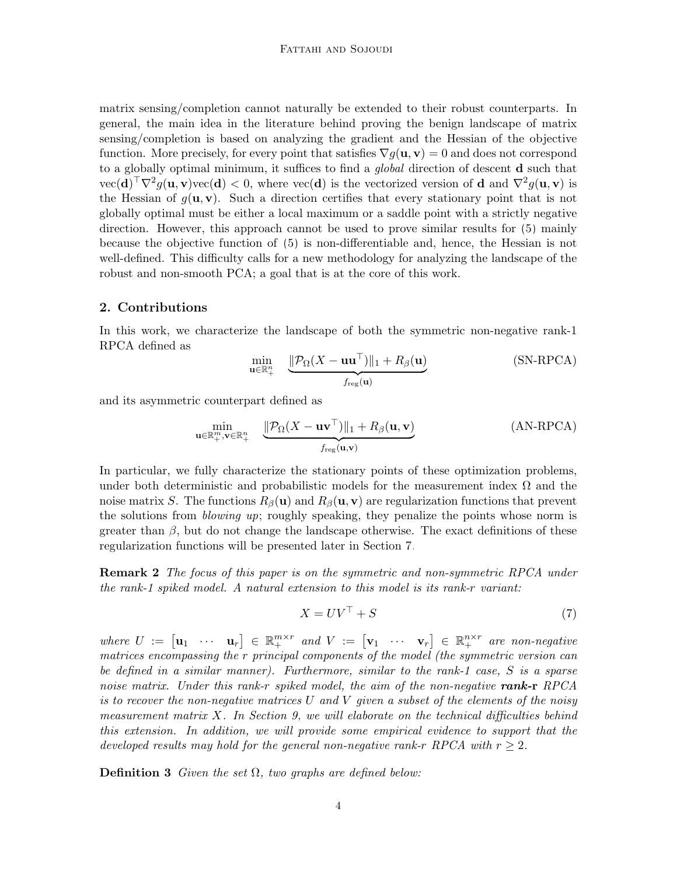matrix sensing/completion cannot naturally be extended to their robust counterparts. In general, the main idea in the literature behind proving the benign landscape of matrix sensing/completion is based on analyzing the gradient and the Hessian of the objective function. More precisely, for every point that satisfies  $\nabla q(\mathbf{u}, \mathbf{v}) = 0$  and does not correspond to a globally optimal minimum, it suffices to find a *global* direction of descent **d** such that  $\text{vec}(\mathbf{d})^{\top}\nabla^2 g(\mathbf{u}, \mathbf{v})\text{vec}(\mathbf{d}) < 0$ , where  $\text{vec}(\mathbf{d})$  is the vectorized version of d and  $\nabla^2 g(\mathbf{u}, \mathbf{v})$  is the Hessian of  $g(\mathbf{u}, \mathbf{v})$ . Such a direction certifies that every stationary point that is not globally optimal must be either a local maximum or a saddle point with a strictly negative direction. However, this approach cannot be used to prove similar results for [\(5\)](#page-2-0) mainly because the objective function of [\(5\)](#page-2-0) is non-differentiable and, hence, the Hessian is not well-defined. This difficulty calls for a new methodology for analyzing the landscape of the robust and non-smooth PCA; a goal that is at the core of this work.

# <span id="page-3-1"></span>2. Contributions

In this work, we characterize the landscape of both the symmetric non-negative rank-1 RPCA defined as

<span id="page-3-0"></span>
$$
\min_{\mathbf{u}\in\mathbb{R}_{+}^{n}} \quad \underbrace{\|\mathcal{P}_{\Omega}(X - \mathbf{u}\mathbf{u}^{\top})\|_{1} + R_{\beta}(\mathbf{u})}_{f_{\text{reg}}(\mathbf{u})}
$$
(SN-RPCA)

and its asymmetric counterpart defined as

$$
\min_{\mathbf{u}\in\mathbb{R}_{+}^{m},\mathbf{v}\in\mathbb{R}_{+}^{n}}\quad \underbrace{\|\mathcal{P}_{\Omega}(X-\mathbf{u}\mathbf{v}^{\top})\|_{1}+R_{\beta}(\mathbf{u},\mathbf{v})}_{f_{\text{reg}}(\mathbf{u},\mathbf{v})}
$$
(AN-RPCA)

In particular, we fully characterize the stationary points of these optimization problems, under both deterministic and probabilistic models for the measurement index  $\Omega$  and the noise matrix S. The functions  $R_\beta(\mathbf{u})$  and  $R_\beta(\mathbf{u}, \mathbf{v})$  are regularization functions that prevent the solutions from blowing up; roughly speaking, they penalize the points whose norm is greater than  $\beta$ , but do not change the landscape otherwise. The exact definitions of these regularization functions will be presented later in Section [7.](#page-20-0)

**Remark 2** The focus of this paper is on the symmetric and non-symmetric RPCA under the rank-1 spiked model. A natural extension to this model is its rank-r variant:

$$
X = UV^\top + S \tag{7}
$$

where  $U := [\mathbf{u}_1 \cdots \mathbf{u}_r] \in \mathbb{R}_+^{m \times r}$  and  $V := [\mathbf{v}_1 \cdots \mathbf{v}_r] \in \mathbb{R}_+^{n \times r}$  are non-negative matrices encompassing the r principal components of the model (the symmetric version can be defined in a similar manner). Furthermore, similar to the rank-1 case, S is a sparse noise matrix. Under this rank-r spiked model, the aim of the non-negative rank-r RPCA is to recover the non-negative matrices U and V given a subset of the elements of the noisy measurement matrix  $X$ . In Section [9,](#page-29-0) we will elaborate on the technical difficulties behind this extension. In addition, we will provide some empirical evidence to support that the developed results may hold for the general non-negative rank-r RPCA with  $r \geq 2$ .

**Definition 3** Given the set  $\Omega$ , two graphs are defined below: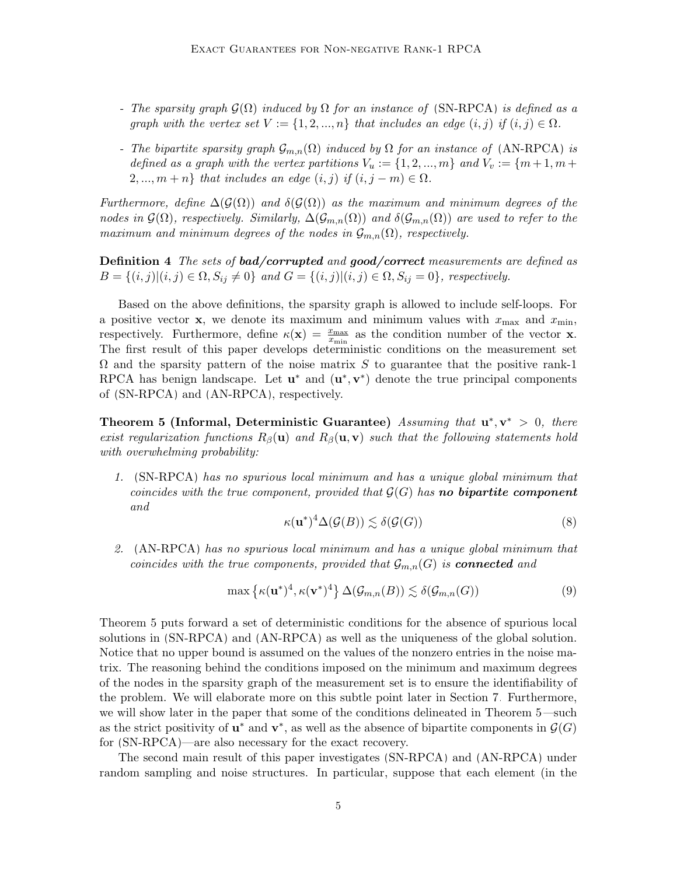- The sparsity graph  $\mathcal{G}(\Omega)$  induced by  $\Omega$  for an instance of [\(SN-RPCA\)](#page-3-0) is defined as a graph with the vertex set  $V := \{1, 2, ..., n\}$  that includes an edge  $(i, j)$  if  $(i, j) \in \Omega$ .
- The bipartite sparsity graph  $\mathcal{G}_{m,n}(\Omega)$  induced by  $\Omega$  for an instance of [\(AN-RPCA\)](#page-3-0) is defined as a graph with the vertex partitions  $V_u := \{1, 2, ..., m\}$  and  $V_v := \{m+1, m+1\}$  $2, ..., m+n$  that includes an edge  $(i, j)$  if  $(i, j-m) \in \Omega$ .

Furthermore, define  $\Delta(\mathcal{G}(\Omega))$  and  $\delta(\mathcal{G}(\Omega))$  as the maximum and minimum degrees of the nodes in  $\mathcal{G}(\Omega)$ , respectively. Similarly,  $\Delta(\mathcal{G}_{m,n}(\Omega))$  and  $\delta(\mathcal{G}_{m,n}(\Omega))$  are used to refer to the maximum and minimum degrees of the nodes in  $\mathcal{G}_{m,n}(\Omega)$ , respectively.

Definition 4 The sets of bad/corrupted and good/correct measurements are defined as  $B = \{(i, j) | (i, j) \in \Omega, S_{ij} \neq 0\}$  and  $G = \{(i, j) | (i, j) \in \Omega, S_{ij} = 0\}$ , respectively.

Based on the above definitions, the sparsity graph is allowed to include self-loops. For a positive vector **x**, we denote its maximum and minimum values with  $x_{\text{max}}$  and  $x_{\text{min}}$ , respectively. Furthermore, define  $\kappa(\mathbf{x}) = \frac{x_{\text{max}}}{x_{\text{min}}}$  as the condition number of the vector **x**. The first result of this paper develops deterministic conditions on the measurement set  $\Omega$  and the sparsity pattern of the noise matrix S to guarantee that the positive rank-1 RPCA has benign landscape. Let  $\mathbf{u}^*$  and  $(\mathbf{u}^*, \mathbf{v}^*)$  denote the true principal components of [\(SN-RPCA\)](#page-3-0) and [\(AN-RPCA\)](#page-3-0), respectively.

<span id="page-4-0"></span>**Theorem 5 (Informal, Deterministic Guarantee)** Assuming that  $\mathbf{u}^*, \mathbf{v}^* > 0$ , there exist regularization functions  $R_\beta(\mathbf{u})$  and  $R_\beta(\mathbf{u}, \mathbf{v})$  such that the following statements hold with overwhelming probability:

1. [\(SN-RPCA\)](#page-3-0) has no spurious local minimum and has a unique global minimum that coincides with the true component, provided that  $\mathcal{G}(G)$  has **no bipartite component** and

$$
\kappa(\mathbf{u}^*)^4 \Delta(\mathcal{G}(B)) \lesssim \delta(\mathcal{G}(G))
$$
\n(8)

2. [\(AN-RPCA\)](#page-3-0) has no spurious local minimum and has a unique global minimum that coincides with the true components, provided that  $\mathcal{G}_{m,n}(G)$  is **connected** and

$$
\max\left\{\kappa(\mathbf{u}^*)^4, \kappa(\mathbf{v}^*)^4\right\} \Delta(\mathcal{G}_{m,n}(B)) \lesssim \delta(\mathcal{G}_{m,n}(G))\tag{9}
$$

Theorem [5](#page-4-0) puts forward a set of deterministic conditions for the absence of spurious local solutions in [\(SN-RPCA\)](#page-3-0) and [\(AN-RPCA\)](#page-3-0) as well as the uniqueness of the global solution. Notice that no upper bound is assumed on the values of the nonzero entries in the noise matrix. The reasoning behind the conditions imposed on the minimum and maximum degrees of the nodes in the sparsity graph of the measurement set is to ensure the identifiability of the problem. We will elaborate more on this subtle point later in Section [7.](#page-20-0) Furthermore, we will show later in the paper that some of the conditions delineated in Theorem [5—](#page-4-0)such as the strict positivity of  $\mathbf{u}^*$  and  $\mathbf{v}^*$ , as well as the absence of bipartite components in  $\mathcal{G}(G)$ for [\(SN-RPCA\)](#page-3-0)—are also necessary for the exact recovery.

The second main result of this paper investigates [\(SN-RPCA\)](#page-3-0) and [\(AN-RPCA\)](#page-3-0) under random sampling and noise structures. In particular, suppose that each element (in the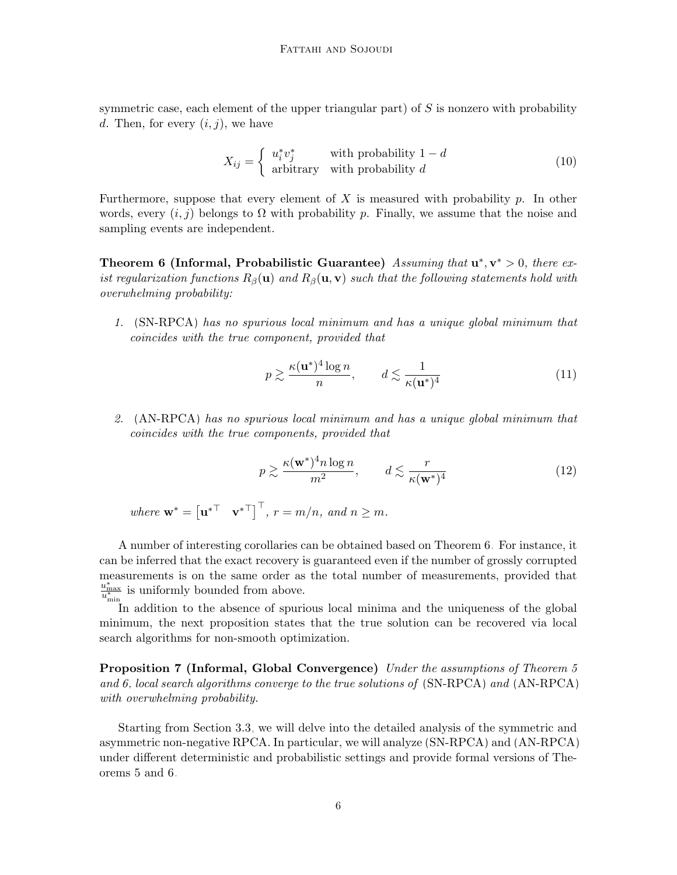symmetric case, each element of the upper triangular part) of  $S$  is nonzero with probability d. Then, for every  $(i, j)$ , we have

$$
X_{ij} = \begin{cases} u_i^* v_j^* & \text{with probability } 1 - d \\ \text{arbitrary} & \text{with probability } d \end{cases}
$$
 (10)

Furthermore, suppose that every element of X is measured with probability p. In other words, every  $(i, j)$  belongs to  $\Omega$  with probability p. Finally, we assume that the noise and sampling events are independent.

<span id="page-5-0"></span>Theorem 6 (Informal, Probabilistic Guarantee) Assuming that  $\mathbf{u}^*, \mathbf{v}^* > 0$ , there exist regularization functions  $R_\beta(\mathbf{u})$  and  $R_\beta(\mathbf{u}, \mathbf{v})$  such that the following statements hold with overwhelming probability:

1. [\(SN-RPCA\)](#page-3-0) has no spurious local minimum and has a unique global minimum that coincides with the true component, provided that

$$
p \gtrsim \frac{\kappa(\mathbf{u}^*)^4 \log n}{n}, \qquad d \lesssim \frac{1}{\kappa(\mathbf{u}^*)^4} \tag{11}
$$

2. [\(AN-RPCA\)](#page-3-0) has no spurious local minimum and has a unique global minimum that coincides with the true components, provided that

$$
p \gtrsim \frac{\kappa(\mathbf{w}^*)^4 n \log n}{m^2}, \qquad d \lesssim \frac{r}{\kappa(\mathbf{w}^*)^4} \tag{12}
$$

where  $\mathbf{w}^* = \begin{bmatrix} \mathbf{u}^{*T} & \mathbf{v}^{*T} \end{bmatrix}^\top$ ,  $r = m/n$ , and  $n \geq m$ .

A number of interesting corollaries can be obtained based on Theorem [6.](#page-5-0) For instance, it can be inferred that the exact recovery is guaranteed even if the number of grossly corrupted measurements is on the same order as the total number of measurements, provided that  $\frac{u_{\text{max}}^*}{u_{\text{min}}^*}$  is uniformly bounded from above.

In addition to the absence of spurious local minima and the uniqueness of the global minimum, the next proposition states that the true solution can be recovered via local search algorithms for non-smooth optimization.

Proposition 7 (Informal, Global Convergence) Under the assumptions of Theorem [5](#page-4-0) and [6,](#page-5-0) local search algorithms converge to the true solutions of [\(SN-RPCA\)](#page-3-0) and [\(AN-RPCA\)](#page-3-0) with overwhelming probability.

Starting from Section [3.3,](#page-12-0) we will delve into the detailed analysis of the symmetric and asymmetric non-negative RPCA. In particular, we will analyze [\(SN-RPCA\)](#page-3-0) and [\(AN-RPCA\)](#page-3-0) under different deterministic and probabilistic settings and provide formal versions of Theorems [5](#page-4-0) and [6.](#page-5-0)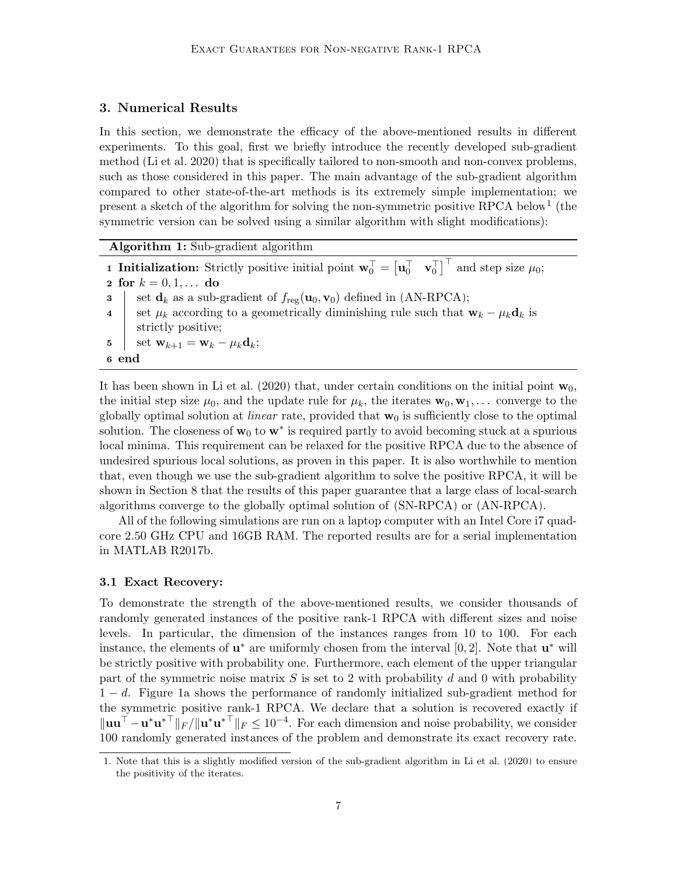# <span id="page-6-1"></span>3. Numerical Results

In this section, we demonstrate the efficacy of the above-mentioned results in different experiments. To this goal, first we briefly introduce the recently developed sub-gradient method [\(Li et al. 2020\)](#page-34-5) that is specifically tailored to non-smooth and non-convex problems, such as those considered in this paper. The main advantage of the sub-gradient algorithm compared to other state-of-the-art methods is its extremely simple implementation; we present a sketch of the algorithm for solving the non-symmetric positive RPCA below<sup>[1](#page-6-0)</sup> (the symmetric version can be solved using a similar algorithm with slight modifications):

Algorithm 1: Sub-gradient algorithm

**1 Initialization:** Strictly positive initial point  $\mathbf{w}_0^{\top} = \begin{bmatrix} \mathbf{u}_0^{\top} & \mathbf{v}_0^{\top} \end{bmatrix}^{\top}$  and step size  $\mu_0$ ; 2 for  $k = 0, 1, ...$  do 3 set  $\mathbf{d}_k$  as a sub-gradient of  $f_{\text{reg}}(\mathbf{u}_0, \mathbf{v}_0)$  defined in [\(AN-RPCA\)](#page-3-0); 4 set  $\mu_k$  according to a geometrically diminishing rule such that  $\mathbf{w}_k - \mu_k \mathbf{d}_k$  is strictly positive; 5 | set  $\mathbf{w}_{k+1} = \mathbf{w}_k - \mu_k \mathbf{d}_k;$ 6 end

It has been shown in [Li et al.](#page-34-5) [\(2020\)](#page-34-5) that, under certain conditions on the initial point  $\mathbf{w}_0$ , the initial step size  $\mu_0$ , and the update rule for  $\mu_k$ , the iterates  $\mathbf{w}_0, \mathbf{w}_1, \ldots$  converge to the globally optimal solution at *linear* rate, provided that  $w_0$  is sufficiently close to the optimal solution. The closeness of  $w_0$  to  $w^*$  is required partly to avoid becoming stuck at a spurious local minima. This requirement can be relaxed for the positive RPCA due to the absence of undesired spurious local solutions, as proven in this paper. It is also worthwhile to mention that, even though we use the sub-gradient algorithm to solve the positive RPCA, it will be shown in Section [8](#page-27-0) that the results of this paper guarantee that a large class of local-search algorithms converge to the globally optimal solution of [\(SN-RPCA\)](#page-3-0) or [\(AN-RPCA\)](#page-3-0).

All of the following simulations are run on a laptop computer with an Intel Core i7 quadcore 2.50 GHz CPU and 16GB RAM. The reported results are for a serial implementation in MATLAB R2017b.

#### <span id="page-6-2"></span>3.1 Exact Recovery:

To demonstrate the strength of the above-mentioned results, we consider thousands of randomly generated instances of the positive rank-1 RPCA with different sizes and noise levels. In particular, the dimension of the instances ranges from 10 to 100. For each instance, the elements of  $\mathbf{u}^*$  are uniformly chosen from the interval [0, 2]. Note that  $\mathbf{u}^*$  will be strictly positive with probability one. Furthermore, each element of the upper triangular part of the symmetric noise matrix  $S$  is set to 2 with probability d and 0 with probability 1 − d. Figure [1a](#page-7-0) shows the performance of randomly initialized sub-gradient method for the symmetric positive rank-1 RPCA. We declare that a solution is recovered exactly if  $\|\mathbf{u}\mathbf{u}^\top - \mathbf{u}^*\mathbf{u}^{*\top}\|_F / \|\mathbf{u}^*\mathbf{u}^{*\top}\|_F \leq 10^{-4}$ . For each dimension and noise probability, we consider 100 randomly generated instances of the problem and demonstrate its exact recovery rate.

<span id="page-6-0"></span><sup>1.</sup> Note that this is a slightly modified version of the sub-gradient algorithm in [Li et al.](#page-34-5) [\(2020\)](#page-34-5) to ensure the positivity of the iterates.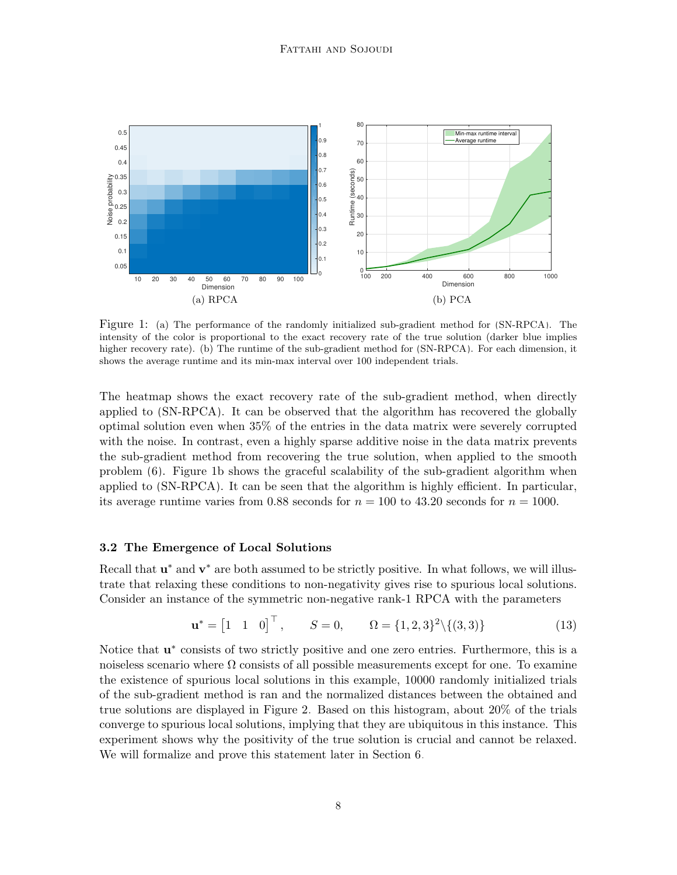<span id="page-7-0"></span>

<span id="page-7-1"></span>Figure 1: (a) The performance of the randomly initialized sub-gradient method for [\(SN-RPCA\)](#page-3-0). The intensity of the color is proportional to the exact recovery rate of the true solution (darker blue implies higher recovery rate). (b) The runtime of the sub-gradient method for  $(SN-RPCA)$ . For each dimension, it shows the average runtime and its min-max interval over 100 independent trials.

The heatmap shows the exact recovery rate of the sub-gradient method, when directly applied to [\(SN-RPCA\)](#page-3-0). It can be observed that the algorithm has recovered the globally optimal solution even when 35% of the entries in the data matrix were severely corrupted with the noise. In contrast, even a highly sparse additive noise in the data matrix prevents the sub-gradient method from recovering the true solution, when applied to the smooth problem [\(6\)](#page-2-1). Figure [1b](#page-7-1) shows the graceful scalability of the sub-gradient algorithm when applied to [\(SN-RPCA\)](#page-3-0). It can be seen that the algorithm is highly efficient. In particular, its average runtime varies from 0.88 seconds for  $n = 100$  to 43.20 seconds for  $n = 1000$ .

#### 3.2 The Emergence of Local Solutions

Recall that  $\mathbf{u}^*$  and  $\mathbf{v}^*$  are both assumed to be strictly positive. In what follows, we will illustrate that relaxing these conditions to non-negativity gives rise to spurious local solutions. Consider an instance of the symmetric non-negative rank-1 RPCA with the parameters

$$
\mathbf{u}^* = \begin{bmatrix} 1 & 1 & 0 \end{bmatrix}^\top, \qquad S = 0, \qquad \Omega = \{1, 2, 3\}^2 \setminus \{(3, 3)\} \tag{13}
$$

Notice that  $\mathbf{u}^*$  consists of two strictly positive and one zero entries. Furthermore, this is a noiseless scenario where  $\Omega$  consists of all possible measurements except for one. To examine the existence of spurious local solutions in this example, 10000 randomly initialized trials of the sub-gradient method is ran and the normalized distances between the obtained and true solutions are displayed in Figure [2.](#page-8-0) Based on this histogram, about 20% of the trials converge to spurious local solutions, implying that they are ubiquitous in this instance. This experiment shows why the positivity of the true solution is crucial and cannot be relaxed. We will formalize and prove this statement later in Section [6.](#page-13-0)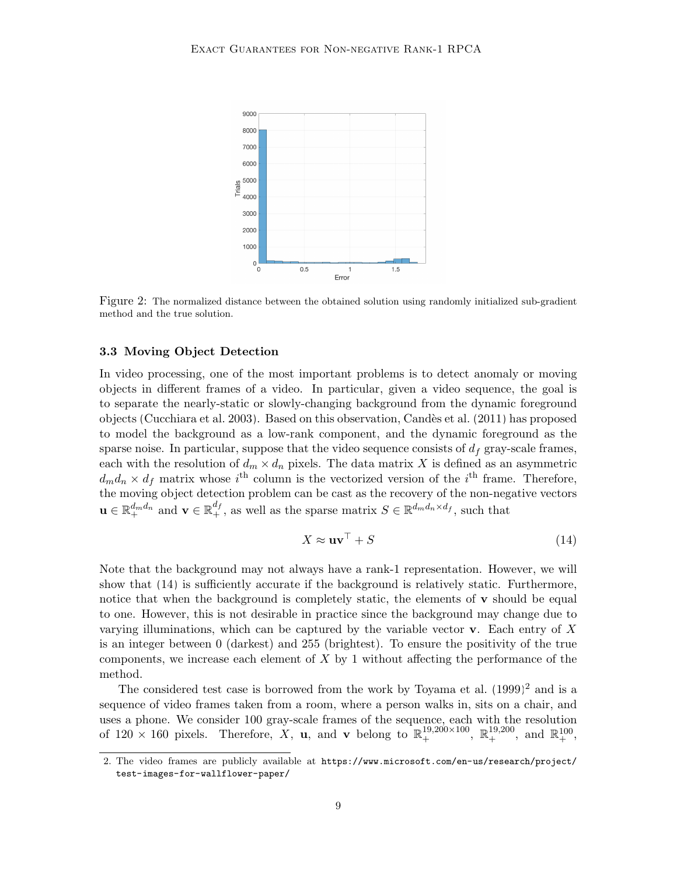<span id="page-8-0"></span>

Figure 2: The normalized distance between the obtained solution using randomly initialized sub-gradient method and the true solution.

#### 3.3 Moving Object Detection

In video processing, one of the most important problems is to detect anomaly or moving objects in different frames of a video. In particular, given a video sequence, the goal is to separate the nearly-static or slowly-changing background from the dynamic foreground objects [\(Cucchiara et al. 2003\)](#page-33-2). Based on this observation, [Cand`es et al.](#page-32-2) [\(2011\)](#page-32-2) has proposed to model the background as a low-rank component, and the dynamic foreground as the sparse noise. In particular, suppose that the video sequence consists of  $d_f$  gray-scale frames, each with the resolution of  $d_m \times d_n$  pixels. The data matrix X is defined as an asymmetric  $d_m d_n \times d_f$  matrix whose  $i^{\text{th}}$  column is the vectorized version of the  $i^{\text{th}}$  frame. Therefore, the moving object detection problem can be cast as the recovery of the non-negative vectors  $\mathbf{u} \in \mathbb{R}_+^{d_m d_n}$  and  $\mathbf{v} \in \mathbb{R}_+^{d_f}$ , as well as the sparse matrix  $S \in \mathbb{R}^{d_m d_n \times d_f}$ , such that

<span id="page-8-1"></span>
$$
X \approx \mathbf{u}\mathbf{v}^{\top} + S \tag{14}
$$

Note that the background may not always have a rank-1 representation. However, we will show that [\(14\)](#page-8-1) is sufficiently accurate if the background is relatively static. Furthermore, notice that when the background is completely static, the elements of  $\bf{v}$  should be equal to one. However, this is not desirable in practice since the background may change due to varying illuminations, which can be captured by the variable vector  $\bf{v}$ . Each entry of X is an integer between 0 (darkest) and 255 (brightest). To ensure the positivity of the true components, we increase each element of  $X$  by 1 without affecting the performance of the method.

The considered test case is borrowed from the work by [Toyama et al.](#page-35-2)  $(1999)^2$  $(1999)^2$  $(1999)^2$  and is a sequence of video frames taken from a room, where a person walks in, sits on a chair, and uses a phone. We consider 100 gray-scale frames of the sequence, each with the resolution of  $120 \times 160$  pixels. Therefore, X, **u**, and **v** belong to  $\mathbb{R}^{19,200\times100}_{+}$ ,  $\mathbb{R}^{19,200}_{+}$ , and  $\mathbb{R}^{100}_{+}$ ,

<span id="page-8-2"></span><sup>2.</sup> The video frames are publicly available at [https://www.microsoft.com/en-us/research/project/](https://www.microsoft.com/en-us/research/project/test-images-for-wallflower-paper/) [test-images-for-wallflower-paper/](https://www.microsoft.com/en-us/research/project/test-images-for-wallflower-paper/).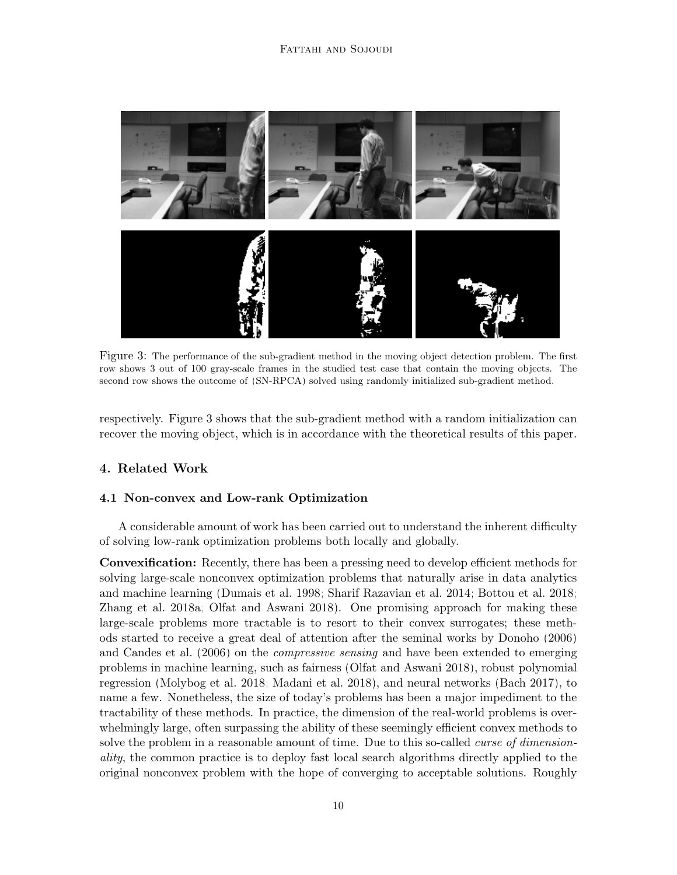<span id="page-9-0"></span>

Figure 3: The performance of the sub-gradient method in the moving object detection problem. The first row shows 3 out of 100 gray-scale frames in the studied test case that contain the moving objects. The second row shows the outcome of [\(SN-RPCA\)](#page-3-0) solved using randomly initialized sub-gradient method.

respectively. Figure [3](#page-9-0) shows that the sub-gradient method with a random initialization can recover the moving object, which is in accordance with the theoretical results of this paper.

# <span id="page-9-1"></span>4. Related Work

# 4.1 Non-convex and Low-rank Optimization

A considerable amount of work has been carried out to understand the inherent difficulty of solving low-rank optimization problems both locally and globally.

Convexification: Recently, there has been a pressing need to develop efficient methods for solving large-scale nonconvex optimization problems that naturally arise in data analytics and machine learning [\(Dumais et al. 1998;](#page-33-3) [Sharif Razavian et al. 2014;](#page-35-3) [Bottou et al. 2018;](#page-32-5) [Zhang et al. 2018a;](#page-35-4) [Olfat and Aswani 2018\)](#page-35-5). One promising approach for making these large-scale problems more tractable is to resort to their convex surrogates; these methods started to receive a great deal of attention after the seminal works by [Donoho](#page-33-4) [\(2006\)](#page-33-4) and [Candes et al.](#page-32-6) [\(2006\)](#page-32-6) on the compressive sensing and have been extended to emerging problems in machine learning, such as fairness [\(Olfat and Aswani 2018\)](#page-35-5), robust polynomial regression [\(Molybog et al. 2018;](#page-34-6) [Madani et al. 2018\)](#page-34-7), and neural networks [\(Bach 2017\)](#page-32-7), to name a few. Nonetheless, the size of today's problems has been a major impediment to the tractability of these methods. In practice, the dimension of the real-world problems is overwhelmingly large, often surpassing the ability of these seemingly efficient convex methods to solve the problem in a reasonable amount of time. Due to this so-called *curse of dimension*ality, the common practice is to deploy fast local search algorithms directly applied to the original nonconvex problem with the hope of converging to acceptable solutions. Roughly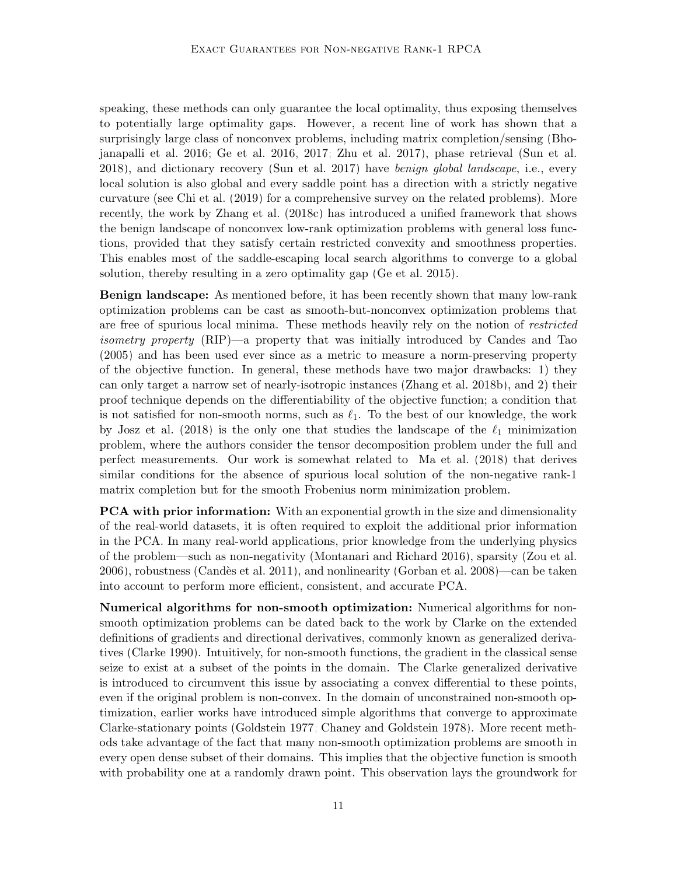speaking, these methods can only guarantee the local optimality, thus exposing themselves to potentially large optimality gaps. However, a recent line of work has shown that a surprisingly large class of nonconvex problems, including matrix completion/sensing [\(Bho](#page-32-4)[janapalli et al. 2016;](#page-32-4) [Ge et al. 2016,](#page-33-0) [2017;](#page-33-1) [Zhu et al. 2017\)](#page-36-1), phase retrieval [\(Sun et al.](#page-35-6) [2018\)](#page-35-6), and dictionary recovery [\(Sun et al. 2017\)](#page-35-7) have benign global landscape, i.e., every local solution is also global and every saddle point has a direction with a strictly negative curvature (see [Chi et al.](#page-33-5) [\(2019\)](#page-33-5) for a comprehensive survey on the related problems). More recently, the work by [Zhang et al.](#page-36-2) [\(2018c\)](#page-36-2) has introduced a unified framework that shows the benign landscape of nonconvex low-rank optimization problems with general loss functions, provided that they satisfy certain restricted convexity and smoothness properties. This enables most of the saddle-escaping local search algorithms to converge to a global solution, thereby resulting in a zero optimality gap [\(Ge et al. 2015\)](#page-33-6).

Benign landscape: As mentioned before, it has been recently shown that many low-rank optimization problems can be cast as smooth-but-nonconvex optimization problems that are free of spurious local minima. These methods heavily rely on the notion of restricted isometry property (RIP)—a property that was initially introduced by [Candes and Tao](#page-32-8) [\(2005\)](#page-32-8) and has been used ever since as a metric to measure a norm-preserving property of the objective function. In general, these methods have two major drawbacks: 1) they can only target a narrow set of nearly-isotropic instances [\(Zhang et al. 2018b\)](#page-35-8), and 2) their proof technique depends on the differentiability of the objective function; a condition that is not satisfied for non-smooth norms, such as  $\ell_1$ . To the best of our knowledge, the work by [Josz et al.](#page-34-8) [\(2018\)](#page-34-8) is the only one that studies the landscape of the  $\ell_1$  minimization problem, where the authors consider the tensor decomposition problem under the full and perfect measurements. Our work is somewhat related to [Ma et al.](#page-34-9) [\(2018\)](#page-34-9) that derives similar conditions for the absence of spurious local solution of the non-negative rank-1 matrix completion but for the smooth Frobenius norm minimization problem.

**PCA with prior information:** With an exponential growth in the size and dimensionality of the real-world datasets, it is often required to exploit the additional prior information in the PCA. In many real-world applications, prior knowledge from the underlying physics of the problem—such as non-negativity [\(Montanari and Richard 2016\)](#page-35-0), sparsity [\(Zou et al.](#page-36-0) [2006\)](#page-36-0), robustness [\(Cand`es et al. 2011\)](#page-32-2), and nonlinearity [\(Gorban et al. 2008\)](#page-34-2)—can be taken into account to perform more efficient, consistent, and accurate PCA.

Numerical algorithms for non-smooth optimization: Numerical algorithms for nonsmooth optimization problems can be dated back to the work by Clarke on the extended definitions of gradients and directional derivatives, commonly known as generalized derivatives [\(Clarke 1990\)](#page-33-7). Intuitively, for non-smooth functions, the gradient in the classical sense seize to exist at a subset of the points in the domain. The Clarke generalized derivative is introduced to circumvent this issue by associating a convex differential to these points, even if the original problem is non-convex. In the domain of unconstrained non-smooth optimization, earlier works have introduced simple algorithms that converge to approximate Clarke-stationary points [\(Goldstein 1977;](#page-34-10) [Chaney and Goldstein 1978\)](#page-33-8). More recent methods take advantage of the fact that many non-smooth optimization problems are smooth in every open dense subset of their domains. This implies that the objective function is smooth with probability one at a randomly drawn point. This observation lays the groundwork for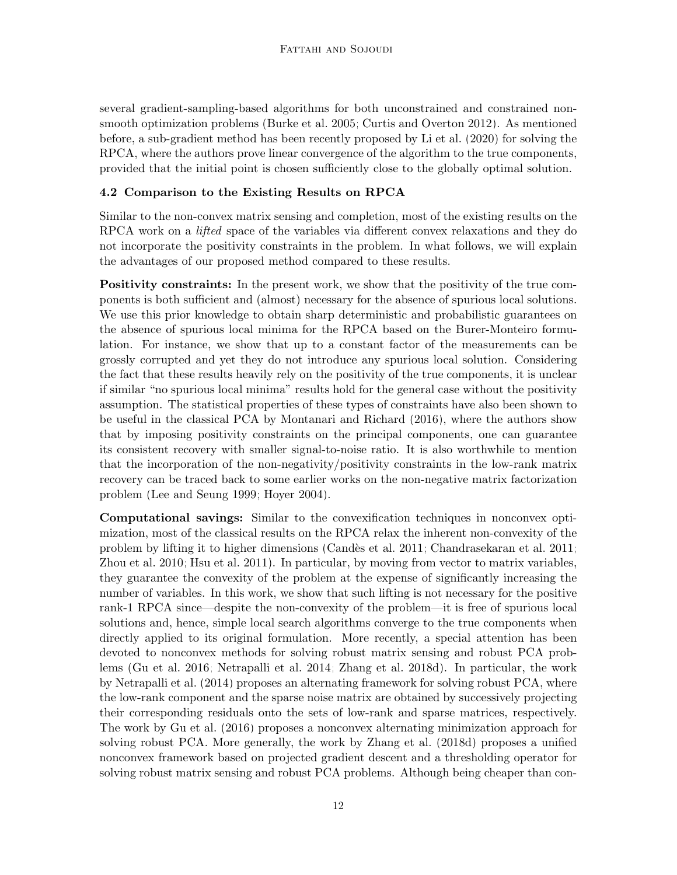several gradient-sampling-based algorithms for both unconstrained and constrained nonsmooth optimization problems [\(Burke et al. 2005;](#page-32-9) [Curtis and Overton 2012\)](#page-33-9). As mentioned before, a sub-gradient method has been recently proposed by [Li et al.](#page-34-5) [\(2020\)](#page-34-5) for solving the RPCA, where the authors prove linear convergence of the algorithm to the true components, provided that the initial point is chosen sufficiently close to the globally optimal solution.

# 4.2 Comparison to the Existing Results on RPCA

Similar to the non-convex matrix sensing and completion, most of the existing results on the RPCA work on a *lifted* space of the variables via different convex relaxations and they do not incorporate the positivity constraints in the problem. In what follows, we will explain the advantages of our proposed method compared to these results.

Positivity constraints: In the present work, we show that the positivity of the true components is both sufficient and (almost) necessary for the absence of spurious local solutions. We use this prior knowledge to obtain sharp deterministic and probabilistic guarantees on the absence of spurious local minima for the RPCA based on the Burer-Monteiro formulation. For instance, we show that up to a constant factor of the measurements can be grossly corrupted and yet they do not introduce any spurious local solution. Considering the fact that these results heavily rely on the positivity of the true components, it is unclear if similar "no spurious local minima" results hold for the general case without the positivity assumption. The statistical properties of these types of constraints have also been shown to be useful in the classical PCA by [Montanari and Richard](#page-35-0) [\(2016\)](#page-35-0), where the authors show that by imposing positivity constraints on the principal components, one can guarantee its consistent recovery with smaller signal-to-noise ratio. It is also worthwhile to mention that the incorporation of the non-negativity/positivity constraints in the low-rank matrix recovery can be traced back to some earlier works on the non-negative matrix factorization problem [\(Lee and Seung 1999;](#page-34-3) [Hoyer 2004\)](#page-34-11).

Computational savings: Similar to the convexification techniques in nonconvex optimization, most of the classical results on the RPCA relax the inherent non-convexity of the problem by lifting it to higher dimensions [\(Cand`es et al. 2011;](#page-32-2) [Chandrasekaran et al. 2011;](#page-32-10) [Zhou et al. 2010;](#page-36-3) [Hsu et al. 2011\)](#page-34-12). In particular, by moving from vector to matrix variables, they guarantee the convexity of the problem at the expense of significantly increasing the number of variables. In this work, we show that such lifting is not necessary for the positive rank-1 RPCA since—despite the non-convexity of the problem—it is free of spurious local solutions and, hence, simple local search algorithms converge to the true components when directly applied to its original formulation. More recently, a special attention has been devoted to nonconvex methods for solving robust matrix sensing and robust PCA problems [\(Gu et al. 2016;](#page-34-13) [Netrapalli et al. 2014;](#page-35-9) [Zhang et al. 2018d\)](#page-36-4). In particular, the work by [Netrapalli et al.](#page-35-9) [\(2014\)](#page-35-9) proposes an alternating framework for solving robust PCA, where the low-rank component and the sparse noise matrix are obtained by successively projecting their corresponding residuals onto the sets of low-rank and sparse matrices, respectively. The work by [Gu et al.](#page-34-13) [\(2016\)](#page-34-13) proposes a nonconvex alternating minimization approach for solving robust PCA. More generally, the work by [Zhang et al.](#page-36-4) [\(2018d\)](#page-36-4) proposes a unified nonconvex framework based on projected gradient descent and a thresholding operator for solving robust matrix sensing and robust PCA problems. Although being cheaper than con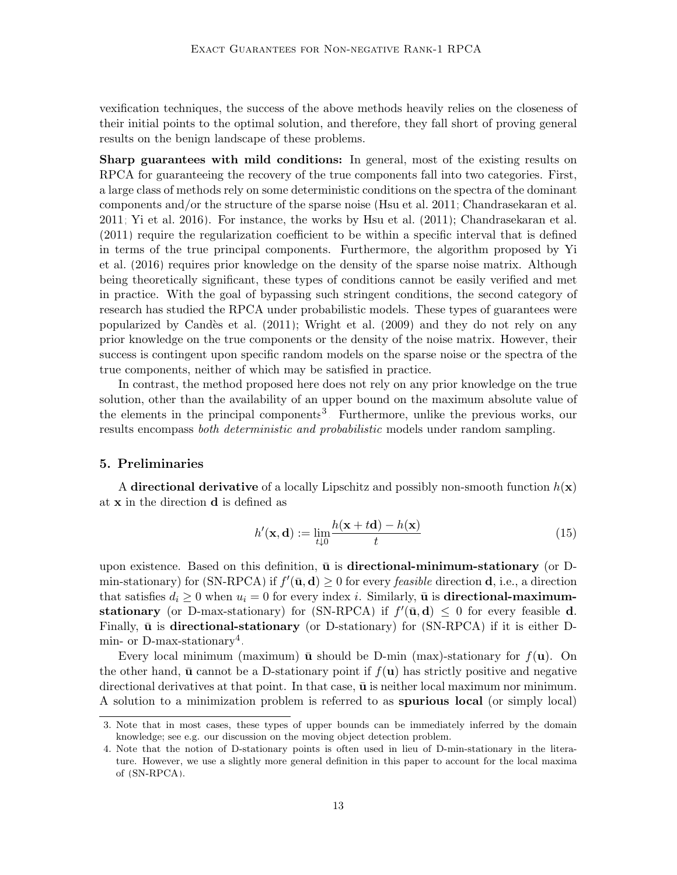vexification techniques, the success of the above methods heavily relies on the closeness of their initial points to the optimal solution, and therefore, they fall short of proving general results on the benign landscape of these problems.

Sharp guarantees with mild conditions: In general, most of the existing results on RPCA for guaranteeing the recovery of the true components fall into two categories. First, a large class of methods rely on some deterministic conditions on the spectra of the dominant components and/or the structure of the sparse noise [\(Hsu et al. 2011;](#page-34-12) [Chandrasekaran et al.](#page-32-10) [2011;](#page-32-10) [Yi et al. 2016\)](#page-35-10). For instance, the works by [Hsu et al.](#page-34-12) [\(2011\)](#page-34-12); [Chandrasekaran et al.](#page-32-10) [\(2011\)](#page-32-10) require the regularization coefficient to be within a specific interval that is defined in terms of the true principal components. Furthermore, the algorithm proposed by [Yi](#page-35-10) [et al.](#page-35-10) [\(2016\)](#page-35-10) requires prior knowledge on the density of the sparse noise matrix. Although being theoretically significant, these types of conditions cannot be easily verified and met in practice. With the goal of bypassing such stringent conditions, the second category of research has studied the RPCA under probabilistic models. These types of guarantees were popularized by Candès et al.  $(2011)$ ; [Wright et al.](#page-35-11)  $(2009)$  and they do not rely on any prior knowledge on the true components or the density of the noise matrix. However, their success is contingent upon specific random models on the sparse noise or the spectra of the true components, neither of which may be satisfied in practice.

In contrast, the method proposed here does not rely on any prior knowledge on the true solution, other than the availability of an upper bound on the maximum absolute value of the elements in the principal components<sup>[3](#page-12-1)</sup>. Furthermore, unlike the previous works, our results encompass *both deterministic and probabilistic* models under random sampling.

#### <span id="page-12-0"></span>5. Preliminaries

A directional derivative of a locally Lipschitz and possibly non-smooth function  $h(\mathbf{x})$ at x in the direction d is defined as

$$
h'(\mathbf{x}, \mathbf{d}) := \lim_{t \downarrow 0} \frac{h(\mathbf{x} + t\mathbf{d}) - h(\mathbf{x})}{t}
$$
(15)

upon existence. Based on this definition,  $\bar{u}$  is directional-minimum-stationary (or D-min-stationary) for [\(SN-RPCA\)](#page-3-0) if  $f'(\bar{\mathbf{u}}, \mathbf{d}) \geq 0$  for every *feasible* direction **d**, i.e., a direction that satisfies  $d_i \geq 0$  when  $u_i = 0$  for every index i. Similarly,  $\bar{u}$  is **directional-maximum-**stationary (or D-max-stationary) for [\(SN-RPCA\)](#page-3-0) if  $f'(\bar{\mathbf{u}}, \mathbf{d}) \leq 0$  for every feasible **d**. Finally,  $\bar{u}$  is directional-stationary (or D-stationary) for [\(SN-RPCA\)](#page-3-0) if it is either D-min- or D-max-stationary<sup>[4](#page-12-2)</sup>.

Every local minimum (maximum)  $\bar{u}$  should be D-min (max)-stationary for  $f(u)$ . On the other hand,  $\bar{u}$  cannot be a D-stationary point if  $f(u)$  has strictly positive and negative directional derivatives at that point. In that case,  $\bar{u}$  is neither local maximum nor minimum. A solution to a minimization problem is referred to as spurious local (or simply local)

<span id="page-12-1"></span><sup>3.</sup> Note that in most cases, these types of upper bounds can be immediately inferred by the domain knowledge; see e.g. our discussion on the moving object detection problem.

<span id="page-12-2"></span><sup>4.</sup> Note that the notion of D-stationary points is often used in lieu of D-min-stationary in the literature. However, we use a slightly more general definition in this paper to account for the local maxima of [\(SN-RPCA\)](#page-3-0).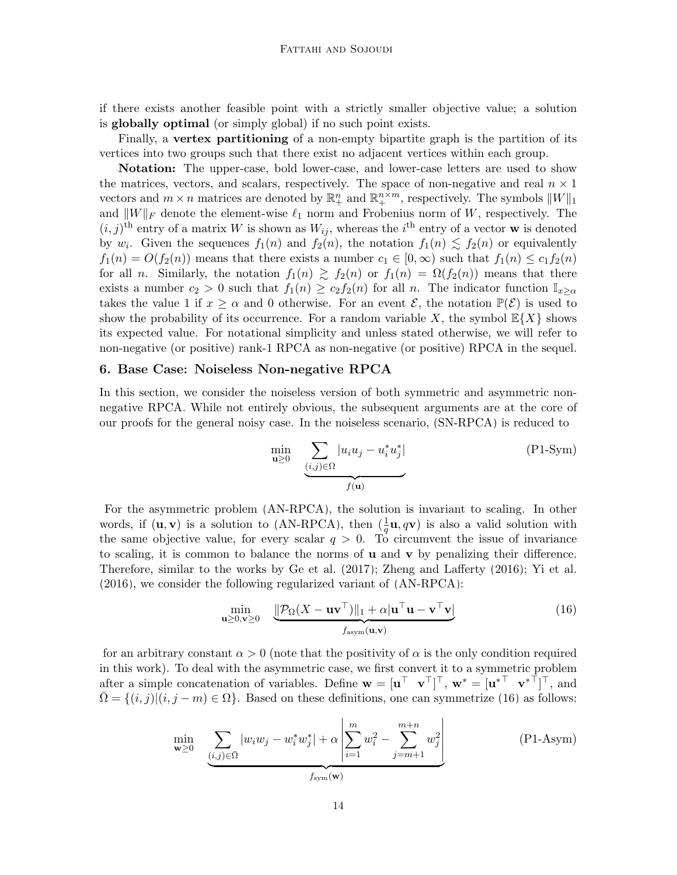if there exists another feasible point with a strictly smaller objective value; a solution is globally optimal (or simply global) if no such point exists.

Finally, a vertex partitioning of a non-empty bipartite graph is the partition of its vertices into two groups such that there exist no adjacent vertices within each group.

Notation: The upper-case, bold lower-case, and lower-case letters are used to show the matrices, vectors, and scalars, respectively. The space of non-negative and real  $n \times 1$ vectors and  $m \times n$  matrices are denoted by  $\mathbb{R}^n_+$  and  $\mathbb{R}^{n \times m}_+$ , respectively. The symbols  $||W||_1$ and  $||W||_F$  denote the element-wise  $\ell_1$  norm and Frobenius norm of W, respectively. The  $(i, j)$ <sup>th</sup> entry of a matrix W is shown as  $W_{ij}$ , whereas the i<sup>th</sup> entry of a vector **w** is denoted by  $w_i$ . Given the sequences  $f_1(n)$  and  $f_2(n)$ , the notation  $f_1(n) \lesssim f_2(n)$  or equivalently  $f_1(n) = O(f_2(n))$  means that there exists a number  $c_1 \in [0, \infty)$  such that  $f_1(n) \leq c_1 f_2(n)$ for all n. Similarly, the notation  $f_1(n) \ge f_2(n)$  or  $f_1(n) = \Omega(f_2(n))$  means that there exists a number  $c_2 > 0$  such that  $f_1(n) \geq c_2 f_2(n)$  for all n. The indicator function  $\mathbb{I}_{x>\alpha}$ takes the value 1 if  $x \ge \alpha$  and 0 otherwise. For an event  $\mathcal{E}$ , the notation  $\mathbb{P}(\mathcal{E})$  is used to show the probability of its occurrence. For a random variable X, the symbol  $\mathbb{E}\{X\}$  shows its expected value. For notational simplicity and unless stated otherwise, we will refer to non-negative (or positive) rank-1 RPCA as non-negative (or positive) RPCA in the sequel.

#### <span id="page-13-0"></span>6. Base Case: Noiseless Non-negative RPCA

In this section, we consider the noiseless version of both symmetric and asymmetric nonnegative RPCA. While not entirely obvious, the subsequent arguments are at the core of our proofs for the general noisy case. In the noiseless scenario, [\(SN-RPCA\)](#page-3-0) is reduced to

<span id="page-13-1"></span>
$$
\min_{\mathbf{u}\geq 0} \underbrace{\sum_{(i,j)\in\Omega} |u_i u_j - u_i^* u_j^*|}_{f(\mathbf{u})}
$$
\n
$$
(P1-Sym)
$$

For the asymmetric problem [\(AN-RPCA\)](#page-3-0), the solution is invariant to scaling. In other words, if  $(\mathbf{u}, \mathbf{v})$  is a solution to [\(AN-RPCA\)](#page-3-0), then  $(\frac{1}{q}\mathbf{u}, q\mathbf{v})$  is also a valid solution with the same objective value, for every scalar  $q > 0$ . To circumvent the issue of invariance to scaling, it is common to balance the norms of  $\bf{u}$  and  $\bf{v}$  by penalizing their difference. Therefore, similar to the works by [Ge et al.](#page-33-1) [\(2017\)](#page-33-1); [Zheng and Lafferty](#page-36-5) [\(2016\)](#page-36-5); [Yi et al.](#page-35-10) [\(2016\)](#page-35-10), we consider the following regularized variant of [\(AN-RPCA\)](#page-3-0):

$$
\min_{\mathbf{u}\geq0,\mathbf{v}\geq0}\quad\underbrace{\|\mathcal{P}_{\Omega}(X-\mathbf{u}\mathbf{v}^{\top})\|_{1}+\alpha|\mathbf{u}^{\top}\mathbf{u}-\mathbf{v}^{\top}\mathbf{v}|}_{f_{\mathrm{asym}}(\mathbf{u},\mathbf{v})}
$$
(16)

<span id="page-13-2"></span>for an arbitrary constant  $\alpha > 0$  (note that the positivity of  $\alpha$  is the only condition required in this work). To deal with the asymmetric case, we first convert it to a symmetric problem after a simple concatenation of variables. Define  $\mathbf{w} = [\mathbf{u}^\top \ \mathbf{v}^\top]^\top$ ,  $\mathbf{w}^* = [\mathbf{u}^{*\top} \ \mathbf{v}^{*\top}]^\top$ , and  $\overline{\Omega} = \{(i, j) | (i, j - m) \in \Omega \}$ . Based on these definitions, one can symmetrize [\(16\)](#page-13-1) as follows:

$$
\min_{\mathbf{w} \ge 0} \sum_{\underbrace{(i,j) \in \bar{\Omega}} |w_i w_j - w_i^* w_j^*| + \alpha \left| \sum_{i=1}^m w_i^2 - \sum_{j=m+1}^{m+n} w_j^2 \right|} \tag{P1-Asym}
$$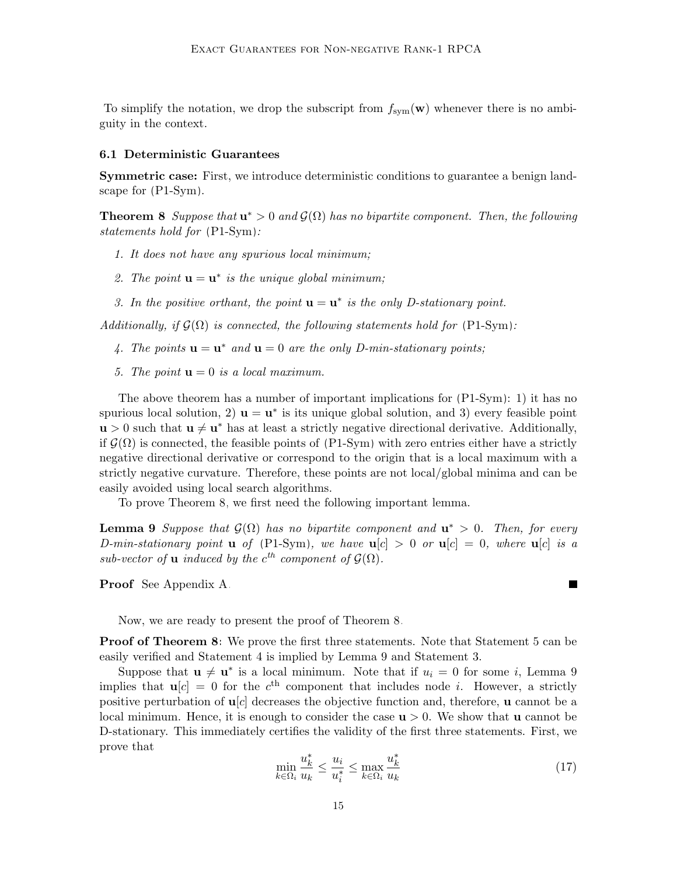To simplify the notation, we drop the subscript from  $f_{sym}(\mathbf{w})$  whenever there is no ambiguity in the context.

#### 6.1 Deterministic Guarantees

Symmetric case: First, we introduce deterministic conditions to guarantee a benign landscape for [\(P1-Sym\)](#page-13-1).

<span id="page-14-0"></span>**Theorem 8** Suppose that  $\mathbf{u}^* > 0$  and  $\mathcal{G}(\Omega)$  has no bipartite component. Then, the following statements hold for [\(P1-Sym\)](#page-13-1):

- 1. It does not have any spurious local minimum;
- 2. The point  $\mathbf{u} = \mathbf{u}^*$  is the unique global minimum;
- 3. In the positive orthant, the point  $\mathbf{u} = \mathbf{u}^*$  is the only D-stationary point.

Additionally, if  $\mathcal{G}(\Omega)$  is connected, the following statements hold for [\(P1-Sym\)](#page-13-1):

- 4. The points  $\mathbf{u} = \mathbf{u}^*$  and  $\mathbf{u} = 0$  are the only D-min-stationary points;
- 5. The point  $\mathbf{u} = 0$  is a local maximum.

The above theorem has a number of important implications for [\(P1-Sym\)](#page-13-1): 1) it has no spurious local solution, 2)  $\mathbf{u} = \mathbf{u}^*$  is its unique global solution, and 3) every feasible point  $\mathbf{u} > 0$  such that  $\mathbf{u} \neq \mathbf{u}^*$  has at least a strictly negative directional derivative. Additionally, if  $\mathcal{G}(\Omega)$  is connected, the feasible points of [\(P1-Sym\)](#page-13-1) with zero entries either have a strictly negative directional derivative or correspond to the origin that is a local maximum with a strictly negative curvature. Therefore, these points are not local/global minima and can be easily avoided using local search algorithms.

To prove Theorem [8,](#page-14-0) we first need the following important lemma.

<span id="page-14-1"></span>**Lemma 9** Suppose that  $\mathcal{G}(\Omega)$  has no bipartite component and  $\mathbf{u}^* > 0$ . Then, for every D-min-stationary point **u** of [\(P1-Sym\)](#page-13-1), we have  $u[c] > 0$  or  $u[c] = 0$ , where  $u[c]$  is a sub-vector of **u** induced by the  $c^{th}$  component of  $\mathcal{G}(\Omega)$ .

Proof See Appendix [A.](#page-0-2)

Now, we are ready to present the proof of Theorem [8.](#page-14-0)

**Proof of Theorem [8:](#page-14-0)** We prove the first three statements. Note that Statement 5 can be easily verified and Statement 4 is implied by Lemma [9](#page-14-1) and Statement 3.

Suppose that  $\mathbf{u} \neq \mathbf{u}^*$  is a local minimum. Note that if  $u_i = 0$  for some i, Lemma [9](#page-14-1) implies that  $\mathbf{u}[c] = 0$  for the  $c^{\text{th}}$  component that includes node *i*. However, a strictly positive perturbation of  $\mathbf{u}[c]$  decreases the objective function and, therefore, **u** cannot be a local minimum. Hence, it is enough to consider the case  $\mathbf{u} > 0$ . We show that **u** cannot be D-stationary. This immediately certifies the validity of the first three statements. First, we prove that

$$
\min_{k \in \Omega_i} \frac{u_k^*}{u_k} \le \frac{u_i}{u_i^*} \le \max_{k \in \Omega_i} \frac{u_k^*}{u_k} \tag{17}
$$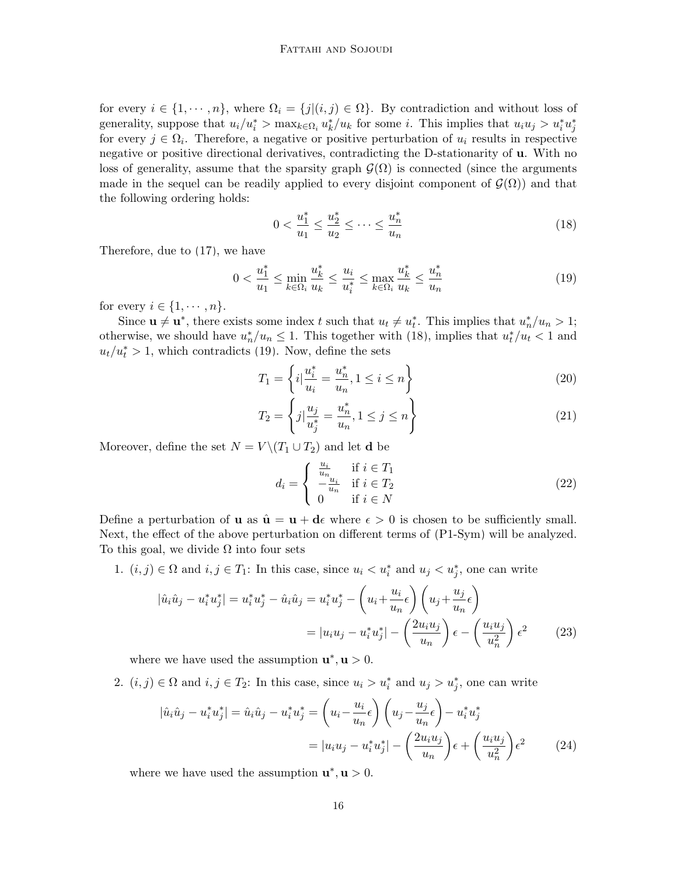for every  $i \in \{1, \dots, n\}$ , where  $\Omega_i = \{j | (i, j) \in \Omega\}$ . By contradiction and without loss of generality, suppose that  $u_i/u_i^* > \max_{k \in \Omega_i} u_k^*/u_k$  for some *i*. This implies that  $u_i u_j > u_i^* u_j^*$ for every  $j \in \Omega_i$ . Therefore, a negative or positive perturbation of  $u_i$  results in respective negative or positive directional derivatives, contradicting the D-stationarity of u. With no loss of generality, assume that the sparsity graph  $\mathcal{G}(\Omega)$  is connected (since the arguments made in the sequel can be readily applied to every disjoint component of  $\mathcal{G}(\Omega)$  and that the following ordering holds:

<span id="page-15-1"></span><span id="page-15-0"></span>
$$
0 < \frac{u_1^*}{u_1} \le \frac{u_2^*}{u_2} \le \dots \le \frac{u_n^*}{u_n} \tag{18}
$$

Therefore, due to [\(17\)](#page-13-2), we have

$$
0 < \frac{u_1^*}{u_1} \le \min_{k \in \Omega_i} \frac{u_k^*}{u_k} \le \frac{u_i}{u_i^*} \le \max_{k \in \Omega_i} \frac{u_k^*}{u_k} \le \frac{u_n^*}{u_n} \tag{19}
$$

for every  $i \in \{1, \cdots, n\}.$ 

Since  $\mathbf{u} \neq \mathbf{u}^*$ , there exists some index t such that  $u_t \neq u_t^*$ . This implies that  $u_n^*/u_n > 1$ ; otherwise, we should have  $u_n^*/u_n \leq 1$ . This together with [\(18\)](#page-15-0), implies that  $u_t^*/u_t < 1$  and  $u_t/u_t^* > 1$ , which contradicts [\(19\)](#page-15-1). Now, define the sets

<span id="page-15-2"></span>
$$
T_1 = \left\{ i \middle| \frac{u_i^*}{u_i} = \frac{u_n^*}{u_n}, 1 \le i \le n \right\}
$$
\n(20)

$$
T_2 = \left\{ j | \frac{u_j}{u_j^*} = \frac{u_n^*}{u_n}, 1 \le j \le n \right\}
$$
 (21)

Moreover, define the set  $N = V \setminus (T_1 \cup T_2)$  and let **d** be

<span id="page-15-4"></span><span id="page-15-3"></span>
$$
d_i = \begin{cases} \frac{u_i}{u_n} & \text{if } i \in T_1\\ -\frac{u_i}{u_n} & \text{if } i \in T_2\\ 0 & \text{if } i \in N \end{cases}
$$
 (22)

Define a perturbation of **u** as  $\hat{\mathbf{u}} = \mathbf{u} + \mathbf{d}\epsilon$  where  $\epsilon > 0$  is chosen to be sufficiently small. Next, the effect of the above perturbation on different terms of [\(P1-Sym\)](#page-13-1) will be analyzed. To this goal, we divide  $\Omega$  into four sets

1.  $(i, j) \in \Omega$  and  $i, j \in T_1$ : In this case, since  $u_i < u_i^*$  and  $u_j < u_j^*$ , one can write

$$
|\hat{u}_i\hat{u}_j - u_i^*u_j^*| = u_i^*u_j^* - \hat{u}_i\hat{u}_j = u_i^*u_j^* - \left(u_i + \frac{u_i}{u_n}\epsilon\right)\left(u_j + \frac{u_j}{u_n}\epsilon\right)
$$
  

$$
= |u_iu_j - u_i^*u_j^*| - \left(\frac{2u_iu_j}{u_n}\right)\epsilon - \left(\frac{u_iu_j}{u_n^2}\right)\epsilon^2
$$
(23)

where we have used the assumption  $\mathbf{u}^*, \mathbf{u} > 0$ .

2.  $(i, j) \in \Omega$  and  $i, j \in T_2$ : In this case, since  $u_i > u_i^*$  and  $u_j > u_j^*$ , one can write

$$
|\hat{u}_i\hat{u}_j - u_i^*u_j^*| = \hat{u}_i\hat{u}_j - u_i^*u_j^* = \left(u_i - \frac{u_i}{u_n}\epsilon\right)\left(u_j - \frac{u_j}{u_n}\epsilon\right) - u_i^*u_j^* = |u_iu_j - u_i^*u_j^*| - \left(\frac{2u_iu_j}{u_n}\right)\epsilon + \left(\frac{u_iu_j}{u_n^2}\right)\epsilon^2
$$
(24)

where we have used the assumption  $\mathbf{u}^*, \mathbf{u} > 0$ .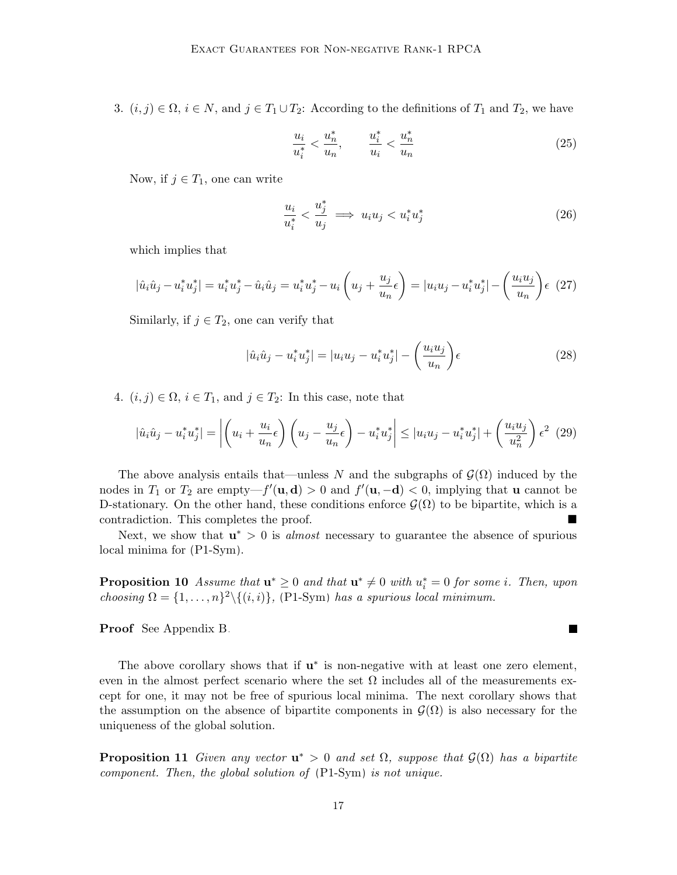3.  $(i, j) \in \Omega$ ,  $i \in N$ , and  $j \in T_1 \cup T_2$ : According to the definitions of  $T_1$  and  $T_2$ , we have

$$
\frac{u_i}{u_i^*} < \frac{u_n^*}{u_n}, \qquad \frac{u_i^*}{u_i} < \frac{u_n^*}{u_n} \tag{25}
$$

Now, if  $j \in T_1$ , one can write

$$
\frac{u_i}{u_i^*} < \frac{u_j^*}{u_j} \implies u_i u_j < u_i^* u_j^* \tag{26}
$$

which implies that

$$
|\hat{u}_i\hat{u}_j - u_i^*u_j^*| = u_i^*u_j^* - \hat{u}_i\hat{u}_j = u_i^*u_j^* - u_i\left(u_j + \frac{u_j}{u_n}\epsilon\right) = |u_iu_j - u_i^*u_j^*| - \left(\frac{u_iu_j}{u_n}\right)\epsilon
$$
 (27)

Similarly, if  $j \in T_2$ , one can verify that

$$
|\hat{u}_i\hat{u}_j - u_i^*u_j^*| = |u_iu_j - u_i^*u_j^*| - \left(\frac{u_iu_j}{u_n}\right)\epsilon
$$
\n(28)

4.  $(i, j) \in \Omega$ ,  $i \in T_1$ , and  $j \in T_2$ : In this case, note that

$$
|\hat{u}_i\hat{u}_j - u_i^*u_j^*| = \left| \left(u_i + \frac{u_i}{u_n}\epsilon\right) \left(u_j - \frac{u_j}{u_n}\epsilon\right) - u_i^*u_j^* \right| \leq |u_iu_j - u_i^*u_j^*| + \left(\frac{u_iu_j}{u_n^2}\right)\epsilon^2
$$
 (29)

The above analysis entails that—unless N and the subgraphs of  $\mathcal{G}(\Omega)$  induced by the nodes in  $T_1$  or  $T_2$  are empty— $f'(\mathbf{u}, \mathbf{d}) > 0$  and  $f'(\mathbf{u}, -\mathbf{d}) < 0$ , implying that **u** cannot be D-stationary. On the other hand, these conditions enforce  $\mathcal{G}(\Omega)$  to be bipartite, which is a contradiction. This completes the proof.

Next, we show that  $\mathbf{u}^* > 0$  is *almost* necessary to guarantee the absence of spurious local minima for [\(P1-Sym\)](#page-13-1).

<span id="page-16-1"></span>**Proposition 10** Assume that  $\mathbf{u}^* \geq 0$  and that  $\mathbf{u}^* \neq 0$  with  $u_i^* = 0$  for some i. Then, upon choosing  $\Omega = \{1, \ldots, n\}^2 \setminus \{(i, i)\}\$ , [\(P1-Sym\)](#page-13-1) has a spurious local minimum.

Proof See Appendix [B.](#page-3-1)

The above corollary shows that if  $\mathbf{u}^*$  is non-negative with at least one zero element, even in the almost perfect scenario where the set  $\Omega$  includes all of the measurements except for one, it may not be free of spurious local minima. The next corollary shows that the assumption on the absence of bipartite components in  $\mathcal{G}(\Omega)$  is also necessary for the uniqueness of the global solution.

<span id="page-16-0"></span>**Proposition 11** Given any vector  $\mathbf{u}^* > 0$  and set  $\Omega$ , suppose that  $\mathcal{G}(\Omega)$  has a bipartite component. Then, the global solution of [\(P1-Sym\)](#page-13-1) is not unique.

 $\overline{\phantom{a}}$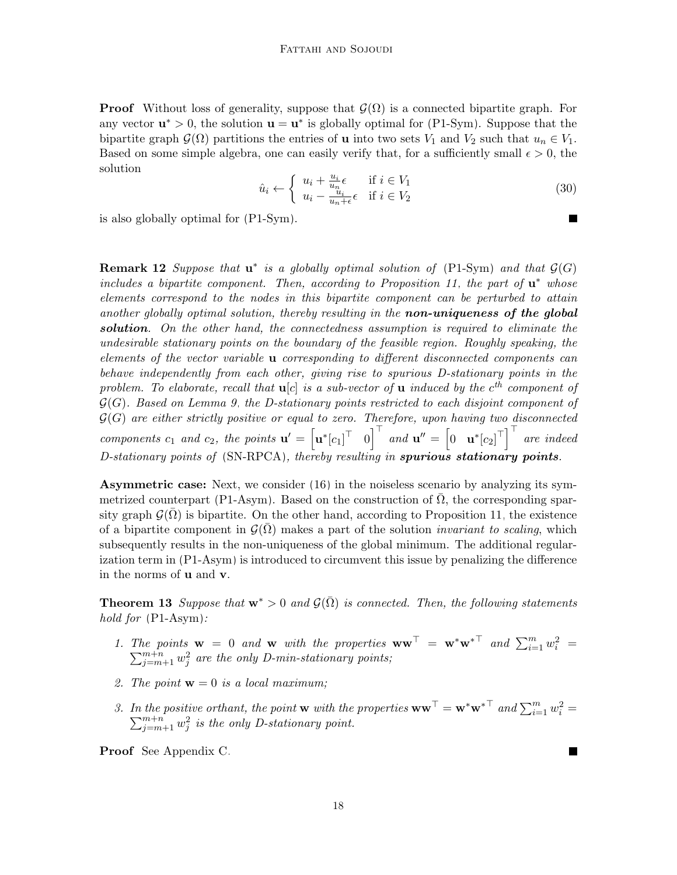**Proof** Without loss of generality, suppose that  $\mathcal{G}(\Omega)$  is a connected bipartite graph. For any vector  $\mathbf{u}^* > 0$ , the solution  $\mathbf{u} = \mathbf{u}^*$  is globally optimal for [\(P1-Sym\)](#page-13-1). Suppose that the bipartite graph  $\mathcal{G}(\Omega)$  partitions the entries of **u** into two sets  $V_1$  and  $V_2$  such that  $u_n \in V_1$ . Based on some simple algebra, one can easily verify that, for a sufficiently small  $\epsilon > 0$ , the solution

$$
\hat{u}_i \leftarrow \begin{cases} u_i + \frac{u_i}{u_n} \epsilon & \text{if } i \in V_1 \\ u_i - \frac{u_i}{u_n + \epsilon} \epsilon & \text{if } i \in V_2 \end{cases}
$$
\n(30)

is also globally optimal for [\(P1-Sym\)](#page-13-1).

**Remark 12** Suppose that  $u^*$  is a globally optimal solution of [\(P1-Sym\)](#page-13-1) and that  $\mathcal{G}(G)$ includes a bipartite component. Then, according to Proposition [11,](#page-16-0) the part of  $\mathbf{u}^*$  whose elements correspond to the nodes in this bipartite component can be perturbed to attain another globally optimal solution, thereby resulting in the **non-uniqueness of the global** solution. On the other hand, the connectedness assumption is required to eliminate the undesirable stationary points on the boundary of the feasible region. Roughly speaking, the elements of the vector variable u corresponding to different disconnected components can behave independently from each other, giving rise to spurious D-stationary points in the problem. To elaborate, recall that  $\mathbf{u}[c]$  is a sub-vector of  $\mathbf{u}$  induced by the  $c^{th}$  component of  $\mathcal{G}(G)$ . Based on Lemma [9,](#page-14-1) the D-stationary points restricted to each disjoint component of  $G(G)$  are either strictly positive or equal to zero. Therefore, upon having two disconnected components  $c_1$  and  $c_2$ , the points  $\mathbf{u}' = \begin{bmatrix} \mathbf{u}^* [c_1]^{\top} & 0 \end{bmatrix}^{\top}$  and  $\mathbf{u}'' = \begin{bmatrix} 0 & \mathbf{u}^* [c_2]^{\top} \end{bmatrix}^{\top}$  are indeed D-stationary points of [\(SN-RPCA\)](#page-3-0), thereby resulting in spurious stationary points.

Asymmetric case: Next, we consider [\(16\)](#page-13-1) in the noiseless scenario by analyzing its sym-metrized counterpart [\(P1-Asym\)](#page-13-2). Based on the construction of  $\Omega$ , the corresponding sparsity graph  $\mathcal{G}(\Omega)$  is bipartite. On the other hand, according to Proposition [11,](#page-16-0) the existence of a bipartite component in  $\mathcal{G}(\overline{\Omega})$  makes a part of the solution *invariant to scaling*, which subsequently results in the non-uniqueness of the global minimum. The additional regularization term in [\(P1-Asym\)](#page-13-2) is introduced to circumvent this issue by penalizing the difference in the norms of u and v.

<span id="page-17-0"></span>**Theorem 13** Suppose that  $\mathbf{w}^* > 0$  and  $\mathcal{G}(\bar{\Omega})$  is connected. Then, the following statements hold for  $(P1-Asym)$ :

- 1. The points  $\mathbf{w} = 0$  and  $\mathbf{w}$  with the properties  $\mathbf{w}\mathbf{w}^{\top} = \mathbf{w}^*\mathbf{w}^{*\top}$  and  $\sum_{i=1}^{m} w_i^2$  $\sum$ ie points  $\mathbf{w} = 0$  and  $\mathbf{w}$  with the properties  $\mathbf{w}\mathbf{w}^{\top} = \mathbf{w}^*\mathbf{w}^*$  and  $\sum_{i=1}^m w_i^2 = \sum_{j=m+1}^{m+n} w_j^2$  are the only D-min-stationary points;
- 2. The point  $\mathbf{w} = 0$  is a local maximum;
- 3. In the positive orthant, the point **w** with the properties  $\mathbf{w}\mathbf{w}^{\top} = \mathbf{w}^*\mathbf{w}^{*\top}$  and  $\sum_{i=1}^m w_i^2$  $\sum$ the positive orthant, the point **w** with the properties  $\mathbf{w}\mathbf{w}^{\top} = \mathbf{w}^*\mathbf{w}^{* \top}$  and  $\sum_{i=1}^m w_i^2 = \sum_{j=m+1}^{m+n} w_j^2$  is the only D-stationary point.

Proof See Appendix [C.](#page-6-1)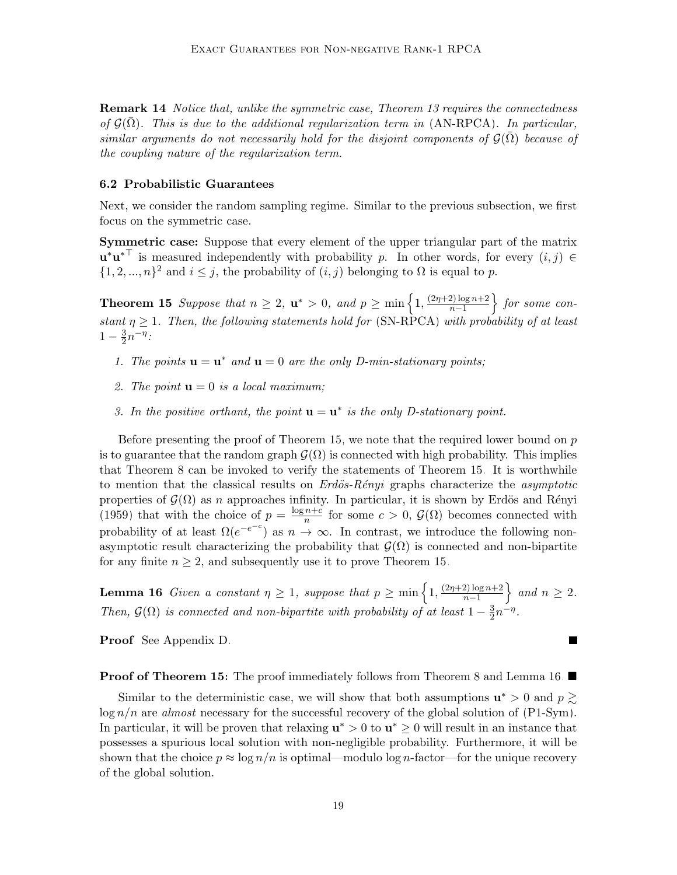**Remark 14** Notice that, unlike the symmetric case, Theorem [13](#page-17-0) requires the connectedness of  $\mathcal{G}(\Omega)$ . This is due to the additional regularization term in [\(AN-RPCA\)](#page-3-0). In particular, similar arguments do not necessarily hold for the disjoint components of  $\mathcal{G}(\bar{\Omega})$  because of the coupling nature of the regularization term.

# 6.2 Probabilistic Guarantees

Next, we consider the random sampling regime. Similar to the previous subsection, we first focus on the symmetric case.

Symmetric case: Suppose that every element of the upper triangular part of the matrix  $\mathbf{u}^*\mathbf{u}^{*T}$  is measured independently with probability p. In other words, for every  $(i, j) \in$  $\{1, 2, ..., n\}^2$  and  $i \leq j$ , the probability of  $(i, j)$  belonging to  $\Omega$  is equal to p.

<span id="page-18-0"></span>**Theorem 15** Suppose that  $n \geq 2$ ,  $\mathbf{u}^* > 0$ , and  $p \geq \min\left\{1, \frac{(2\eta+2)\log n + 2}{n-1}\right\}$  $\frac{2 \log n + 2}{n-1}$ } for some constant  $\eta \geq 1$ . Then, the following statements hold for [\(SN-RPCA\)](#page-3-0) with probability of at least  $1-\frac{3}{2}$  $\frac{3}{2}n^{-\eta}$ :

- 1. The points  $\mathbf{u} = \mathbf{u}^*$  and  $\mathbf{u} = 0$  are the only D-min-stationary points;
- 2. The point  $\mathbf{u} = 0$  is a local maximum;
- 3. In the positive orthant, the point  $\mathbf{u} = \mathbf{u}^*$  is the only D-stationary point.

Before presenting the proof of Theorem [15,](#page-18-0) we note that the required lower bound on p is to guarantee that the random graph  $\mathcal{G}(\Omega)$  is connected with high probability. This implies that Theorem [8](#page-14-0) can be invoked to verify the statements of Theorem [15.](#page-18-0) It is worthwhile to mention that the classical results on  $Erd\ddot{o}s$ -Rényi graphs characterize the asymptotic properties of  $\mathcal{G}(\Omega)$  as n approaches infinity. In particular, it is shown by Erdös and Rényi [\(1959\)](#page-33-10) that with the choice of  $p = \frac{\log n + c}{n}$  $\frac{n+c}{n}$  for some  $c > 0$ ,  $\mathcal{G}(\Omega)$  becomes connected with probability of at least  $\Omega(e^{-e^{-c}})$  as  $n \to \infty$ . In contrast, we introduce the following nonasymptotic result characterizing the probability that  $\mathcal{G}(\Omega)$  is connected and non-bipartite for any finite  $n \geq 2$ , and subsequently use it to prove Theorem [15.](#page-18-0)

<span id="page-18-1"></span>**Lemma 16** Given a constant  $\eta \geq 1$ , suppose that  $p \geq \min\left\{1, \frac{(2\eta+2)\log n + 2}{n-1}\right\}$  $\frac{2 \log n + 2}{n-1}$  and  $n \geq 2$ . Then,  $\mathcal{G}(\Omega)$  is connected and non-bipartite with probability of at least  $1-\frac{3}{2}$  $\frac{3}{2}n^{-\eta}$ .

Proof See Appendix [D.](#page-9-1)

**Proof of Theorem [15:](#page-18-0)** The proof immediately follows from Theorem [8](#page-14-0) and Lemma [16.](#page-18-1)  $\blacksquare$ 

Similar to the deterministic case, we will show that both assumptions  $\mathbf{u}^* > 0$  and  $p \geq 0$  $\log n/n$  are *almost* necessary for the successful recovery of the global solution of [\(P1-Sym\)](#page-13-1). In particular, it will be proven that relaxing  $\mathbf{u}^* > 0$  to  $\mathbf{u}^* \geq 0$  will result in an instance that possesses a spurious local solution with non-negligible probability. Furthermore, it will be shown that the choice  $p \approx \log n/n$  is optimal—modulo log n-factor—for the unique recovery of the global solution.

 $\blacksquare$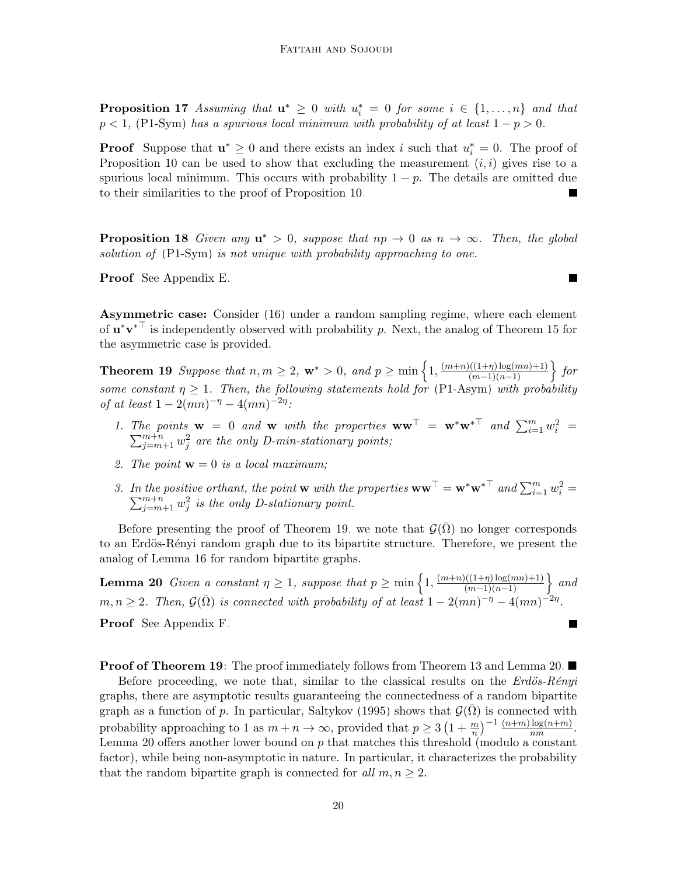**Proposition 17** Assuming that  $\mathbf{u}^* \geq 0$  with  $u_i^* = 0$  for some  $i \in \{1, ..., n\}$  and that  $p < 1$ , [\(P1-Sym\)](#page-13-1) has a spurious local minimum with probability of at least  $1 - p > 0$ .

**Proof** Suppose that  $\mathbf{u}^* \geq 0$  and there exists an index i such that  $u_i^* = 0$ . The proof of Proposition [10](#page-16-1) can be used to show that excluding the measurement  $(i, i)$  gives rise to a spurious local minimum. This occurs with probability  $1 - p$ . The details are omitted due to their similarities to the proof of Proposition [10.](#page-16-1)

<span id="page-19-2"></span>**Proposition 18** Given any  $u^* > 0$ , suppose that  $np \to 0$  as  $n \to \infty$ . Then, the global solution of  $(PI-Sym)$  is not unique with probability approaching to one.

Proof See Appendix [E.](#page-12-0)

Asymmetric case: Consider [\(16\)](#page-13-1) under a random sampling regime, where each element of  $\mathbf{u}^*\mathbf{v}^{*\top}$  is independently observed with probability p. Next, the analog of Theorem [15](#page-18-0) for the asymmetric case is provided.

<span id="page-19-0"></span>**Theorem 19** Suppose that  $n, m \geq 2$ ,  $\mathbf{w}^* > 0$ , and  $p \geq \min\left\{1, \frac{(m+n)((1+\eta)\log(mn)+1)}{(m-1)(n-1)}\right\}$  for some constant  $\eta \geq 1$ . Then, the following statements hold for [\(P1-Asym\)](#page-13-2) with probability of at least  $1 - 2(mn)^{-\eta} - 4(mn)^{-2\eta}$ :

- 1. The points  $\mathbf{w} = 0$  and  $\mathbf{w}$  with the properties  $\mathbf{w}\mathbf{w}^{\top} = \mathbf{w}^*\mathbf{w}^{*\top}$  and  $\sum_{i=1}^{m} w_i^2$  $\sum$ ie points  $\mathbf{w} = 0$  and  $\mathbf{w}$  with the properties  $\mathbf{w}\mathbf{w}^{\top} = \mathbf{w}^*\mathbf{w}^*$  and  $\sum_{i=1}^m w_i^2 = \sum_{j=m+1}^{m+n} w_j^2$  are the only D-min-stationary points;
- 2. The point  $\mathbf{w} = 0$  is a local maximum;
- <span id="page-19-1"></span>3. In the positive orthant, the point **w** with the properties  $\mathbf{w}\mathbf{w}^{\top} = \mathbf{w}^*\mathbf{w}^{*\top}$  and  $\sum_{i=1}^m w_i^2$  $\sum$ the positive orthant, the point **w** with the properties  $\mathbf{w}\mathbf{w}^{\top} = \mathbf{w}^*\mathbf{w}^{* \top}$  and  $\sum_{i=1}^m w_i^2 = \sum_{j=m+1}^{m+n} w_j^2$  is the only D-stationary point.

Before presenting the proof of Theorem [19,](#page-19-0) we note that  $\mathcal{G}(\bar{\Omega})$  no longer corresponds to an Erdös-Rényi random graph due to its bipartite structure. Therefore, we present the analog of Lemma [16](#page-18-1) for random bipartite graphs.

**Lemma 20** Given a constant  $\eta \geq 1$ , suppose that  $p \geq \min\left\{1, \frac{(m+n)((1+\eta)\log(mn)+1)}{(m-1)(n-1)}\right\}$  and  $m, n \geq 2$ . Then,  $\mathcal{G}(\bar{\Omega})$  is connected with probability of at least  $1 - 2(mn)^{-\eta} - 4(mn)^{-2\eta}$ . Proof See Appendix [F.](#page-13-0) П

**Proof of Theorem [19:](#page-19-0)** The proof immediately follows from Theorem [13](#page-17-0) and Lemma [20.](#page-19-1)  $\blacksquare$ 

Before proceeding, we note that, similar to the classical results on the  $Erd\ddot{o}s-R\acute{e}nyi$ graphs, there are asymptotic results guaranteeing the connectedness of a random bipartite graph as a function of p. In particular, [Saltykov](#page-35-12) [\(1995\)](#page-35-12) shows that  $\mathcal{G}(\Omega)$  is connected with probability approaching to 1 as  $m + n \to \infty$ , provided that  $p \ge 3 \left(1 + \frac{m}{n}\right)^{-1} \frac{(n+m)\log(n+m)}{nm}$ . Lemma [20](#page-19-1) offers another lower bound on  $p$  that matches this threshold (modulo a constant factor), while being non-asymptotic in nature. In particular, it characterizes the probability that the random bipartite graph is connected for all  $m, n \geq 2$ .

 $\blacksquare$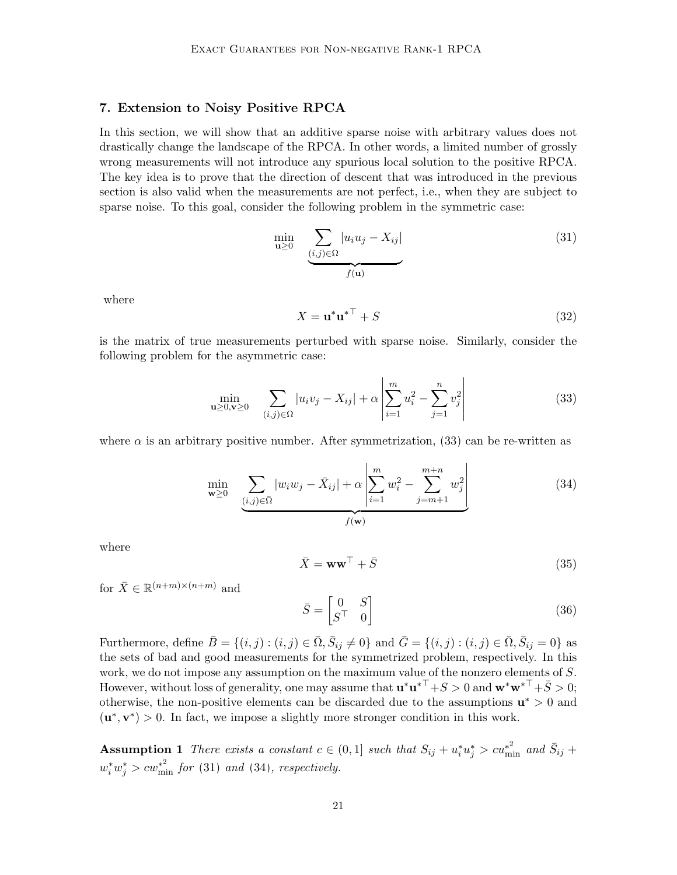# <span id="page-20-0"></span>7. Extension to Noisy Positive RPCA

In this section, we will show that an additive sparse noise with arbitrary values does not drastically change the landscape of the RPCA. In other words, a limited number of grossly wrong measurements will not introduce any spurious local solution to the positive RPCA. The key idea is to prove that the direction of descent that was introduced in the previous section is also valid when the measurements are not perfect, i.e., when they are subject to sparse noise. To this goal, consider the following problem in the symmetric case:

$$
\min_{\mathbf{u}\geq 0} \sum_{\substack{(i,j)\in\Omega\\f(\mathbf{u})}} |u_i u_j - X_{ij}| \tag{31}
$$

where

<span id="page-20-2"></span><span id="page-20-1"></span>
$$
X = \mathbf{u}^* \mathbf{u}^{* \top} + S \tag{32}
$$

is the matrix of true measurements perturbed with sparse noise. Similarly, consider the following problem for the asymmetric case:

$$
\min_{\mathbf{u} \ge 0, \mathbf{v} \ge 0} \quad \sum_{(i,j) \in \Omega} |u_i v_j - X_{ij}| + \alpha \left| \sum_{i=1}^m u_i^2 - \sum_{j=1}^n v_j^2 \right| \tag{33}
$$

where  $\alpha$  is an arbitrary positive number. After symmetrization, [\(33\)](#page-20-1) can be re-written as

$$
\min_{\mathbf{w} \ge 0} \sum_{\substack{(i,j) \in \bar{\Omega} \\ f(\mathbf{w})}} |w_i w_j - \bar{X}_{ij}| + \alpha \left| \sum_{i=1}^m w_i^2 - \sum_{j=m+1}^{m+n} w_j^2 \right| \tag{34}
$$

<span id="page-20-5"></span>where

<span id="page-20-6"></span><span id="page-20-3"></span>
$$
\bar{X} = \mathbf{w}\mathbf{w}^{\top} + \bar{S}
$$
 (35)

for  $\bar{X} \in \mathbb{R}^{(n+m)\times(n+m)}$  and

$$
\bar{S} = \begin{bmatrix} 0 & S \\ S^\top & 0 \end{bmatrix} \tag{36}
$$

Furthermore, define  $\bar{B} = \{(i, j) : (i, j) \in \bar{\Omega}, \bar{S}_{ij} \neq 0\}$  and  $\bar{G} = \{(i, j) : (i, j) \in \bar{\Omega}, \bar{S}_{ij} = 0\}$  as the sets of bad and good measurements for the symmetrized problem, respectively. In this work, we do not impose any assumption on the maximum value of the nonzero elements of S. However, without loss of generality, one may assume that  $\mathbf{u}^*\mathbf{u}^{*\top}+S > 0$  and  $\mathbf{w}^*\mathbf{w}^{*\top}+\bar{S} > 0$ ; otherwise, the non-positive elements can be discarded due to the assumptions  $\mathbf{u}^* > 0$  and  $(\mathbf{u}^*, \mathbf{v}^*) > 0$ . In fact, we impose a slightly more stronger condition in this work.

<span id="page-20-4"></span>**Assumption 1** There exists a constant  $c \in (0,1]$  such that  $S_{ij} + u_i^* u_j^* > cu_{\min}^{*2}$  and  $\bar{S}_{ij}$  +  $w_i^* w_j^* > c w_{\min}^{*^2}$  for [\(31\)](#page-20-2) and [\(34\)](#page-20-3), respectively.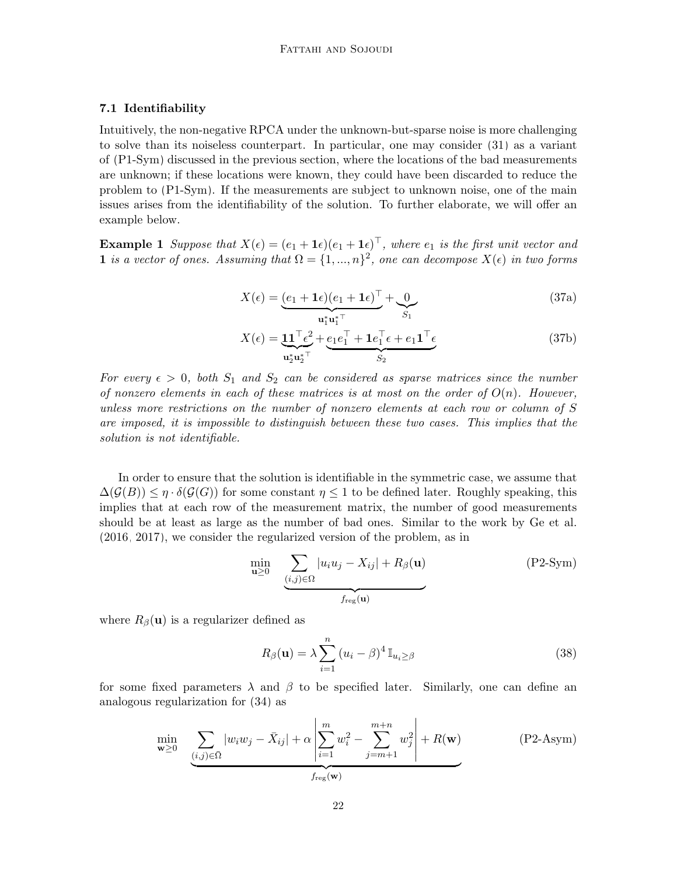### 7.1 Identifiability

Intuitively, the non-negative RPCA under the unknown-but-sparse noise is more challenging to solve than its noiseless counterpart. In particular, one may consider [\(31\)](#page-20-2) as a variant of [\(P1-Sym\)](#page-13-1) discussed in the previous section, where the locations of the bad measurements are unknown; if these locations were known, they could have been discarded to reduce the problem to [\(P1-Sym\)](#page-13-1). If the measurements are subject to unknown noise, one of the main issues arises from the identifiability of the solution. To further elaborate, we will offer an example below.

**Example 1** Suppose that  $X(\epsilon) = (e_1 + \mathbf{1}\epsilon)(e_1 + \mathbf{1}\epsilon)^{\top}$ , where  $e_1$  is the first unit vector and 1 is a vector of ones. Assuming that  $\Omega = \{1, ..., n\}^2$ , one can decompose  $X(\epsilon)$  in two forms

$$
X(\epsilon) = \underbrace{(e_1 + \mathbf{1}\epsilon)(e_1 + \mathbf{1}\epsilon)^{\top}}_{\mathbf{u}_1^* \mathbf{u}_1^{* \top}} + \underbrace{0}_{S_1}
$$
\n(37a)

$$
X(\epsilon) = \underbrace{\mathbf{1}\mathbf{1}^{\top}\epsilon^2}_{\mathbf{u}_2^* \mathbf{u}_2^{* \top}} + \underbrace{e_1 e_1^{\top} + \mathbf{1} e_1^{\top}\epsilon + e_1 \mathbf{1}^{\top}\epsilon}_{S_2}
$$
(37b)

For every  $\epsilon > 0$ , both  $S_1$  and  $S_2$  can be considered as sparse matrices since the number of nonzero elements in each of these matrices is at most on the order of  $O(n)$ . However, unless more restrictions on the number of nonzero elements at each row or column of S are imposed, it is impossible to distinguish between these two cases. This implies that the solution is not identifiable.

In order to ensure that the solution is identifiable in the symmetric case, we assume that  $\Delta(\mathcal{G}(B)) \leq \eta \cdot \delta(\mathcal{G}(G))$  for some constant  $\eta \leq 1$  to be defined later. Roughly speaking, this implies that at each row of the measurement matrix, the number of good measurements should be at least as large as the number of bad ones. Similar to the work by [Ge et al.](#page-33-0) [\(2016,](#page-33-0) [2017\)](#page-33-1), we consider the regularized version of the problem, as in

<span id="page-21-0"></span>
$$
\min_{\mathbf{u}\geq 0} \sum_{\underbrace{(i,j)\in\Omega} |u_i u_j - X_{ij}| + R_\beta(\mathbf{u})}_{f_{\text{reg}}(\mathbf{u})}
$$
 (P2-Sym)

where  $R_{\beta}(\mathbf{u})$  is a regularizer defined as

<span id="page-21-1"></span>
$$
R_{\beta}(\mathbf{u}) = \lambda \sum_{i=1}^{n} (u_i - \beta)^4 \mathbb{I}_{u_i \ge \beta}
$$
 (38)

for some fixed parameters  $\lambda$  and  $\beta$  to be specified later. Similarly, one can define an analogous regularization for [\(34\)](#page-20-3) as

$$
\min_{\mathbf{w}\geq 0} \sum_{\substack{(i,j)\in\bar{\Omega} \\ \text{free}(\mathbf{w})}} |w_i w_j - \bar{X}_{ij}| + \alpha \left| \sum_{i=1}^m w_i^2 - \sum_{j=m+1}^{m+n} w_j^2 \right| + R(\mathbf{w}) \tag{P2-Asym}
$$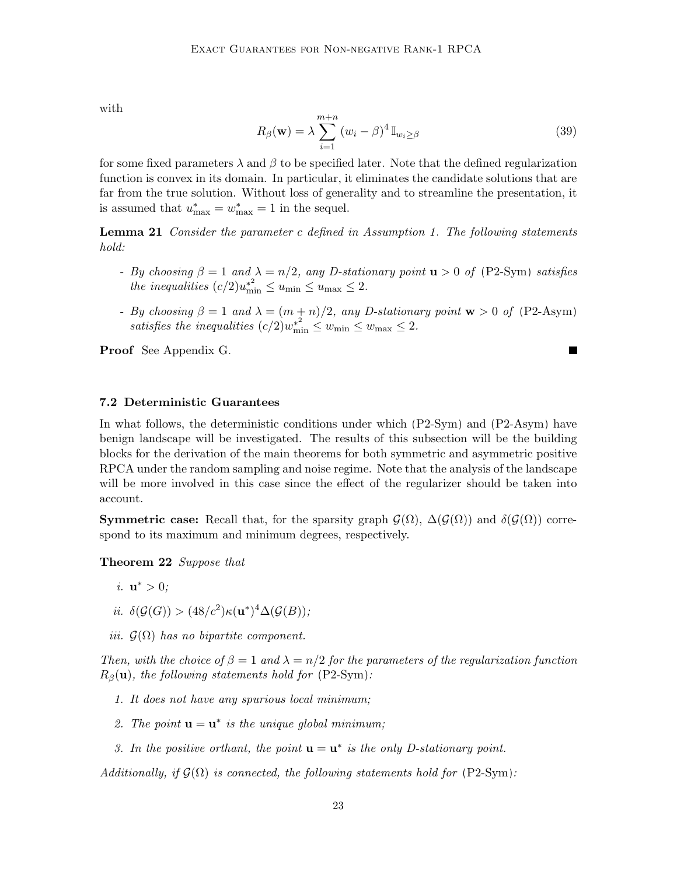with

<span id="page-22-1"></span>
$$
R_{\beta}(\mathbf{w}) = \lambda \sum_{i=1}^{m+n} (w_i - \beta)^4 \mathbb{I}_{w_i \ge \beta}
$$
 (39)

П

for some fixed parameters  $\lambda$  and  $\beta$  to be specified later. Note that the defined regularization function is convex in its domain. In particular, it eliminates the candidate solutions that are far from the true solution. Without loss of generality and to streamline the presentation, it is assumed that  $u_{\text{max}}^* = w_{\text{max}}^* = 1$  in the sequel.

**Lemma 21** Consider the parameter c defined in Assumption [1.](#page-20-4) The following statements hold:

- By choosing  $\beta = 1$  and  $\lambda = n/2$ , any D-stationary point  $\mathbf{u} > 0$  of [\(P2-Sym\)](#page-21-0) satisfies the inequalities  $(c/2)u_{\min}^{*^2} \le u_{\min} \le u_{\max} \le 2$ .
- By choosing  $\beta = 1$  and  $\lambda = (m + n)/2$ , any D-stationary point  $\mathbf{w} > 0$  of [\(P2-Asym\)](#page-21-1) satisfies the inequalities  $(c/2)w_{\min}^{*^2} \leq w_{\min} \leq w_{\max} \leq 2$ .

Proof See Appendix [G.](#page-20-0)

#### 7.2 Deterministic Guarantees

In what follows, the deterministic conditions under which [\(P2-Sym\)](#page-21-0) and [\(P2-Asym\)](#page-21-1) have benign landscape will be investigated. The results of this subsection will be the building blocks for the derivation of the main theorems for both symmetric and asymmetric positive RPCA under the random sampling and noise regime. Note that the analysis of the landscape will be more involved in this case since the effect of the regularizer should be taken into account.

**Symmetric case:** Recall that, for the sparsity graph  $\mathcal{G}(\Omega)$ ,  $\Delta(\mathcal{G}(\Omega))$  and  $\delta(\mathcal{G}(\Omega))$  correspond to its maximum and minimum degrees, respectively.

<span id="page-22-0"></span>Theorem 22 Suppose that

- *i*.  $\mathbf{u}^* > 0$ ;
- ii.  $\delta(\mathcal{G}(G)) > (48/c^2) \kappa(\mathbf{u}^*)^4 \Delta(\mathcal{G}(B));$
- iii.  $\mathcal{G}(\Omega)$  has no bipartite component.

Then, with the choice of  $\beta = 1$  and  $\lambda = n/2$  for the parameters of the regularization function  $R_\beta(\mathbf{u})$ , the following statements hold for [\(P2-Sym\)](#page-21-0):

- 1. It does not have any spurious local minimum;
- 2. The point  $\mathbf{u} = \mathbf{u}^*$  is the unique global minimum;
- 3. In the positive orthant, the point  $\mathbf{u} = \mathbf{u}^*$  is the only D-stationary point.

Additionally, if  $\mathcal{G}(\Omega)$  is connected, the following statements hold for [\(P2-Sym\)](#page-21-0):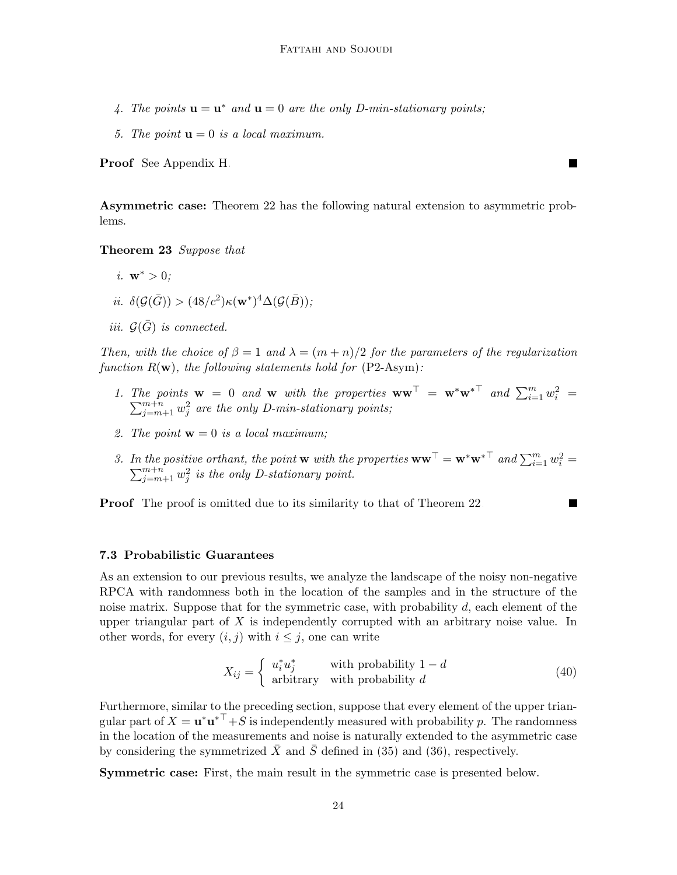- 4. The points  $\mathbf{u} = \mathbf{u}^*$  and  $\mathbf{u} = 0$  are the only D-min-stationary points;
- 5. The point  $\mathbf{u} = 0$  is a local maximum.

Proof See Appendix [H.](#page-27-0)

Asymmetric case: Theorem [22](#page-22-0) has the following natural extension to asymmetric problems.

٠

Theorem 23 Suppose that

- i.  $w^* > 0$ :
- ii.  $\delta(\mathcal{G}(\bar{G})) > (48/c^2) \kappa(\mathbf{w}^*)^4 \Delta(\mathcal{G}(\bar{B}));$
- iii.  $\mathcal{G}(\bar{G})$  is connected.

Then, with the choice of  $\beta = 1$  and  $\lambda = (m + n)/2$  for the parameters of the regularization function  $R(\mathbf{w})$ , the following statements hold for  $(P2\text{-Asym})$ :

- 1. The points  $\mathbf{w} = 0$  and  $\mathbf{w}$  with the properties  $\mathbf{w}\mathbf{w}^{\top} = \mathbf{w}^*\mathbf{w}^{*\top}$  and  $\sum_{i=1}^m w_i^2 =$  $\sum_{j=m+1}^{m+n} w_j^2$  are the only D-min-stationary points;
- 2. The point  $\mathbf{w} = 0$  is a local maximum;
- 3. In the positive orthant, the point **w** with the properties  $\mathbf{w}\mathbf{w}^{\top} = \mathbf{w}^*\mathbf{w}^{*\top}$  and  $\sum_{i=1}^m w_i^2 =$  $\sum_{j=m+1}^{m+n} w_j^2$  is the only D-stationary point.

**Proof** The proof is omitted due to its similarity to that of Theorem [22.](#page-22-0)

#### 7.3 Probabilistic Guarantees

As an extension to our previous results, we analyze the landscape of the noisy non-negative RPCA with randomness both in the location of the samples and in the structure of the noise matrix. Suppose that for the symmetric case, with probability  $d$ , each element of the upper triangular part of  $X$  is independently corrupted with an arbitrary noise value. In other words, for every  $(i, j)$  with  $i \leq j$ , one can write

<span id="page-23-0"></span>
$$
X_{ij} = \begin{cases} u_i^* u_j^* & \text{with probability } 1 - d \\ \text{arbitrary} & \text{with probability } d \end{cases}
$$
 (40)

Furthermore, similar to the preceding section, suppose that every element of the upper triangular part of  $X = \mathbf{u}^* \mathbf{u}^{*\top} + S$  is independently measured with probability p. The randomness in the location of the measurements and noise is naturally extended to the asymmetric case by considering the symmetrized  $\bar{X}$  and  $\bar{S}$  defined in [\(35\)](#page-20-5) and [\(36\)](#page-20-6), respectively.

Symmetric case: First, the main result in the symmetric case is presented below.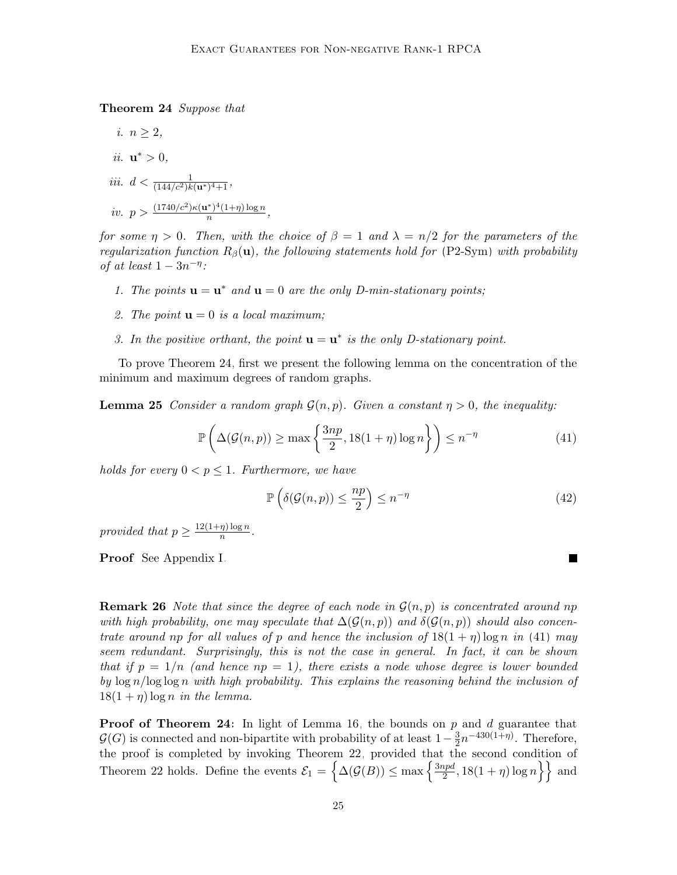Theorem 24 Suppose that

i.  $n \geq 2$ , ii.  $\mathbf{u}^* > 0$ , iii.  $d < \frac{1}{(144/c^2)k(\mathbf{u}^*)^4+1}$ , iv.  $p > \frac{(1740/c^2)\kappa(\mathbf{u}^*)^4(1+\eta)\log n}{n}$  $\frac{n^{1}}{n}$ ,  $\frac{n}{n}$ ,  $\frac{n(n+1)(n+1)}{n}$ ,

for some  $\eta > 0$ . Then, with the choice of  $\beta = 1$  and  $\lambda = n/2$  for the parameters of the regularization function  $R_\beta(\mathbf{u})$ , the following statements hold for [\(P2-Sym\)](#page-21-0) with probability of at least  $1 - 3n^{-\eta}$ :

- 1. The points  $\mathbf{u} = \mathbf{u}^*$  and  $\mathbf{u} = 0$  are the only D-min-stationary points;
- 2. The point  $\mathbf{u} = 0$  is a local maximum;
- 3. In the positive orthant, the point  $\mathbf{u} = \mathbf{u}^*$  is the only D-stationary point.

To prove Theorem [24,](#page-23-0) first we present the following lemma on the concentration of the minimum and maximum degrees of random graphs.

<span id="page-24-1"></span>**Lemma 25** Consider a random graph  $\mathcal{G}(n, p)$ . Given a constant  $\eta > 0$ , the inequality:

$$
\mathbb{P}\left(\Delta(\mathcal{G}(n,p)) \ge \max\left\{\frac{3np}{2}, 18(1+\eta)\log n\right\}\right) \le n^{-\eta} \tag{41}
$$

holds for every  $0 < p \leq 1$ . Furthermore, we have

$$
\mathbb{P}\left(\delta(\mathcal{G}(n,p)) \le \frac{np}{2}\right) \le n^{-\eta} \tag{42}
$$

<span id="page-24-0"></span> $\blacksquare$ 

provided that  $p \geq \frac{12(1+\eta)\log n}{n}$  $\frac{\eta \log n}{n}$ .

Proof See Appendix [I.](#page-29-0)

**Remark 26** Note that since the degree of each node in  $\mathcal{G}(n, p)$  is concentrated around np with high probability, one may speculate that  $\Delta(G(n, p))$  and  $\delta(G(n, p))$  should also concentrate around np for all values of p and hence the inclusion of  $18(1 + \eta) \log n$  in [\(41\)](#page-24-0) may seem redundant. Surprisingly, this is not the case in general. In fact, it can be shown that if  $p = 1/n$  (and hence  $np = 1$ ), there exists a node whose degree is lower bounded by  $\log n / \log \log n$  with high probability. This explains the reasoning behind the inclusion of  $18(1 + \eta) \log n$  in the lemma.

**Proof of Theorem [24:](#page-23-0)** In light of Lemma [16,](#page-18-1) the bounds on  $p$  and  $d$  guarantee that  $\mathcal{G}(G)$  is connected and non-bipartite with probability of at least  $1-\frac{3}{2}$  $\frac{3}{2}n^{-430(1+\eta)}$ . Therefore, the proof is completed by invoking Theorem [22,](#page-22-0) provided that the second condition of Theorem [22](#page-22-0) holds. Define the events  $\mathcal{E}_1 = \left\{ \Delta(\mathcal{G}(B)) \leq \max \left\{ \frac{3npd}{2} \right\}$  $\left\{\frac{2pd}{2}, 18(1+\eta)\log n\right\}\right\}$  and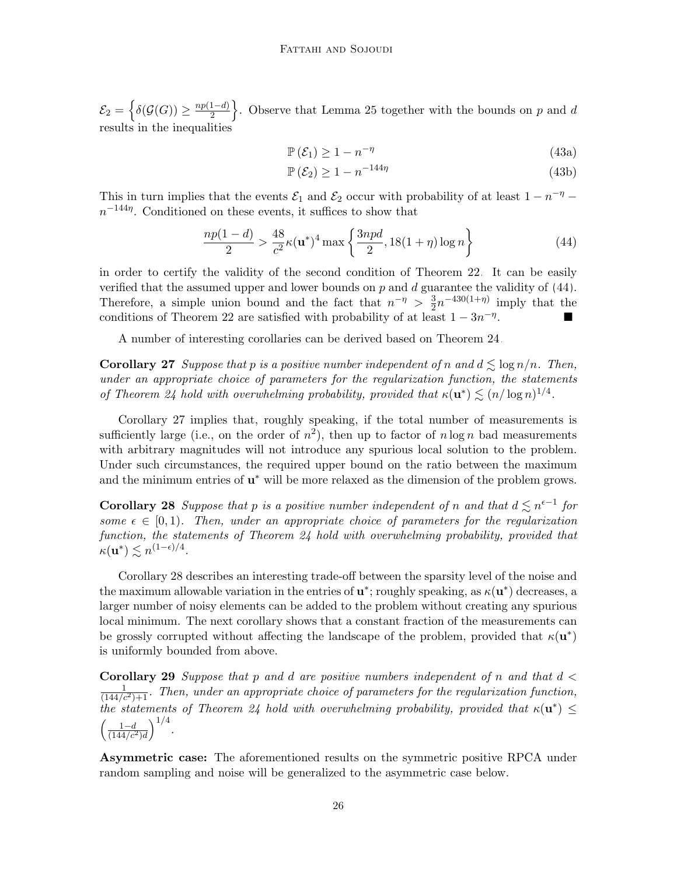$\mathcal{E}_2 = \left\{ \delta(\mathcal{G}(G)) \geq \frac{np(1-d)}{2} \right\}$  $\left\{\frac{1-d}{2}\right\}$ . Observe that Lemma [25](#page-24-1) together with the bounds on p and d results in the inequalities

$$
\mathbb{P}\left(\mathcal{E}_1\right) \ge 1 - n^{-\eta} \tag{43a}
$$

<span id="page-25-0"></span>
$$
\mathbb{P}\left(\mathcal{E}_2\right) \ge 1 - n^{-144\eta} \tag{43b}
$$

This in turn implies that the events  $\mathcal{E}_1$  and  $\mathcal{E}_2$  occur with probability of at least  $1 - n^{-\eta}$  $n^{-144\eta}$ . Conditioned on these events, it suffices to show that

$$
\frac{np(1-d)}{2} > \frac{48}{c^2} \kappa(\mathbf{u}^*)^4 \max\left\{\frac{3npd}{2}, 18(1+\eta)\log n\right\}
$$
(44)

in order to certify the validity of the second condition of Theorem [22.](#page-22-0) It can be easily verified that the assumed upper and lower bounds on  $p$  and  $d$  guarantee the validity of  $(44)$ . Therefore, a simple union bound and the fact that  $n^{-\eta} > \frac{3}{2}$  $\frac{3}{2}n^{-430(1+\eta)}$  imply that the conditions of Theorem [22](#page-22-0) are satisfied with probability of at least  $1 - 3n^{-\eta}$ .

A number of interesting corollaries can be derived based on Theorem [24.](#page-23-0)

<span id="page-25-1"></span>**Corollary 27** Suppose that p is a positive number independent of n and  $d \leq \log n/n$ . Then, under an appropriate choice of parameters for the regularization function, the statements of Theorem [24](#page-23-0) hold with overwhelming probability, provided that  $\kappa(\mathbf{u}^*) \lesssim (n/\log n)^{1/4}$ .

Corollary [27](#page-25-1) implies that, roughly speaking, if the total number of measurements is sufficiently large (i.e., on the order of  $n^2$ ), then up to factor of  $n \log n$  bad measurements with arbitrary magnitudes will not introduce any spurious local solution to the problem. Under such circumstances, the required upper bound on the ratio between the maximum and the minimum entries of  $\mathbf{u}^*$  will be more relaxed as the dimension of the problem grows.

<span id="page-25-2"></span>**Corollary 28** Suppose that p is a positive number independent of n and that  $d \leq n^{\epsilon-1}$  for some  $\epsilon \in [0, 1)$ . Then, under an appropriate choice of parameters for the regularization function, the statements of Theorem [24](#page-23-0) hold with overwhelming probability, provided that  $\kappa(\mathbf{u}^*) \lesssim n^{(1-\epsilon)/4}.$ 

Corollary [28](#page-25-2) describes an interesting trade-off between the sparsity level of the noise and the maximum allowable variation in the entries of  $\mathbf{u}^*$ ; roughly speaking, as  $\kappa(\mathbf{u}^*)$  decreases, a larger number of noisy elements can be added to the problem without creating any spurious local minimum. The next corollary shows that a constant fraction of the measurements can be grossly corrupted without affecting the landscape of the problem, provided that  $\kappa(\mathbf{u}^*)$ is uniformly bounded from above.

**Corollary 29** Suppose that p and d are positive numbers independent of n and that  $d <$  $\frac{1}{(144/c^2)+1}$ . Then, under an appropriate choice of parameters for the regularization function, the statements of Theorem [24](#page-23-0) hold with overwhelming probability, provided that  $\kappa(\mathbf{u}^*) \leq$  $\left(\frac{1-d}{(144/c^2)d}\right)^{1/4}.$ 

<span id="page-25-3"></span>Asymmetric case: The aforementioned results on the symmetric positive RPCA under random sampling and noise will be generalized to the asymmetric case below.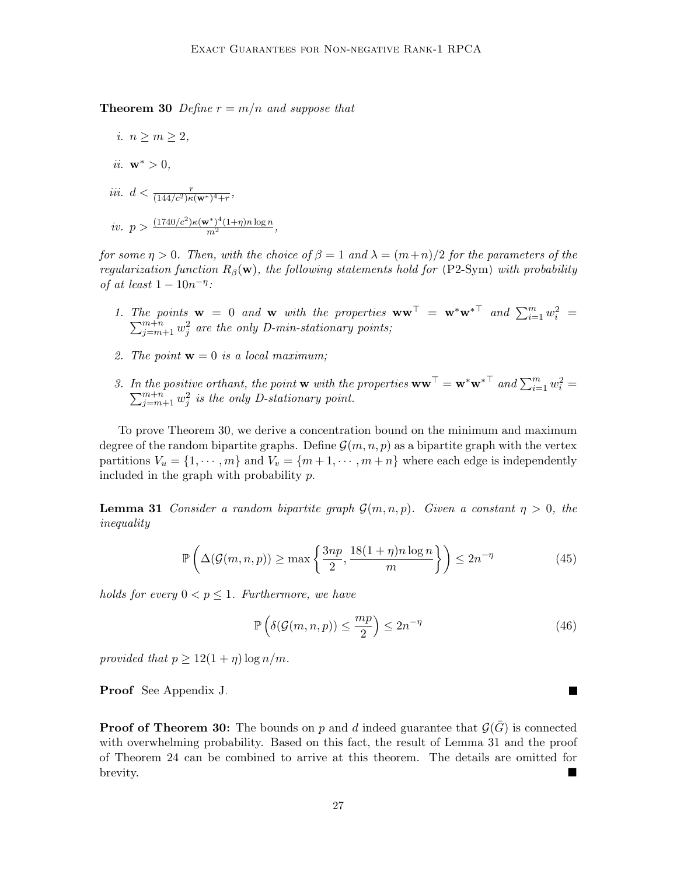**Theorem 30** Define  $r = m/n$  and suppose that

i.  $n \geq m \geq 2$ , ii.  $\mathbf{w}^* > 0$ , iii.  $d < \frac{r}{(144/c^2)\kappa(w^*)^4+r}$ , iv.  $p > \frac{(1740/c^2)\kappa(w^*)^4(1+\eta)n\log n}{m^2}$ ,

for some  $\eta > 0$ . Then, with the choice of  $\beta = 1$  and  $\lambda = (m+n)/2$  for the parameters of the regularization function  $R_\beta(\mathbf{w})$ , the following statements hold for [\(P2-Sym\)](#page-21-0) with probability of at least  $1 - 10n^{-\eta}$ :

- 1. The points  $\mathbf{w} = 0$  and  $\mathbf{w}$  with the properties  $\mathbf{w}\mathbf{w}^{\top} = \mathbf{w}^*\mathbf{w}^{*\top}$  and  $\sum_{i=1}^m w_i^2 =$  $\sum_{j=m+1}^{m+n} w_j^2$  are the only D-min-stationary points;
- 2. The point  $\mathbf{w} = 0$  is a local maximum;
- 3. In the positive orthant, the point **w** with the properties  $\mathbf{w}\mathbf{w}^{\top} = \mathbf{w}^*\mathbf{w}^{*\top}$  and  $\sum_{i=1}^m w_i^2 =$  $\sum_{j=m+1}^{m+n} w_j^2$  is the only D-stationary point.

To prove Theorem [30,](#page-25-3) we derive a concentration bound on the minimum and maximum degree of the random bipartite graphs. Define  $\mathcal{G}(m, n, p)$  as a bipartite graph with the vertex partitions  $V_u = \{1, \dots, m\}$  and  $V_v = \{m+1, \dots, m+n\}$  where each edge is independently included in the graph with probability p.

<span id="page-26-0"></span>**Lemma 31** Consider a random bipartite graph  $\mathcal{G}(m, n, p)$ . Given a constant  $\eta > 0$ , the inequality

$$
\mathbb{P}\left(\Delta(\mathcal{G}(m,n,p)) \ge \max\left\{\frac{3np}{2}, \frac{18(1+\eta)n\log n}{m}\right\}\right) \le 2n^{-\eta}
$$
\n(45)

holds for every  $0 < p \leq 1$ . Furthermore, we have

$$
\mathbb{P}\left(\delta(\mathcal{G}(m,n,p)) \le \frac{mp}{2}\right) \le 2n^{-\eta} \tag{46}
$$

provided that  $p \geq 12(1+\eta) \log n/m$ .

Proof See Appendix [J.](#page-31-0)

**Proof of Theorem [30:](#page-25-3)** The bounds on p and d indeed guarantee that  $\mathcal{G}(\bar{G})$  is connected with overwhelming probability. Based on this fact, the result of Lemma [31](#page-26-0) and the proof of Theorem [24](#page-23-0) can be combined to arrive at this theorem. The details are omitted for brevity.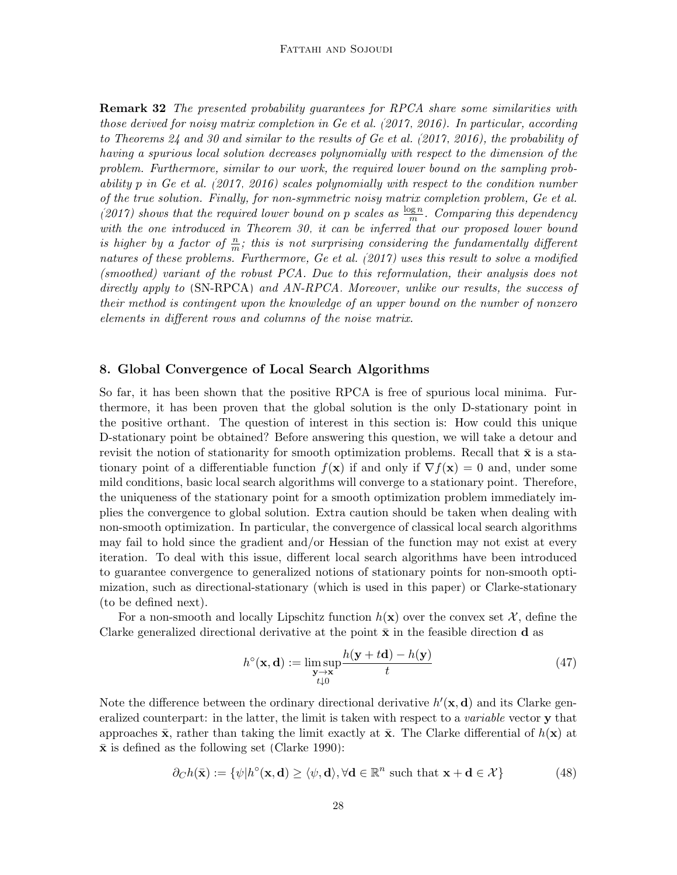**Remark 32** The presented probability guarantees for RPCA share some similarities with those derived for noisy matrix completion in [Ge et al.](#page-33-1) [\(2017,](#page-33-1) [2016\)](#page-33-0). In particular, according to Theorems [24](#page-23-0) and [30](#page-25-3) and similar to the results of [Ge et al.](#page-33-1) [\(2017,](#page-33-1) [2016\)](#page-33-0), the probability of having a spurious local solution decreases polynomially with respect to the dimension of the problem. Furthermore, similar to our work, the required lower bound on the sampling probability p in [Ge et al.](#page-33-1) [\(2017,](#page-33-1) [2016\)](#page-33-0) scales polynomially with respect to the condition number of the true solution. Finally, for non-symmetric noisy matrix completion problem, [Ge et al.](#page-33-1) [\(2017\)](#page-33-1) shows that the required lower bound on p scales as  $\frac{\log n}{m}$ . Comparing this dependency with the one introduced in Theorem [30,](#page-25-3) it can be inferred that our proposed lower bound is higher by a factor of  $\frac{n}{m}$ ; this is not surprising considering the fundamentally different natures of these problems. Furthermore, [Ge et al.](#page-33-1) [\(2017\)](#page-33-1) uses this result to solve a modified (smoothed) variant of the robust PCA. Due to this reformulation, their analysis does not directly apply to [\(SN-RPCA\)](#page-3-0) and [AN-RPCA.](#page-3-0) Moreover, unlike our results, the success of their method is contingent upon the knowledge of an upper bound on the number of nonzero elements in different rows and columns of the noise matrix.

# <span id="page-27-0"></span>8. Global Convergence of Local Search Algorithms

So far, it has been shown that the positive RPCA is free of spurious local minima. Furthermore, it has been proven that the global solution is the only D-stationary point in the positive orthant. The question of interest in this section is: How could this unique D-stationary point be obtained? Before answering this question, we will take a detour and revisit the notion of stationarity for smooth optimization problems. Recall that  $\bar{x}$  is a stationary point of a differentiable function  $f(\mathbf{x})$  if and only if  $\nabla f(\mathbf{x}) = 0$  and, under some mild conditions, basic local search algorithms will converge to a stationary point. Therefore, the uniqueness of the stationary point for a smooth optimization problem immediately implies the convergence to global solution. Extra caution should be taken when dealing with non-smooth optimization. In particular, the convergence of classical local search algorithms may fail to hold since the gradient and/or Hessian of the function may not exist at every iteration. To deal with this issue, different local search algorithms have been introduced to guarantee convergence to generalized notions of stationary points for non-smooth optimization, such as directional-stationary (which is used in this paper) or Clarke-stationary (to be defined next).

For a non-smooth and locally Lipschitz function  $h(\mathbf{x})$  over the convex set X, define the Clarke generalized directional derivative at the point  $\bar{x}$  in the feasible direction d as

$$
h^{\circ}(\mathbf{x}, \mathbf{d}) := \limsup_{\substack{\mathbf{y} \to \mathbf{x} \\ t \downarrow 0}} \frac{h(\mathbf{y} + t\mathbf{d}) - h(\mathbf{y})}{t}
$$
(47)

Note the difference between the ordinary directional derivative  $h'(\mathbf{x}, \mathbf{d})$  and its Clarke generalized counterpart: in the latter, the limit is taken with respect to a *variable* vector **y** that approaches  $\bar{\mathbf{x}}$ , rather than taking the limit exactly at  $\bar{\mathbf{x}}$ . The Clarke differential of  $h(\mathbf{x})$  at  $\bar{x}$  is defined as the following set [\(Clarke 1990\)](#page-33-7):

$$
\partial_C h(\bar{\mathbf{x}}) := \{ \psi | h^{\circ}(\mathbf{x}, \mathbf{d}) \ge \langle \psi, \mathbf{d} \rangle, \forall \mathbf{d} \in \mathbb{R}^n \text{ such that } \mathbf{x} + \mathbf{d} \in \mathcal{X} \}
$$
(48)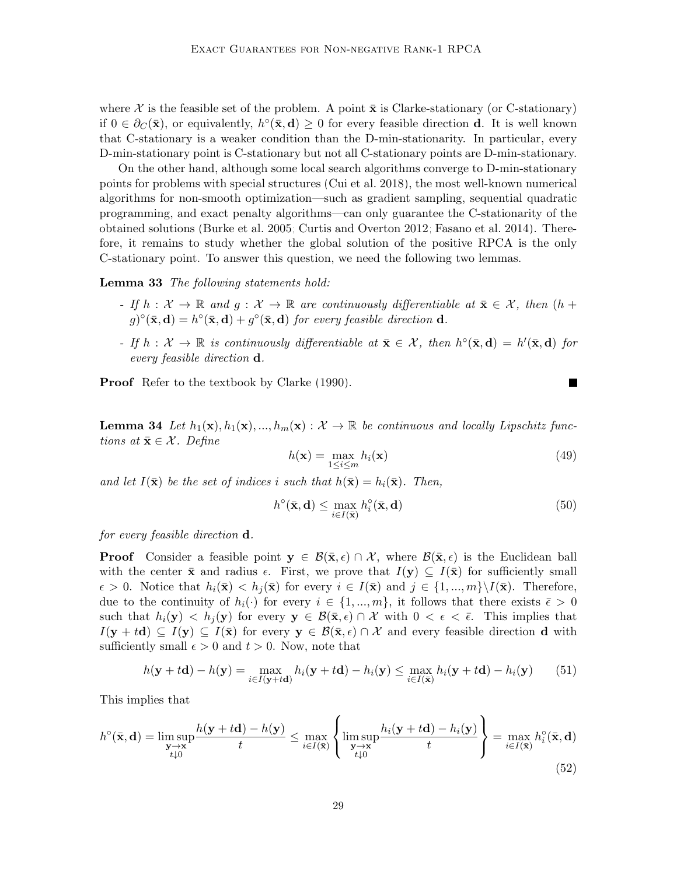where X is the feasible set of the problem. A point  $\bar{\mathbf{x}}$  is Clarke-stationary (or C-stationary) if  $0 \in \partial_C(\bar{\mathbf{x}})$ , or equivalently,  $h^{\circ}(\bar{\mathbf{x}}, \mathbf{d}) \geq 0$  for every feasible direction **d**. It is well known that C-stationary is a weaker condition than the D-min-stationarity. In particular, every D-min-stationary point is C-stationary but not all C-stationary points are D-min-stationary.

On the other hand, although some local search algorithms converge to D-min-stationary points for problems with special structures [\(Cui et al. 2018\)](#page-33-11), the most well-known numerical algorithms for non-smooth optimization—such as gradient sampling, sequential quadratic programming, and exact penalty algorithms—can only guarantee the C-stationarity of the obtained solutions [\(Burke et al. 2005;](#page-32-9) [Curtis and Overton 2012;](#page-33-9) [Fasano et al. 2014\)](#page-33-12). Therefore, it remains to study whether the global solution of the positive RPCA is the only C-stationary point. To answer this question, we need the following two lemmas.

<span id="page-28-0"></span>Lemma 33 The following statements hold:

- If  $h: \mathcal{X} \to \mathbb{R}$  and  $q: \mathcal{X} \to \mathbb{R}$  are continuously differentiable at  $\bar{\mathbf{x}} \in \mathcal{X}$ , then  $(h +$  $(g)^{\circ}(\bar{\mathbf{x}}, \mathbf{d}) = h^{\circ}(\bar{\mathbf{x}}, \mathbf{d}) + g^{\circ}(\bar{\mathbf{x}}, \mathbf{d})$  for every feasible direction **d**.
- If  $h: \mathcal{X} \to \mathbb{R}$  is continuously differentiable at  $\bar{\mathbf{x}} \in \mathcal{X}$ , then  $h^{\circ}(\bar{\mathbf{x}}, \mathbf{d}) = h'(\bar{\mathbf{x}}, \mathbf{d})$  for every feasible direction d.

<span id="page-28-1"></span>Proof Refer to the textbook by [Clarke](#page-33-7) [\(1990\)](#page-33-7).

**Lemma 34** Let  $h_1(\mathbf{x}), h_1(\mathbf{x}), ..., h_m(\mathbf{x}) : \mathcal{X} \to \mathbb{R}$  be continuous and locally Lipschitz functions at  $\bar{\mathbf{x}} \in \mathcal{X}$ . Define

$$
h(\mathbf{x}) = \max_{1 \le i \le m} h_i(\mathbf{x})
$$
\n(49)

ш

and let  $I(\bar{\mathbf{x}})$  be the set of indices i such that  $h(\bar{\mathbf{x}}) = h_i(\bar{\mathbf{x}})$ . Then,

$$
h^{\circ}(\bar{\mathbf{x}}, \mathbf{d}) \le \max_{i \in I(\bar{\mathbf{x}})} h_i^{\circ}(\bar{\mathbf{x}}, \mathbf{d})
$$
(50)

for every feasible direction d.

**Proof** Consider a feasible point  $y \in \mathcal{B}(\bar{x}, \epsilon) \cap \mathcal{X}$ , where  $\mathcal{B}(\bar{x}, \epsilon)$  is the Euclidean ball with the center  $\bar{\mathbf{x}}$  and radius  $\epsilon$ . First, we prove that  $I(\mathbf{y}) \subseteq I(\bar{\mathbf{x}})$  for sufficiently small  $\epsilon > 0$ . Notice that  $h_i(\bar{\mathbf{x}}) < h_i(\bar{\mathbf{x}})$  for every  $i \in I(\bar{\mathbf{x}})$  and  $j \in \{1, ..., m\} \setminus I(\bar{\mathbf{x}})$ . Therefore, due to the continuity of  $h_i(\cdot)$  for every  $i \in \{1, ..., m\}$ , it follows that there exists  $\bar{\epsilon} > 0$ such that  $h_i(\mathbf{y}) < h_i(\mathbf{y})$  for every  $\mathbf{y} \in \mathcal{B}(\bar{\mathbf{x}}, \epsilon) \cap \mathcal{X}$  with  $0 < \epsilon < \bar{\epsilon}$ . This implies that  $I(\mathbf{y} + t\mathbf{d}) \subseteq I(\mathbf{y}) \subseteq I(\bar{\mathbf{x}})$  for every  $\mathbf{y} \in \mathcal{B}(\bar{\mathbf{x}}, \epsilon) \cap \mathcal{X}$  and every feasible direction d with sufficiently small  $\epsilon > 0$  and  $t > 0$ . Now, note that

$$
h(\mathbf{y} + t\mathbf{d}) - h(\mathbf{y}) = \max_{i \in I(\mathbf{y} + t\mathbf{d})} h_i(\mathbf{y} + t\mathbf{d}) - h_i(\mathbf{y}) \le \max_{i \in I(\bar{\mathbf{x}})} h_i(\mathbf{y} + t\mathbf{d}) - h_i(\mathbf{y}) \tag{51}
$$

This implies that

$$
h^{\circ}(\bar{\mathbf{x}}, \mathbf{d}) = \limsup_{\substack{\mathbf{y} \to \mathbf{x} \\ t \downarrow 0}} \frac{h(\mathbf{y} + t\mathbf{d}) - h(\mathbf{y})}{t} \le \max_{i \in I(\bar{\mathbf{x}})} \left\{ \limsup_{\substack{\mathbf{y} \to \mathbf{x} \\ t \downarrow 0}} \frac{h_i(\mathbf{y} + t\mathbf{d}) - h_i(\mathbf{y})}{t} \right\} = \max_{i \in I(\bar{\mathbf{x}})} h_i^{\circ}(\bar{\mathbf{x}}, \mathbf{d})
$$
(52)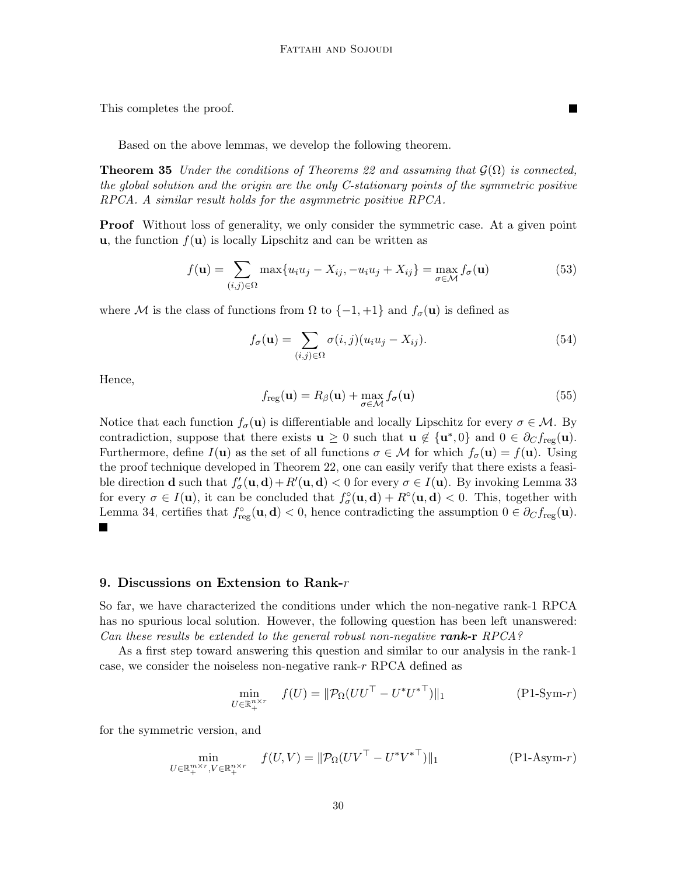This completes the proof.

Based on the above lemmas, we develop the following theorem.

**Theorem 35** Under the conditions of Theorems [22](#page-22-0) and assuming that  $\mathcal{G}(\Omega)$  is connected, the global solution and the origin are the only C-stationary points of the symmetric positive RPCA. A similar result holds for the asymmetric positive RPCA.

**Proof** Without loss of generality, we only consider the symmetric case. At a given point **u**, the function  $f(\mathbf{u})$  is locally Lipschitz and can be written as

$$
f(\mathbf{u}) = \sum_{(i,j)\in\Omega} \max\{u_i u_j - X_{ij}, -u_i u_j + X_{ij}\} = \max_{\sigma \in \mathcal{M}} f_\sigma(\mathbf{u})
$$
(53)

where M is the class of functions from  $\Omega$  to  $\{-1, +1\}$  and  $f_{\sigma}(\mathbf{u})$  is defined as

$$
f_{\sigma}(\mathbf{u}) = \sum_{(i,j)\in\Omega} \sigma(i,j)(u_i u_j - X_{ij}).
$$
\n(54)

 $\blacksquare$ 

Hence,

$$
f_{\text{reg}}(\mathbf{u}) = R_{\beta}(\mathbf{u}) + \max_{\sigma \in \mathcal{M}} f_{\sigma}(\mathbf{u})
$$
\n(55)

Notice that each function  $f_{\sigma}(\mathbf{u})$  is differentiable and locally Lipschitz for every  $\sigma \in \mathcal{M}$ . By contradiction, suppose that there exists  $\mathbf{u} \geq 0$  such that  $\mathbf{u} \notin {\mathbf{u}^*,0}$  and  $0 \in \partial_C f_{\text{reg}}(\mathbf{u})$ . Furthermore, define  $I(\mathbf{u})$  as the set of all functions  $\sigma \in \mathcal{M}$  for which  $f_{\sigma}(\mathbf{u}) = f(\mathbf{u})$ . Using the proof technique developed in Theorem [22,](#page-22-0) one can easily verify that there exists a feasible direction **d** such that  $f'_{\sigma}(\mathbf{u}, \mathbf{d}) + R'(\mathbf{u}, \mathbf{d}) < 0$  for every  $\sigma \in I(\mathbf{u})$ . By invoking Lemma [33](#page-28-0) for every  $\sigma \in I(\mathbf{u})$ , it can be concluded that  $f_{\sigma}^{\circ}(\mathbf{u}, \mathbf{d}) + R^{\circ}(\mathbf{u}, \mathbf{d}) < 0$ . This, together with Lemma [34,](#page-28-1) certifies that  $f_{reg}^{\circ}(\mathbf{u}, \mathbf{d}) < 0$ , hence contradicting the assumption  $0 \in \partial_C f_{reg}(\mathbf{u})$ .

#### <span id="page-29-0"></span>9. Discussions on Extension to Rank- $r$

So far, we have characterized the conditions under which the non-negative rank-1 RPCA has no spurious local solution. However, the following question has been left unanswered: Can these results be extended to the general robust non-negative rank-r  $RPCA$ ?

As a first step toward answering this question and similar to our analysis in the rank-1 case, we consider the noiseless non-negative rank-r RPCA defined as

$$
\min_{U \in \mathbb{R}_+^{n \times r}} f(U) = \|\mathcal{P}_{\Omega}(UU^\top - U^*U^{*\top})\|_1 \tag{P1-Sym-r}
$$

for the symmetric version, and

$$
\min_{U \in \mathbb{R}_+^{m \times r}, V \in \mathbb{R}_+^{n \times r}} f(U, V) = ||\mathcal{P}_{\Omega}(UV^\top - U^*{V^*}^\top)||_1
$$
\n
$$
(P1\text{-}Asym-r)
$$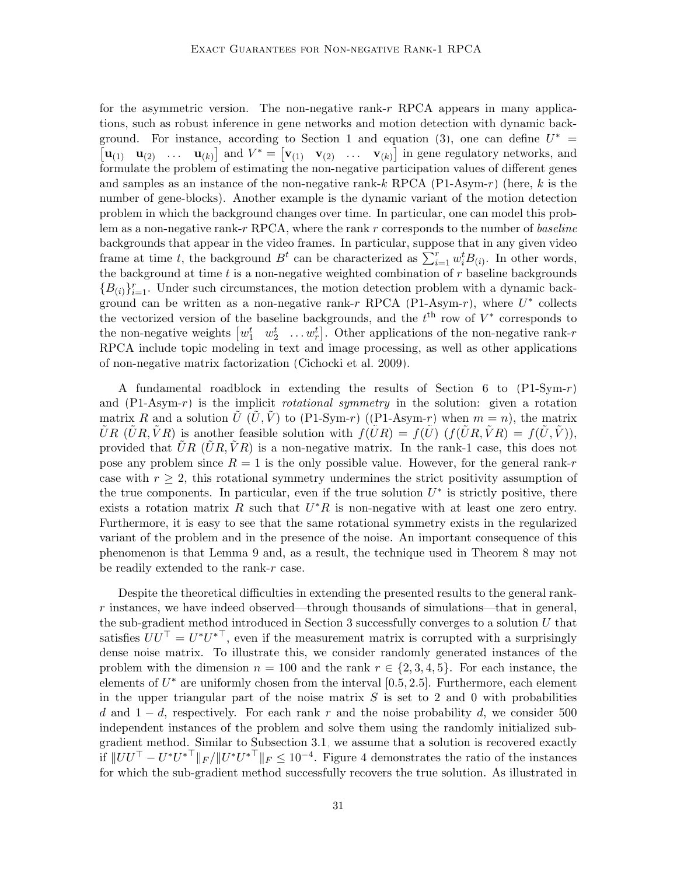for the asymmetric version. The non-negative rank- $r$  RPCA appears in many applications, such as robust inference in gene networks and motion detection with dynamic back-ground. For instance, according to Section [1](#page-0-2) and equation [\(3\)](#page-1-0), one can define  $U^*$  =  $\begin{bmatrix} \mathbf{u}_{(1)} & \mathbf{u}_{(2)} & \dots & \mathbf{u}_{(k)} \end{bmatrix}$  and  $V^* = \begin{bmatrix} \mathbf{v}_{(1)} & \mathbf{v}_{(2)} & \dots & \mathbf{v}_{(k)} \end{bmatrix}$  in gene regulatory networks, and formulate the problem of estimating the non-negative participation values of different genes and samples as an instance of the non-negative rank-k RPCA [\(P1-Asym-](#page-29-0)r) (here, k is the number of gene-blocks). Another example is the dynamic variant of the motion detection problem in which the background changes over time. In particular, one can model this problem as a non-negative rank-r RPCA, where the rank r corresponds to the number of baseline backgrounds that appear in the video frames. In particular, suppose that in any given video frame at time t, the background  $B^t$  can be characterized as  $\sum_{i=1}^r w_i^t B_{(i)}$ . In other words, the background at time  $t$  is a non-negative weighted combination of  $r$  baseline backgrounds  ${B_{(i)}}_{i=1}^r$ . Under such circumstances, the motion detection problem with a dynamic back-ground can be written as a non-negative rank-r RPCA [\(P1-Asym-](#page-29-0)r), where  $U^*$  collects the vectorized version of the baseline backgrounds, and the  $t<sup>th</sup>$  row of  $V^*$  corresponds to the non-negative weights  $\begin{bmatrix} w_1^t & w_2^t & \dots w_r^t \end{bmatrix}$ . Other applications of the non-negative rank-r RPCA include topic modeling in text and image processing, as well as other applications of non-negative matrix factorization [\(Cichocki et al. 2009\)](#page-33-13).

A fundamental roadblock in extending the results of Section [6](#page-13-0) to  $(P1-Sym-r)$  $(P1-Sym-r)$ and  $(P1-Asym-r)$  $(P1-Asym-r)$  is the implicit *rotational symmetry* in the solution: given a rotation matrix R and a solution  $U (U, V)$  to  $(P1-Sym-r)$  $(P1-Sym-r)$  ( $(P1-Sym-r)$ ) when  $m = n$ ), the matrix  $\tilde{U}R(\tilde{U}R, \tilde{V}R)$  is another feasible solution with  $f(\tilde{U}R) = f(\tilde{U}) (f(\tilde{U}R, \tilde{V}R) = f(\tilde{U}, \tilde{V}))$ , provided that  $\hat{U}R(\hat{U}R,\hat{V}R)$  is a non-negative matrix. In the rank-1 case, this does not pose any problem since  $R = 1$  is the only possible value. However, for the general rank-r case with  $r \geq 2$ , this rotational symmetry undermines the strict positivity assumption of the true components. In particular, even if the true solution  $U^*$  is strictly positive, there exists a rotation matrix R such that  $U^*R$  is non-negative with at least one zero entry. Furthermore, it is easy to see that the same rotational symmetry exists in the regularized variant of the problem and in the presence of the noise. An important consequence of this phenomenon is that Lemma [9](#page-14-1) and, as a result, the technique used in Theorem [8](#page-14-0) may not be readily extended to the rank-r case.

Despite the theoretical difficulties in extending the presented results to the general rank $r$  instances, we have indeed observed—through thousands of simulations—that in general, the sub-gradient method introduced in Section [3](#page-6-1) successfully converges to a solution  $U$  that satisfies  $UU^{\top} = U^*U^{*\top}$ , even if the measurement matrix is corrupted with a surprisingly dense noise matrix. To illustrate this, we consider randomly generated instances of the problem with the dimension  $n = 100$  and the rank  $r \in \{2, 3, 4, 5\}$ . For each instance, the elements of  $U^*$  are uniformly chosen from the interval [0.5, 2.5]. Furthermore, each element in the upper triangular part of the noise matrix  $S$  is set to 2 and 0 with probabilities d and  $1-d$ , respectively. For each rank r and the noise probability d, we consider 500 independent instances of the problem and solve them using the randomly initialized subgradient method. Similar to Subsection [3.1,](#page-6-2) we assume that a solution is recovered exactly if  $||UU^{\top} - U^*U^{*^{\top}}||_F / ||U^*U^{*^{\top}}||_F \le 10^{-4}$ . Figure [4](#page-31-1) demonstrates the ratio of the instances for which the sub-gradient method successfully recovers the true solution. As illustrated in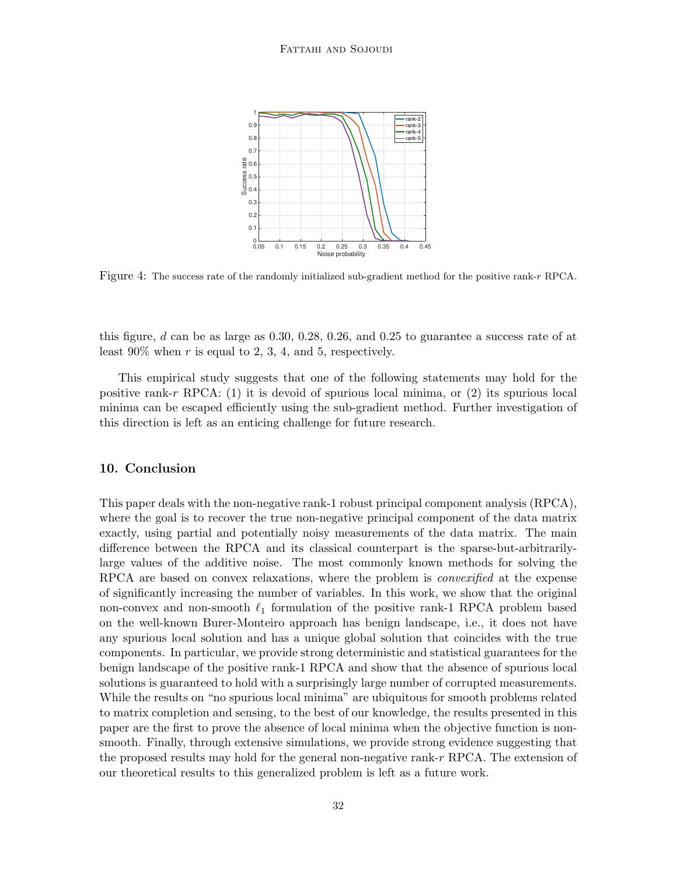<span id="page-31-1"></span>

Figure 4: The success rate of the randomly initialized sub-gradient method for the positive rank-r RPCA.

this figure, d can be as large as  $0.30, 0.28, 0.26,$  and  $0.25$  to guarantee a success rate of at least  $90\%$  when r is equal to 2, 3, 4, and 5, respectively.

This empirical study suggests that one of the following statements may hold for the positive rank-r RPCA: (1) it is devoid of spurious local minima, or (2) its spurious local minima can be escaped efficiently using the sub-gradient method. Further investigation of this direction is left as an enticing challenge for future research.

#### <span id="page-31-0"></span>10. Conclusion

This paper deals with the non-negative rank-1 robust principal component analysis (RPCA), where the goal is to recover the true non-negative principal component of the data matrix exactly, using partial and potentially noisy measurements of the data matrix. The main difference between the RPCA and its classical counterpart is the sparse-but-arbitrarilylarge values of the additive noise. The most commonly known methods for solving the RPCA are based on convex relaxations, where the problem is *convexified* at the expense of significantly increasing the number of variables. In this work, we show that the original non-convex and non-smooth  $\ell_1$  formulation of the positive rank-1 RPCA problem based on the well-known Burer-Monteiro approach has benign landscape, i.e., it does not have any spurious local solution and has a unique global solution that coincides with the true components. In particular, we provide strong deterministic and statistical guarantees for the benign landscape of the positive rank-1 RPCA and show that the absence of spurious local solutions is guaranteed to hold with a surprisingly large number of corrupted measurements. While the results on "no spurious local minima" are ubiquitous for smooth problems related to matrix completion and sensing, to the best of our knowledge, the results presented in this paper are the first to prove the absence of local minima when the objective function is nonsmooth. Finally, through extensive simulations, we provide strong evidence suggesting that the proposed results may hold for the general non-negative rank- $r$  RPCA. The extension of our theoretical results to this generalized problem is left as a future work.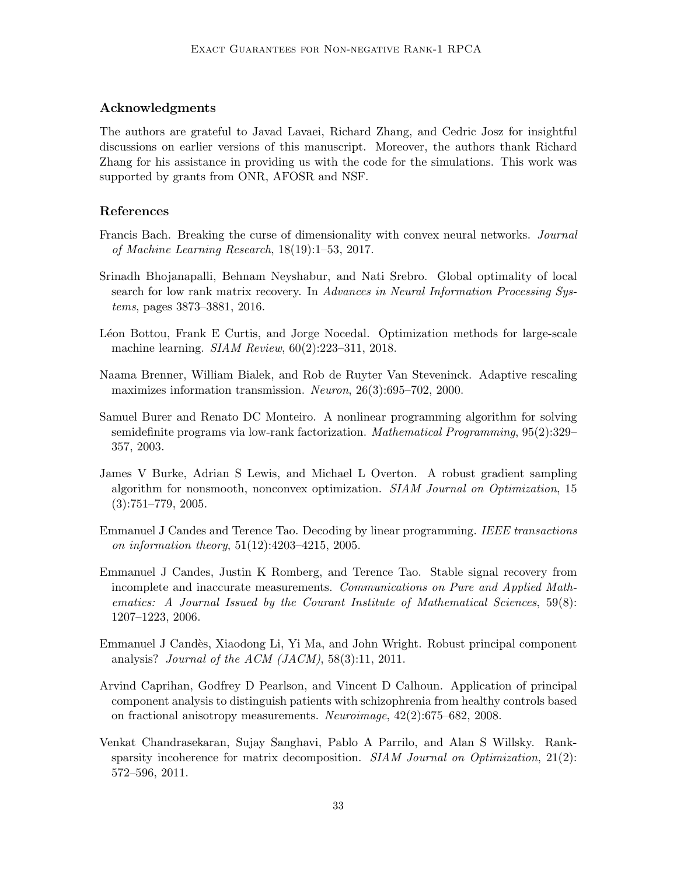# Acknowledgments

The authors are grateful to Javad Lavaei, Richard Zhang, and Cedric Josz for insightful discussions on earlier versions of this manuscript. Moreover, the authors thank Richard Zhang for his assistance in providing us with the code for the simulations. This work was supported by grants from ONR, AFOSR and NSF.

# References

- <span id="page-32-7"></span>Francis Bach. Breaking the curse of dimensionality with convex neural networks. *Journal* of Machine Learning Research, 18(19):1–53, 2017.
- <span id="page-32-4"></span>Srinadh Bhojanapalli, Behnam Neyshabur, and Nati Srebro. Global optimality of local search for low rank matrix recovery. In Advances in Neural Information Processing Systems, pages 3873–3881, 2016.
- <span id="page-32-5"></span>Léon Bottou, Frank E Curtis, and Jorge Nocedal. Optimization methods for large-scale machine learning. SIAM Review, 60(2):223–311, 2018.
- <span id="page-32-1"></span>Naama Brenner, William Bialek, and Rob de Ruyter Van Steveninck. Adaptive rescaling maximizes information transmission. Neuron, 26(3):695–702, 2000.
- <span id="page-32-3"></span>Samuel Burer and Renato DC Monteiro. A nonlinear programming algorithm for solving semidefinite programs via low-rank factorization. Mathematical Programming, 95(2):329– 357, 2003.
- <span id="page-32-9"></span>James V Burke, Adrian S Lewis, and Michael L Overton. A robust gradient sampling algorithm for nonsmooth, nonconvex optimization. SIAM Journal on Optimization, 15 (3):751–779, 2005.
- <span id="page-32-8"></span>Emmanuel J Candes and Terence Tao. Decoding by linear programming. IEEE transactions on information theory, 51(12):4203–4215, 2005.
- <span id="page-32-6"></span>Emmanuel J Candes, Justin K Romberg, and Terence Tao. Stable signal recovery from incomplete and inaccurate measurements. Communications on Pure and Applied Mathematics: A Journal Issued by the Courant Institute of Mathematical Sciences, 59(8): 1207–1223, 2006.
- <span id="page-32-2"></span>Emmanuel J Cand`es, Xiaodong Li, Yi Ma, and John Wright. Robust principal component analysis? Journal of the ACM  $(JACM)$ , 58(3):11, 2011.
- <span id="page-32-0"></span>Arvind Caprihan, Godfrey D Pearlson, and Vincent D Calhoun. Application of principal component analysis to distinguish patients with schizophrenia from healthy controls based on fractional anisotropy measurements. Neuroimage, 42(2):675–682, 2008.
- <span id="page-32-10"></span>Venkat Chandrasekaran, Sujay Sanghavi, Pablo A Parrilo, and Alan S Willsky. Ranksparsity incoherence for matrix decomposition.  $SIAM$  Journal on Optimization, 21(2): 572–596, 2011.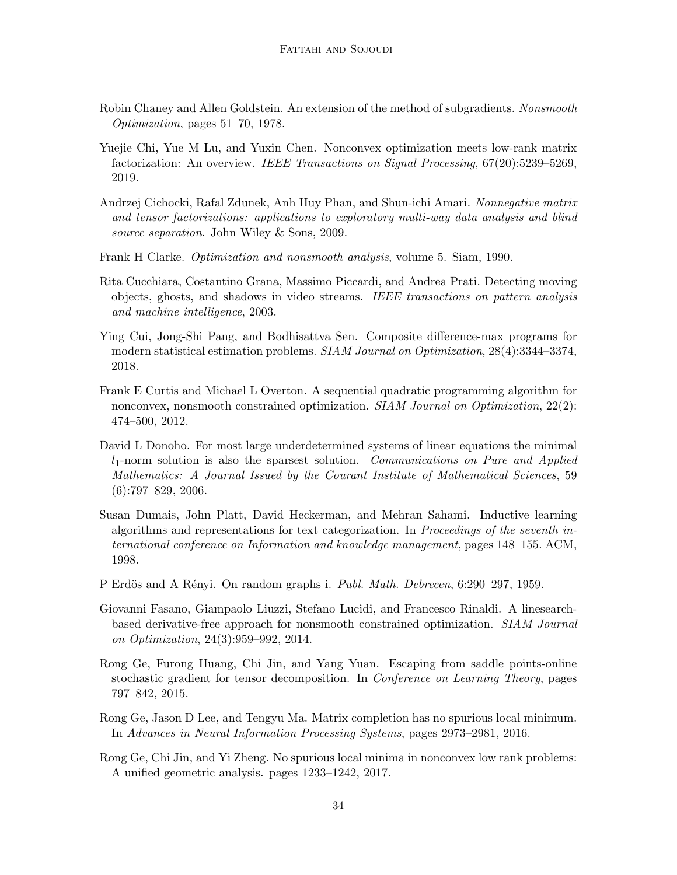- <span id="page-33-8"></span>Robin Chaney and Allen Goldstein. An extension of the method of subgradients. Nonsmooth Optimization, pages 51–70, 1978.
- <span id="page-33-5"></span>Yuejie Chi, Yue M Lu, and Yuxin Chen. Nonconvex optimization meets low-rank matrix factorization: An overview. IEEE Transactions on Signal Processing, 67(20):5239–5269, 2019.
- <span id="page-33-13"></span>Andrzej Cichocki, Rafal Zdunek, Anh Huy Phan, and Shun-ichi Amari. Nonnegative matrix and tensor factorizations: applications to exploratory multi-way data analysis and blind source separation. John Wiley & Sons, 2009.
- <span id="page-33-7"></span>Frank H Clarke. Optimization and nonsmooth analysis, volume 5. Siam, 1990.
- <span id="page-33-2"></span>Rita Cucchiara, Costantino Grana, Massimo Piccardi, and Andrea Prati. Detecting moving objects, ghosts, and shadows in video streams. IEEE transactions on pattern analysis and machine intelligence, 2003.
- <span id="page-33-11"></span>Ying Cui, Jong-Shi Pang, and Bodhisattva Sen. Composite difference-max programs for modern statistical estimation problems. SIAM Journal on Optimization, 28(4):3344–3374, 2018.
- <span id="page-33-9"></span>Frank E Curtis and Michael L Overton. A sequential quadratic programming algorithm for nonconvex, nonsmooth constrained optimization. SIAM Journal on Optimization, 22(2): 474–500, 2012.
- <span id="page-33-4"></span>David L Donoho. For most large underdetermined systems of linear equations the minimal  $l_1$ -norm solution is also the sparsest solution. Communications on Pure and Applied Mathematics: A Journal Issued by the Courant Institute of Mathematical Sciences, 59  $(6):797-829, 2006.$
- <span id="page-33-3"></span>Susan Dumais, John Platt, David Heckerman, and Mehran Sahami. Inductive learning algorithms and representations for text categorization. In Proceedings of the seventh international conference on Information and knowledge management, pages 148–155. ACM, 1998.
- <span id="page-33-10"></span>P Erdös and A Rényi. On random graphs i. Publ. Math. Debrecen, 6:290–297, 1959.
- <span id="page-33-12"></span>Giovanni Fasano, Giampaolo Liuzzi, Stefano Lucidi, and Francesco Rinaldi. A linesearchbased derivative-free approach for nonsmooth constrained optimization. SIAM Journal on Optimization, 24(3):959–992, 2014.
- <span id="page-33-6"></span>Rong Ge, Furong Huang, Chi Jin, and Yang Yuan. Escaping from saddle points-online stochastic gradient for tensor decomposition. In Conference on Learning Theory, pages 797–842, 2015.
- <span id="page-33-0"></span>Rong Ge, Jason D Lee, and Tengyu Ma. Matrix completion has no spurious local minimum. In Advances in Neural Information Processing Systems, pages 2973–2981, 2016.
- <span id="page-33-1"></span>Rong Ge, Chi Jin, and Yi Zheng. No spurious local minima in nonconvex low rank problems: A unified geometric analysis. pages 1233–1242, 2017.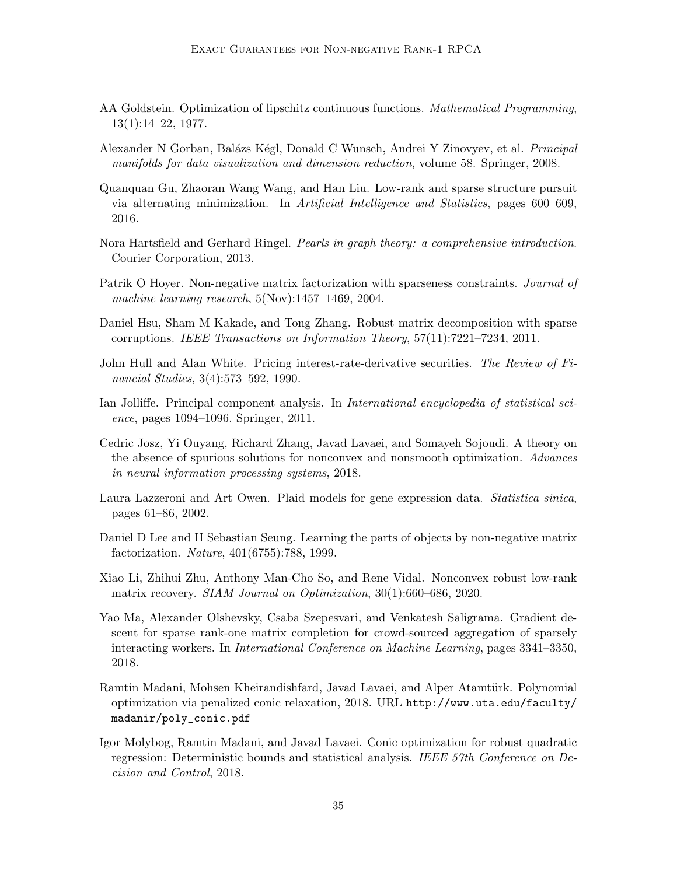- <span id="page-34-10"></span>AA Goldstein. Optimization of lipschitz continuous functions. Mathematical Programming,  $13(1):14-22, 1977.$
- <span id="page-34-2"></span>Alexander N Gorban, Balázs Kégl, Donald C Wunsch, Andrei Y Zinovyev, et al. *Principal* manifolds for data visualization and dimension reduction, volume 58. Springer, 2008.
- <span id="page-34-13"></span>Quanquan Gu, Zhaoran Wang Wang, and Han Liu. Low-rank and sparse structure pursuit via alternating minimization. In Artificial Intelligence and Statistics, pages 600–609, 2016.
- <span id="page-34-14"></span>Nora Hartsfield and Gerhard Ringel. Pearls in graph theory: a comprehensive introduction. Courier Corporation, 2013.
- <span id="page-34-11"></span>Patrik O Hoyer. Non-negative matrix factorization with sparseness constraints. *Journal of* machine learning research, 5(Nov):1457–1469, 2004.
- <span id="page-34-12"></span>Daniel Hsu, Sham M Kakade, and Tong Zhang. Robust matrix decomposition with sparse corruptions. IEEE Transactions on Information Theory, 57(11):7221–7234, 2011.
- <span id="page-34-1"></span>John Hull and Alan White. Pricing interest-rate-derivative securities. The Review of Financial Studies, 3(4):573–592, 1990.
- <span id="page-34-0"></span>Ian Jolliffe. Principal component analysis. In *International encyclopedia of statistical sci*ence, pages 1094–1096. Springer, 2011.
- <span id="page-34-8"></span>Cedric Josz, Yi Ouyang, Richard Zhang, Javad Lavaei, and Somayeh Sojoudi. A theory on the absence of spurious solutions for nonconvex and nonsmooth optimization. Advances in neural information processing systems, 2018.
- <span id="page-34-4"></span>Laura Lazzeroni and Art Owen. Plaid models for gene expression data. Statistica sinica, pages 61–86, 2002.
- <span id="page-34-3"></span>Daniel D Lee and H Sebastian Seung. Learning the parts of objects by non-negative matrix factorization. Nature, 401(6755):788, 1999.
- <span id="page-34-5"></span>Xiao Li, Zhihui Zhu, Anthony Man-Cho So, and Rene Vidal. Nonconvex robust low-rank matrix recovery. *SIAM Journal on Optimization*,  $30(1)$ :660–686, 2020.
- <span id="page-34-9"></span>Yao Ma, Alexander Olshevsky, Csaba Szepesvari, and Venkatesh Saligrama. Gradient descent for sparse rank-one matrix completion for crowd-sourced aggregation of sparsely interacting workers. In International Conference on Machine Learning, pages 3341–3350, 2018.
- <span id="page-34-7"></span>Ramtin Madani, Mohsen Kheirandishfard, Javad Lavaei, and Alper Atamtürk. Polynomial optimization via penalized conic relaxation, 2018. URL [http://www.uta.edu/faculty/](http://www.uta.edu/faculty/madanir/poly_conic.pdf) [madanir/poly\\_conic.pdf](http://www.uta.edu/faculty/madanir/poly_conic.pdf).
- <span id="page-34-6"></span>Igor Molybog, Ramtin Madani, and Javad Lavaei. Conic optimization for robust quadratic regression: Deterministic bounds and statistical analysis. IEEE 57th Conference on Decision and Control, 2018.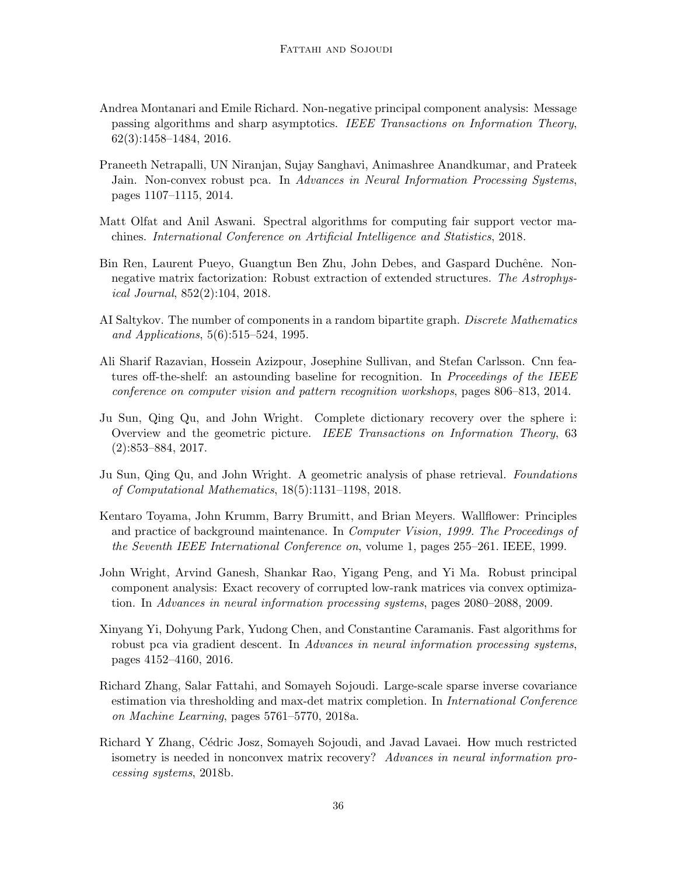- <span id="page-35-0"></span>Andrea Montanari and Emile Richard. Non-negative principal component analysis: Message passing algorithms and sharp asymptotics. IEEE Transactions on Information Theory, 62(3):1458–1484, 2016.
- <span id="page-35-9"></span>Praneeth Netrapalli, UN Niranjan, Sujay Sanghavi, Animashree Anandkumar, and Prateek Jain. Non-convex robust pca. In Advances in Neural Information Processing Systems, pages 1107–1115, 2014.
- <span id="page-35-5"></span>Matt Olfat and Anil Aswani. Spectral algorithms for computing fair support vector machines. International Conference on Artificial Intelligence and Statistics, 2018.
- <span id="page-35-1"></span>Bin Ren, Laurent Pueyo, Guangtun Ben Zhu, John Debes, and Gaspard Duchêne. Nonnegative matrix factorization: Robust extraction of extended structures. The Astrophysical Journal, 852(2):104, 2018.
- <span id="page-35-12"></span>AI Saltykov. The number of components in a random bipartite graph. Discrete Mathematics and Applications, 5(6):515–524, 1995.
- <span id="page-35-3"></span>Ali Sharif Razavian, Hossein Azizpour, Josephine Sullivan, and Stefan Carlsson. Cnn features off-the-shelf: an astounding baseline for recognition. In *Proceedings of the IEEE* conference on computer vision and pattern recognition workshops, pages 806–813, 2014.
- <span id="page-35-7"></span>Ju Sun, Qing Qu, and John Wright. Complete dictionary recovery over the sphere i: Overview and the geometric picture. IEEE Transactions on Information Theory, 63 (2):853–884, 2017.
- <span id="page-35-6"></span>Ju Sun, Qing Qu, and John Wright. A geometric analysis of phase retrieval. Foundations of Computational Mathematics, 18(5):1131–1198, 2018.
- <span id="page-35-2"></span>Kentaro Toyama, John Krumm, Barry Brumitt, and Brian Meyers. Wallflower: Principles and practice of background maintenance. In Computer Vision, 1999. The Proceedings of the Seventh IEEE International Conference on, volume 1, pages 255–261. IEEE, 1999.
- <span id="page-35-11"></span>John Wright, Arvind Ganesh, Shankar Rao, Yigang Peng, and Yi Ma. Robust principal component analysis: Exact recovery of corrupted low-rank matrices via convex optimization. In Advances in neural information processing systems, pages 2080–2088, 2009.
- <span id="page-35-10"></span>Xinyang Yi, Dohyung Park, Yudong Chen, and Constantine Caramanis. Fast algorithms for robust pca via gradient descent. In Advances in neural information processing systems, pages 4152–4160, 2016.
- <span id="page-35-4"></span>Richard Zhang, Salar Fattahi, and Somayeh Sojoudi. Large-scale sparse inverse covariance estimation via thresholding and max-det matrix completion. In International Conference on Machine Learning, pages 5761–5770, 2018a.
- <span id="page-35-8"></span>Richard Y Zhang, C´edric Josz, Somayeh Sojoudi, and Javad Lavaei. How much restricted isometry is needed in nonconvex matrix recovery? Advances in neural information processing systems, 2018b.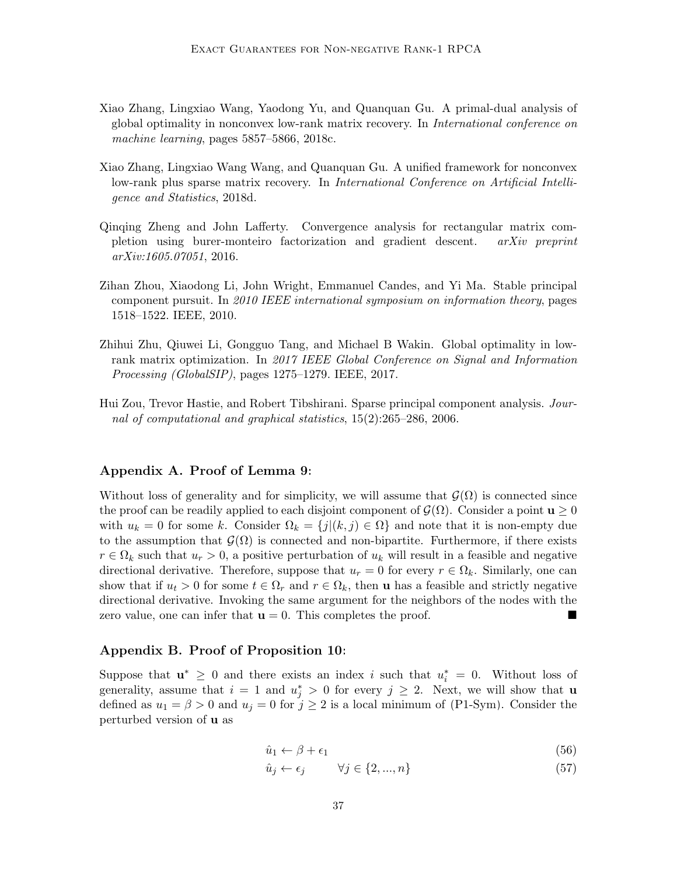- <span id="page-36-2"></span>Xiao Zhang, Lingxiao Wang, Yaodong Yu, and Quanquan Gu. A primal-dual analysis of global optimality in nonconvex low-rank matrix recovery. In International conference on machine learning, pages 5857–5866, 2018c.
- <span id="page-36-4"></span>Xiao Zhang, Lingxiao Wang Wang, and Quanquan Gu. A unified framework for nonconvex low-rank plus sparse matrix recovery. In *International Conference on Artificial Intelli*gence and Statistics, 2018d.
- <span id="page-36-5"></span>Qinqing Zheng and John Lafferty. Convergence analysis for rectangular matrix completion using burer-monteiro factorization and gradient descent. arXiv preprint arXiv:1605.07051, 2016.
- <span id="page-36-3"></span>Zihan Zhou, Xiaodong Li, John Wright, Emmanuel Candes, and Yi Ma. Stable principal component pursuit. In 2010 IEEE international symposium on information theory, pages 1518–1522. IEEE, 2010.
- <span id="page-36-1"></span>Zhihui Zhu, Qiuwei Li, Gongguo Tang, and Michael B Wakin. Global optimality in lowrank matrix optimization. In 2017 IEEE Global Conference on Signal and Information Processing (GlobalSIP), pages 1275–1279. IEEE, 2017.
- <span id="page-36-0"></span>Hui Zou, Trevor Hastie, and Robert Tibshirani. Sparse principal component analysis. Journal of computational and graphical statistics, 15(2):265–286, 2006.

# Appendix A. Proof of Lemma [9:](#page-14-1)

Without loss of generality and for simplicity, we will assume that  $\mathcal{G}(\Omega)$  is connected since the proof can be readily applied to each disjoint component of  $\mathcal{G}(\Omega)$ . Consider a point  $\mathbf{u} \geq 0$ with  $u_k = 0$  for some k. Consider  $\Omega_k = \{j | (k, j) \in \Omega\}$  and note that it is non-empty due to the assumption that  $\mathcal{G}(\Omega)$  is connected and non-bipartite. Furthermore, if there exists  $r \in \Omega_k$  such that  $u_r > 0$ , a positive perturbation of  $u_k$  will result in a feasible and negative directional derivative. Therefore, suppose that  $u_r = 0$  for every  $r \in \Omega_k$ . Similarly, one can show that if  $u_t > 0$  for some  $t \in \Omega_r$  and  $r \in \Omega_k$ , then **u** has a feasible and strictly negative directional derivative. Invoking the same argument for the neighbors of the nodes with the zero value, one can infer that  $\mathbf{u} = 0$ . This completes the proof.

# Appendix B. Proof of Proposition [10:](#page-16-1)

Suppose that  $\mathbf{u}^* \geq 0$  and there exists an index i such that  $u_i^* = 0$ . Without loss of generality, assume that  $i = 1$  and  $u_j^* > 0$  for every  $j \geq 2$ . Next, we will show that **u** defined as  $u_1 = \beta > 0$  and  $u_j = 0$  for  $j \ge 2$  is a local minimum of [\(P1-Sym\)](#page-13-1). Consider the perturbed version of u as

$$
\hat{u}_1 \leftarrow \beta + \epsilon_1 \tag{56}
$$

$$
\hat{u}_j \leftarrow \epsilon_j \qquad \forall j \in \{2, ..., n\} \tag{57}
$$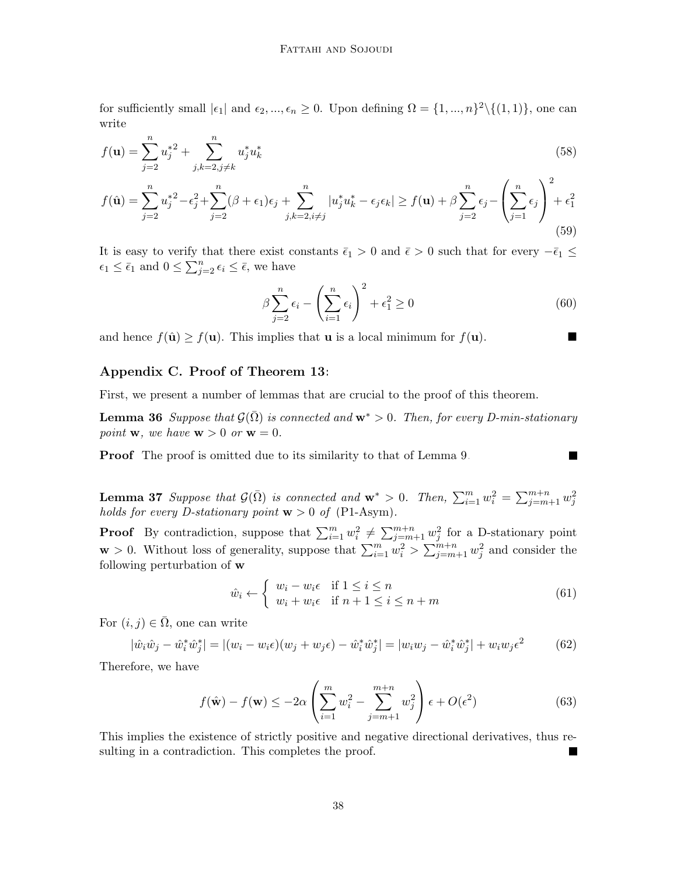for sufficiently small  $|\epsilon_1|$  and  $\epsilon_2, ..., \epsilon_n \geq 0$ . Upon defining  $\Omega = \{1, ..., n\}^2 \setminus \{(1, 1)\}$ , one can write

$$
f(\mathbf{u}) = \sum_{j=2}^{n} u_j^{*2} + \sum_{j,k=2,j\neq k}^{n} u_j^* u_k^*
$$
 (58)

$$
f(\hat{\mathbf{u}}) = \sum_{j=2}^{n} u_j^{*2} - \epsilon_j^2 + \sum_{j=2}^{n} (\beta + \epsilon_1) \epsilon_j + \sum_{j,k=2, i \neq j}^{n} |u_j^* u_k^* - \epsilon_j \epsilon_k| \ge f(\mathbf{u}) + \beta \sum_{j=2}^{n} \epsilon_j - \left(\sum_{j=1}^{n} \epsilon_j\right)^2 + \epsilon_1^2
$$
\n(59)

It is easy to verify that there exist constants  $\bar{\epsilon}_1 > 0$  and  $\bar{\epsilon} > 0$  such that for every  $-\bar{\epsilon}_1 \leq$  $\epsilon_1 \leq \bar{\epsilon}_1$  and  $0 \leq \sum_{j=2}^n \epsilon_j \leq \bar{\epsilon}$ , we have

$$
\beta \sum_{j=2}^{n} \epsilon_i - \left(\sum_{i=1}^{n} \epsilon_i\right)^2 + \epsilon_1^2 \ge 0
$$
\n(60)

П

and hence  $f(\hat{\mathbf{u}}) \ge f(\mathbf{u})$ . This implies that **u** is a local minimum for  $f(\mathbf{u})$ .

# Appendix C. Proof of Theorem [13:](#page-17-0)

<span id="page-37-0"></span>First, we present a number of lemmas that are crucial to the proof of this theorem.

**Lemma 36** Suppose that  $\mathcal{G}(\Omega)$  is connected and  $\mathbf{w}^* > 0$ . Then, for every D-min-stationary point **w**, we have  $\mathbf{w} > 0$  or  $\mathbf{w} = 0$ .

<span id="page-37-1"></span>**Proof** The proof is omitted due to its similarity to that of Lemma [9.](#page-14-1)

**Lemma 37** Suppose that  $\mathcal{G}(\bar{\Omega})$  is connected and  $\mathbf{w}^* > 0$ . Then,  $\sum_{i=1}^{m} w_i^2 = \sum_{j=m+1}^{m+n} w_j^2$ holds for every D-stationary point  $w > 0$  of [\(P1-Asym\)](#page-13-2).

**Proof** By contradiction, suppose that  $\sum_{i=1}^{m} w_i^2 \neq \sum_{j=m+1}^{m+n} w_j^2$  for a D-stationary point  $\mathbf{w} > 0$ . Without loss of generality, suppose that  $\sum_{i=1}^{m} w_i^2 > \sum_{j=m+1}^{m+n} w_j^2$  and consider the following perturbation of w

$$
\hat{w}_i \leftarrow \begin{cases} w_i - w_i \epsilon & \text{if } 1 \le i \le n \\ w_i + w_i \epsilon & \text{if } n+1 \le i \le n+m \end{cases} \tag{61}
$$

For  $(i, j) \in \overline{\Omega}$ , one can write

$$
|\hat{w}_i \hat{w}_j - \hat{w}_i^* \hat{w}_j^*| = |(w_i - w_i \epsilon)(w_j + w_j \epsilon) - \hat{w}_i^* \hat{w}_j^*| = |w_i w_j - \hat{w}_i^* \hat{w}_j^*| + w_i w_j \epsilon^2
$$
(62)

Therefore, we have

$$
f(\hat{\mathbf{w}}) - f(\mathbf{w}) \le -2\alpha \left( \sum_{i=1}^{m} w_i^2 - \sum_{j=m+1}^{m+n} w_j^2 \right) \epsilon + O(\epsilon^2)
$$
 (63)

<span id="page-37-2"></span>This implies the existence of strictly positive and negative directional derivatives, thus resulting in a contradiction. This completes the proof.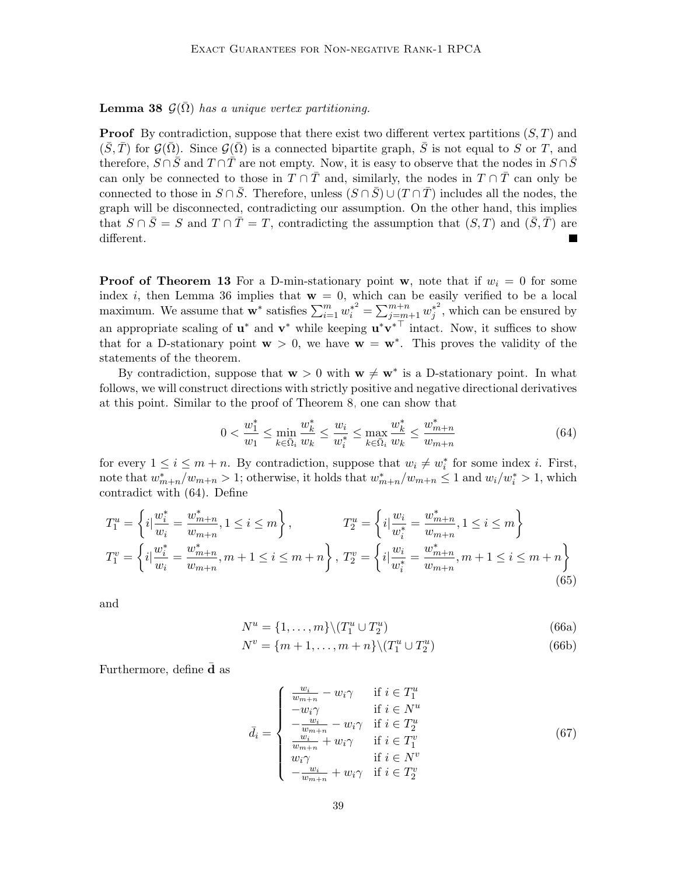**Lemma 38**  $\mathcal{G}(\bar{\Omega})$  has a unique vertex partitioning.

**Proof** By contradiction, suppose that there exist two different vertex partitions  $(S, T)$  and  $(\bar{S}, \bar{T})$  for  $\mathcal{G}(\bar{\Omega})$ . Since  $\mathcal{G}(\bar{\Omega})$  is a connected bipartite graph,  $\bar{S}$  is not equal to S or T, and therefore,  $S \cap \overline{S}$  and  $T \cap \overline{T}$  are not empty. Now, it is easy to observe that the nodes in  $S \cap \overline{S}$ can only be connected to those in  $T \cap \overline{T}$  and, similarly, the nodes in  $T \cap \overline{T}$  can only be connected to those in  $S \cap \overline{S}$ . Therefore, unless  $(S \cap \overline{S}) \cup (T \cap \overline{T})$  includes all the nodes, the graph will be disconnected, contradicting our assumption. On the other hand, this implies that  $S \cap \overline{S} = S$  and  $T \cap \overline{T} = T$ , contradicting the assumption that  $(S, T)$  and  $(\overline{S}, \overline{T})$  are different.

**Proof of Theorem [13](#page-17-0)** For a D-min-stationary point w, note that if  $w_i = 0$  for some index i, then Lemma [36](#page-37-0) implies that  $w = 0$ , which can be easily verified to be a local maximum. We assume that  $\mathbf{w}^*$  satisfies  $\sum_{i=1}^m w_i^{*^2} = \sum_{j=m+1}^{m+n} w_j^{*^2}$  $j^*$ , which can be ensured by an appropriate scaling of  $\mathbf{u}^*$  and  $\mathbf{v}^*$  while keeping  $\mathbf{u}^*\mathbf{v}^{*\top}$  intact. Now, it suffices to show that for a D-stationary point  $w > 0$ , we have  $w = w^*$ . This proves the validity of the statements of the theorem.

By contradiction, suppose that  $w > 0$  with  $w \neq w^*$  is a D-stationary point. In what follows, we will construct directions with strictly positive and negative directional derivatives at this point. Similar to the proof of Theorem [8,](#page-14-0) one can show that

<span id="page-38-0"></span>
$$
0 < \frac{w_1^*}{w_1} \le \min_{k \in \bar{\Omega}_i} \frac{w_k^*}{w_k} \le \frac{w_i}{w_i^*} \le \max_{k \in \bar{\Omega}_i} \frac{w_k^*}{w_k} \le \frac{w_{m+n}^*}{w_{m+n}} \tag{64}
$$

for every  $1 \leq i \leq m+n$ . By contradiction, suppose that  $w_i \neq w_i^*$  for some index *i*. First, note that  $w_{m+n}^* / w_{m+n} > 1$ ; otherwise, it holds that  $w_{m+n}^* / w_{m+n} \leq 1$  and  $w_i/w_i^* > 1$ , which contradict with [\(64\)](#page-38-0). Define

$$
T_1^u = \left\{ i \Big| \frac{w_i^*}{w_i} = \frac{w_{m+n}^*}{w_{m+n}}, 1 \le i \le m \right\}, \qquad T_2^u = \left\{ i \Big| \frac{w_i}{w_i^*} = \frac{w_{m+n}^*}{w_{m+n}}, 1 \le i \le m \right\}
$$
  

$$
T_1^v = \left\{ i \Big| \frac{w_i^*}{w_i} = \frac{w_{m+n}^*}{w_{m+n}}, m+1 \le i \le m+n \right\}, T_2^v = \left\{ i \Big| \frac{w_i}{w_i^*} = \frac{w_{m+n}^*}{w_{m+n}}, m+1 \le i \le m+n \right\}
$$
  
(65)

and

$$
N^u = \{1, \dots, m\} \backslash (T_1^u \cup T_2^u) \tag{66a}
$$

$$
N^v = \{m+1, \dots, m+n\} \backslash (T_1^u \cup T_2^u) \tag{66b}
$$

Furthermore, define **d** as

$$
\bar{d}_{i} = \begin{cases}\n\frac{w_{i}}{w_{m+n}} - w_{i}\gamma & \text{if } i \in T_{1}^{u} \\
-w_{i}\gamma & \text{if } i \in N^{u} \\
-\frac{w_{i}}{w_{m+n}} - w_{i}\gamma & \text{if } i \in T_{2}^{u} \\
\frac{w_{i}}{w_{m+n}} + w_{i}\gamma & \text{if } i \in T_{1}^{v} \\
w_{i}\gamma & \text{if } i \in N^{v} \\
-\frac{w_{i}}{w_{m+n}} + w_{i}\gamma & \text{if } i \in T_{2}^{v}\n\end{cases}
$$
\n(67)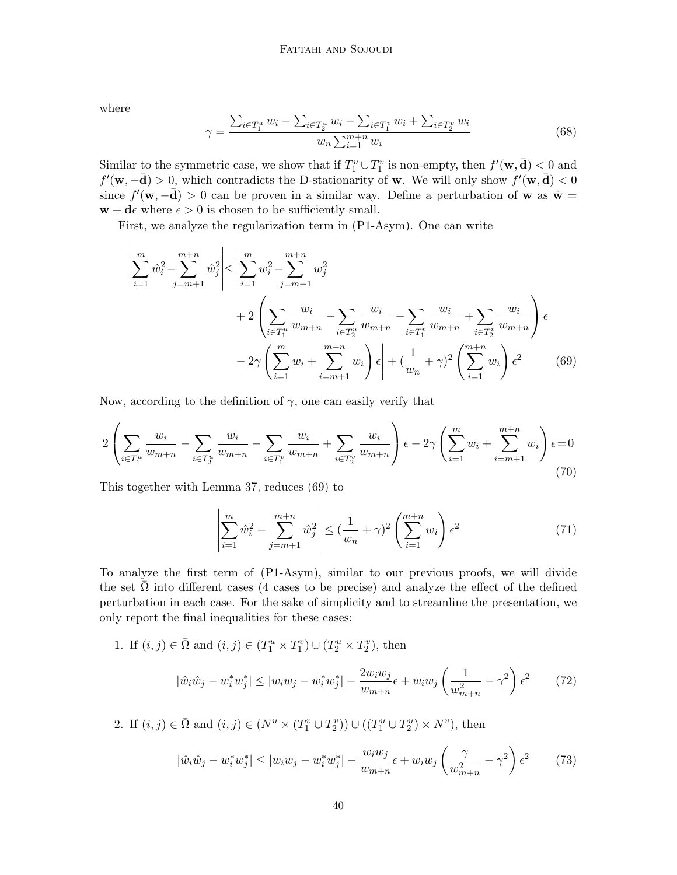where

 $\overline{1}$ 

$$
\gamma = \frac{\sum_{i \in T_1^u} w_i - \sum_{i \in T_2^u} w_i - \sum_{i \in T_1^v} w_i + \sum_{i \in T_2^v} w_i}{w_n \sum_{i=1}^{m+n} w_i}
$$
(68)

Similar to the symmetric case, we show that if  $T_1^u \cup T_1^v$  is non-empty, then  $f'(\mathbf{w}, \mathbf{d}) < 0$  and  $f'(\mathbf{w}, -\mathbf{d}) > 0$ , which contradicts the D-stationarity of **w**. We will only show  $f'(\mathbf{w}, \mathbf{d}) < 0$ since  $f'(\mathbf{w}, -\bar{\mathbf{d}}) > 0$  can be proven in a similar way. Define a perturbation of **w** as  $\hat{\mathbf{w}} =$  $\mathbf{w} + \mathbf{d}\epsilon$  where  $\epsilon > 0$  is chosen to be sufficiently small.

First, we analyze the regularization term in [\(P1-Asym\)](#page-13-2). One can write

$$
\left| \sum_{i=1}^{m} \hat{w}_i^2 - \sum_{j=m+1}^{m+n} \hat{w}_j^2 \right| \le \left| \sum_{i=1}^{m} w_i^2 - \sum_{j=m+1}^{m+n} w_j^2 \right|
$$
  
+2  $\left( \sum_{i \in T_1^u} \frac{w_i}{w_{m+n}} - \sum_{i \in T_2^u} \frac{w_i}{w_{m+n}} - \sum_{i \in T_1^v} \frac{w_i}{w_{m+n}} + \sum_{i \in T_2^v} \frac{w_i}{w_{m+n}} \right) \epsilon$   
-2 $\gamma \left( \sum_{i=1}^{m} w_i + \sum_{i=m+1}^{m+n} w_i \right) \epsilon + (\frac{1}{w_n} + \gamma)^2 \left( \sum_{i=1}^{m+n} w_i \right) \epsilon^2$  (69)

Now, according to the definition of  $\gamma$ , one can easily verify that

$$
2\left(\sum_{i\in T_1^u} \frac{w_i}{w_{m+n}} - \sum_{i\in T_2^u} \frac{w_i}{w_{m+n}} - \sum_{i\in T_1^v} \frac{w_i}{w_{m+n}} + \sum_{i\in T_2^v} \frac{w_i}{w_{m+n}}\right)\epsilon - 2\gamma \left(\sum_{i=1}^m w_i + \sum_{i=m+1}^{m+n} w_i\right)\epsilon = 0\tag{70}
$$

This together with Lemma [37,](#page-37-1) reduces [\(69\)](#page-39-0) to

<span id="page-39-0"></span>
$$
\left| \sum_{i=1}^{m} \hat{w}_i^2 - \sum_{j=m+1}^{m+n} \hat{w}_j^2 \right| \le \left( \frac{1}{w_n} + \gamma \right)^2 \left( \sum_{i=1}^{m+n} w_i \right) \epsilon^2 \tag{71}
$$

To analyze the first term of [\(P1-Asym\)](#page-13-2), similar to our previous proofs, we will divide the set  $\Omega$  into different cases (4 cases to be precise) and analyze the effect of the defined perturbation in each case. For the sake of simplicity and to streamline the presentation, we only report the final inequalities for these cases:

1. If  $(i, j) \in \overline{\Omega}$  and  $(i, j) \in (T_1^u \times T_1^v) \cup (T_2^u \times T_2^v)$ , then

$$
|\hat{w}_i \hat{w}_j - w_i^* w_j^*| \le |w_i w_j - w_i^* w_j^*| - \frac{2w_i w_j}{w_{m+n}} \epsilon + w_i w_j \left(\frac{1}{w_{m+n}^2} - \gamma^2\right) \epsilon^2 \tag{72}
$$

2. If  $(i, j) \in \overline{\Omega}$  and  $(i, j) \in (N^u \times (T^v_1 \cup T^v_2)) \cup ((T^u_1 \cup T^u_2) \times N^v)$ , then

$$
|\hat{w}_i\hat{w}_j - w_i^* w_j^*| \le |w_i w_j - w_i^* w_j^*| - \frac{w_i w_j}{w_{m+n}} \epsilon + w_i w_j \left(\frac{\gamma}{w_{m+n}^2} - \gamma^2\right) \epsilon^2 \tag{73}
$$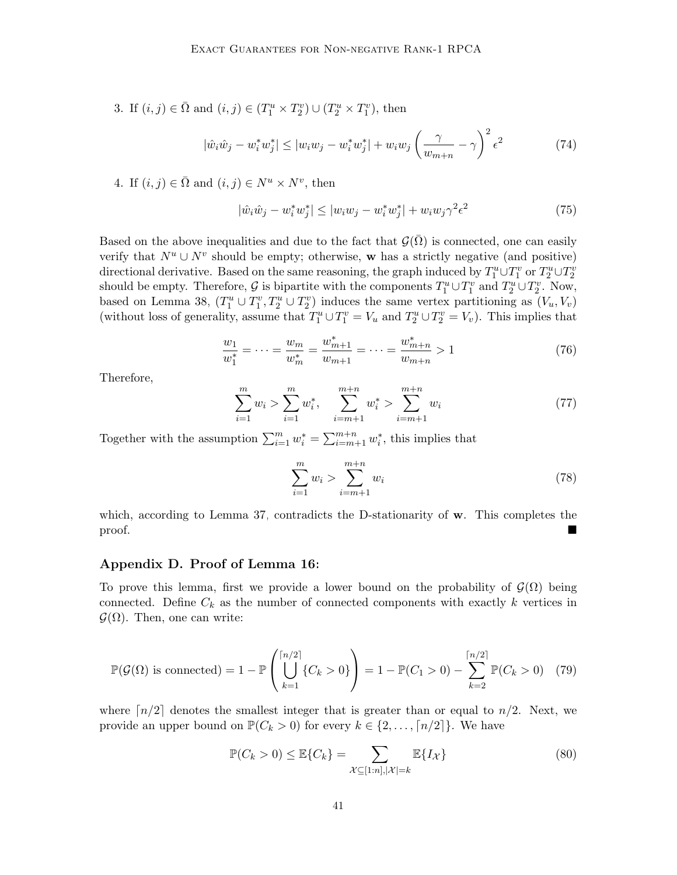3. If  $(i, j) \in \overline{\Omega}$  and  $(i, j) \in (T_1^u \times T_2^v) \cup (T_2^u \times T_1^v)$ , then

$$
|\hat{w}_i \hat{w}_j - w_i^* w_j^*| \le |w_i w_j - w_i^* w_j^*| + w_i w_j \left(\frac{\gamma}{w_{m+n}} - \gamma\right)^2 \epsilon^2
$$
 (74)

4. If  $(i, j) \in \overline{\Omega}$  and  $(i, j) \in N^u \times N^v$ , then

$$
|\hat{w}_i \hat{w}_j - w_i^* w_j^*| \le |w_i w_j - w_i^* w_j^*| + w_i w_j \gamma^2 \epsilon^2
$$
\n(75)

Based on the above inequalities and due to the fact that  $G(\overline{\Omega})$  is connected, one can easily verify that  $N^u \cup N^v$  should be empty; otherwise, w has a strictly negative (and positive) directional derivative. Based on the same reasoning, the graph induced by  $T_1^u \cup T_1^v$  or  $T_2^u \cup T_2^v$ should be empty. Therefore,  $\mathcal G$  is bipartite with the components  $T_1^u \cup T_1^v$  and  $T_2^u \cup T_2^v$ . Now, based on Lemma [38,](#page-37-2)  $(T_1^u \cup T_1^v, T_2^u \cup T_2^v)$  induces the same vertex partitioning as  $(V_u, V_v)$ (without loss of generality, assume that  $T_1^u \cup T_1^v = V_u$  and  $T_2^u \cup T_2^v = V_v$ ). This implies that

$$
\frac{w_1}{w_1^*} = \dots = \frac{w_m}{w_m^*} = \frac{w_{m+1}^*}{w_{m+1}} = \dots = \frac{w_{m+n}^*}{w_{m+n}} > 1\tag{76}
$$

Therefore,

$$
\sum_{i=1}^{m} w_i > \sum_{i=1}^{m} w_i^*, \quad \sum_{i=m+1}^{m+n} w_i^* > \sum_{i=m+1}^{m+n} w_i \tag{77}
$$

Together with the assumption  $\sum_{i=1}^{m} w_i^* = \sum_{i=m+1}^{m+n} w_i^*$ , this implies that

<span id="page-40-1"></span>
$$
\sum_{i=1}^{m} w_i > \sum_{i=m+1}^{m+n} w_i
$$
\n(78)

which, according to Lemma [37,](#page-37-1) contradicts the D-stationarity of  $\bf{w}$ . This completes the proof.

# Appendix D. Proof of Lemma [16:](#page-18-1)

To prove this lemma, first we provide a lower bound on the probability of  $\mathcal{G}(\Omega)$  being connected. Define  $C_k$  as the number of connected components with exactly k vertices in  $\mathcal{G}(\Omega)$ . Then, one can write:

$$
\mathbb{P}(\mathcal{G}(\Omega) \text{ is connected}) = 1 - \mathbb{P}\left(\bigcup_{k=1}^{\lceil n/2 \rceil} \{C_k > 0\}\right) = 1 - \mathbb{P}(C_1 > 0) - \sum_{k=2}^{\lceil n/2 \rceil} \mathbb{P}(C_k > 0) \quad (79)
$$

where  $\lceil n/2 \rceil$  denotes the smallest integer that is greater than or equal to  $n/2$ . Next, we provide an upper bound on  $\mathbb{P}(C_k > 0)$  for every  $k \in \{2, ..., [n/2]\}$ . We have

<span id="page-40-0"></span>
$$
\mathbb{P}(C_k > 0) \le \mathbb{E}\{C_k\} = \sum_{\mathcal{X} \subseteq [1:n], |\mathcal{X}| = k} \mathbb{E}\{I_{\mathcal{X}}\}
$$
\n(80)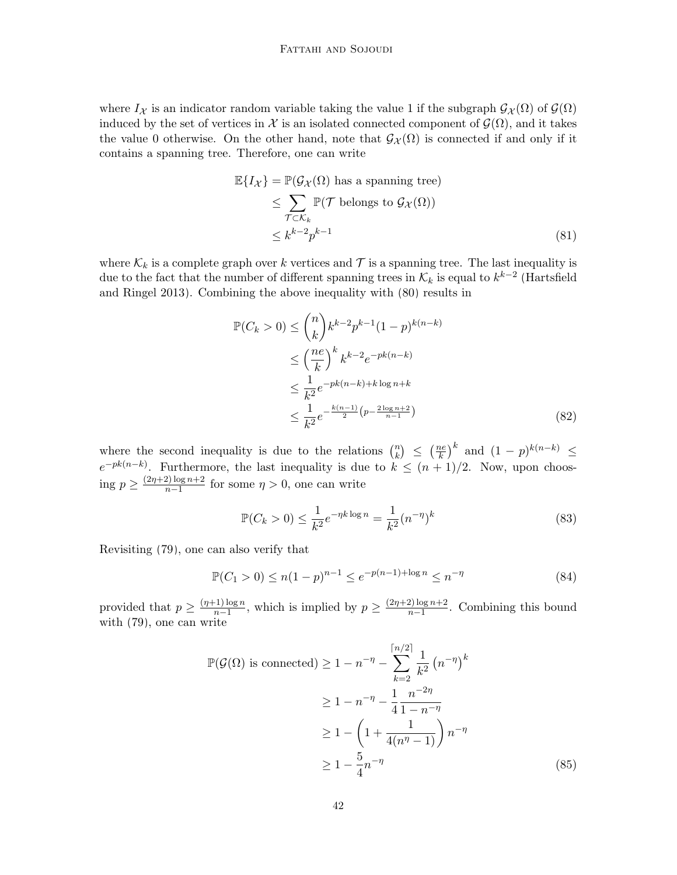where  $I_{\mathcal{X}}$  is an indicator random variable taking the value 1 if the subgraph  $\mathcal{G}_{\mathcal{X}}(\Omega)$  of  $\mathcal{G}(\Omega)$ induced by the set of vertices in X is an isolated connected component of  $\mathcal{G}(\Omega)$ , and it takes the value 0 otherwise. On the other hand, note that  $\mathcal{G}_{\mathcal{X}}(\Omega)$  is connected if and only if it contains a spanning tree. Therefore, one can write

$$
\mathbb{E}\{I_{\mathcal{X}}\} = \mathbb{P}(\mathcal{G}_{\mathcal{X}}(\Omega) \text{ has a spanning tree})
$$
  
\n
$$
\leq \sum_{\mathcal{T} \subset \mathcal{K}_k} \mathbb{P}(\mathcal{T} \text{ belongs to } \mathcal{G}_{\mathcal{X}}(\Omega))
$$
  
\n
$$
\leq k^{k-2} p^{k-1}
$$
 (81)

where  $\mathcal{K}_k$  is a complete graph over k vertices and  $\mathcal T$  is a spanning tree. The last inequality is due to the fact that the number of different spanning trees in  $\mathcal{K}_k$  is equal to  $k^{k-2}$  [\(Hartsfield](#page-34-14) [and Ringel 2013\)](#page-34-14). Combining the above inequality with [\(80\)](#page-40-0) results in

$$
\mathbb{P}(C_k > 0) \le \binom{n}{k} k^{k-2} p^{k-1} (1-p)^{k(n-k)}
$$
  
\n
$$
\le \left(\frac{ne}{k}\right)^k k^{k-2} e^{-pk(n-k)}
$$
  
\n
$$
\le \frac{1}{k^2} e^{-pk(n-k) + k \log n + k}
$$
  
\n
$$
\le \frac{1}{k^2} e^{-\frac{k(n-1)}{2} (p - \frac{2\log n + 2}{n-1})}
$$
 (82)

where the second inequality is due to the relations  $\binom{n}{k}$  $\binom{n}{k} \leq \left(\frac{ne}{k}\right)$  $\left(\frac{ne}{k}\right)^k$  and  $(1-p)^{k(n-k)} \leq$  $e^{-pk(n-k)}$ . Furthermore, the last inequality is due to  $k \leq (n+1)/2$ . Now, upon choosing  $p \geq \frac{(2\eta+2) \log n + 2}{n-1}$  $\frac{\alpha}{n-1}$  for some  $\eta > 0$ , one can write

$$
\mathbb{P}(C_k > 0) \le \frac{1}{k^2} e^{-\eta k \log n} = \frac{1}{k^2} (n^{-\eta})^k
$$
\n(83)

Revisiting [\(79\)](#page-40-1), one can also verify that

$$
\mathbb{P}(C_1 > 0) \le n(1-p)^{n-1} \le e^{-p(n-1)+\log n} \le n^{-\eta}
$$
\n(84)

provided that  $p \geq \frac{(n+1)\log n}{n-1}$  $\frac{(-1)\log n}{n-1}$ , which is implied by  $p \geq \frac{(2\eta+2)\log n+2}{n-1}$  $\frac{\mu_1}{n-1}$ . Combining this bound with [\(79\)](#page-40-1), one can write

$$
\mathbb{P}(\mathcal{G}(\Omega) \text{ is connected}) \ge 1 - n^{-\eta} - \sum_{k=2}^{\lceil n/2 \rceil} \frac{1}{k^2} (n^{-\eta})^k
$$
  
 
$$
\ge 1 - n^{-\eta} - \frac{1}{4} \frac{n^{-2\eta}}{1 - n^{-\eta}}
$$
  
 
$$
\ge 1 - \left(1 + \frac{1}{4(n^{\eta} - 1)}\right) n^{-\eta}
$$
  
 
$$
\ge 1 - \frac{5}{4} n^{-\eta}
$$
 (85)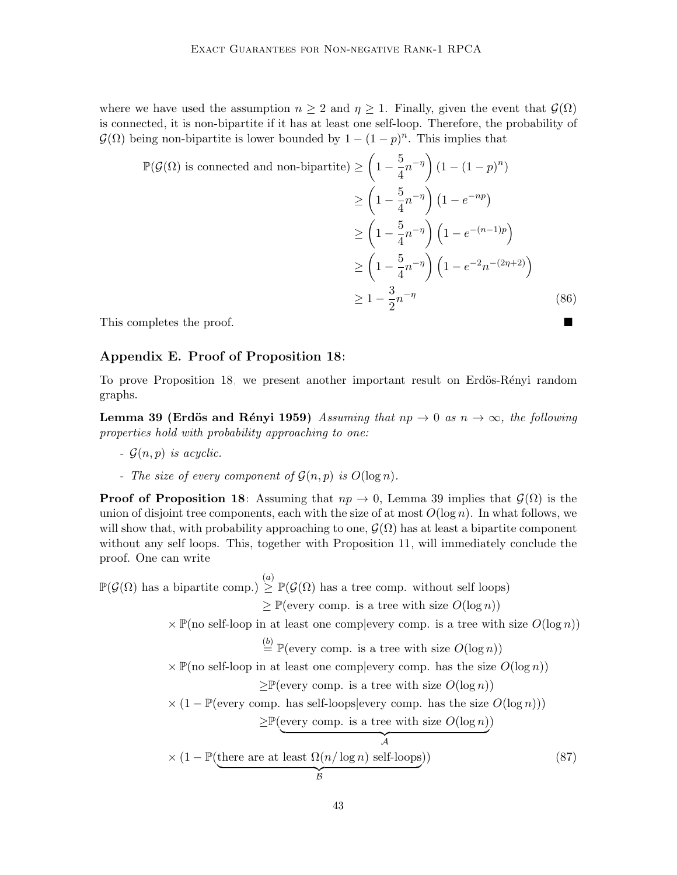where we have used the assumption  $n \geq 2$  and  $\eta \geq 1$ . Finally, given the event that  $\mathcal{G}(\Omega)$ is connected, it is non-bipartite if it has at least one self-loop. Therefore, the probability of  $\mathcal{G}(\Omega)$  being non-bipartite is lower bounded by  $1 - (1 - p)^n$ . This implies that

$$
\mathbb{P}(\mathcal{G}(\Omega) \text{ is connected and non-bipartite}) \ge \left(1 - \frac{5}{4}n^{-\eta}\right)\left(1 - (1 - p)^n\right)
$$

$$
\ge \left(1 - \frac{5}{4}n^{-\eta}\right)\left(1 - e^{-np}\right)
$$

$$
\ge \left(1 - \frac{5}{4}n^{-\eta}\right)\left(1 - e^{-(n-1)p}\right)
$$

$$
\ge \left(1 - \frac{5}{4}n^{-\eta}\right)\left(1 - e^{-2n^{-(2\eta+2)}}\right)
$$

$$
\ge 1 - \frac{3}{2}n^{-\eta} \tag{86}
$$

This completes the proof.

#### Appendix E. Proof of Proposition [18:](#page-19-2)

To prove Proposition [18,](#page-19-2) we present another important result on Erdös-Rényi random graphs.

<span id="page-42-0"></span>Lemma 39 (Erdös and Rényi 1959) Assuming that  $np \to 0$  as  $n \to \infty$ , the following properties hold with probability approaching to one:

- $-G(n, p)$  is acyclic.
- The size of every component of  $\mathcal{G}(n, p)$  is  $O(\log n)$ .

**Proof of Proposition [18:](#page-19-2)** Assuming that  $np \to 0$ , Lemma [39](#page-42-0) implies that  $\mathcal{G}(\Omega)$  is the union of disjoint tree components, each with the size of at most  $O(\log n)$ . In what follows, we will show that, with probability approaching to one,  $\mathcal{G}(\Omega)$  has at least a bipartite component without any self loops. This, together with Proposition [11,](#page-16-0) will immediately conclude the proof. One can write

 $\mathbb{P}(\mathcal{G}(\Omega))$  has a bipartite comp.)  $\geq \mathbb{P}(\mathcal{G}(\Omega))$  has a tree comp. without self loops)

 $\geq \mathbb{P}(\text{every comp. is a tree with size } O(\log n))$ 

 $\times \mathbb{P}(\text{no self-loop in at least one complex}$  complexity comp. is a tree with size  $O(\log n)$ 

 $\stackrel{(b)}{=} \mathbb{P}(\text{every comp. is a tree with size } O(\log n))$ 

 $\times \mathbb{P}(\text{no self-loop in at least one complex}$  complexery comp. has the size  $O(\log n)$ 

 $\geq \mathbb{P}(\text{every comp. is a tree with size } O(\log n))$ 

 $\times (1 - \mathbb{P}(\text{every comp. has self-loops}|\text{every comp. has the size } O(\log n)))$ 

<span id="page-42-1"></span> $\geq \mathbb{P}(\text{every comp. is a tree with size } O(\log n))$ 

$$
\times (1 - \mathbb{P}(\underbrace{\text{there are at least } \Omega(n/\log n) \text{ self-loops}}_{\mathcal{B}}))
$$
 (87)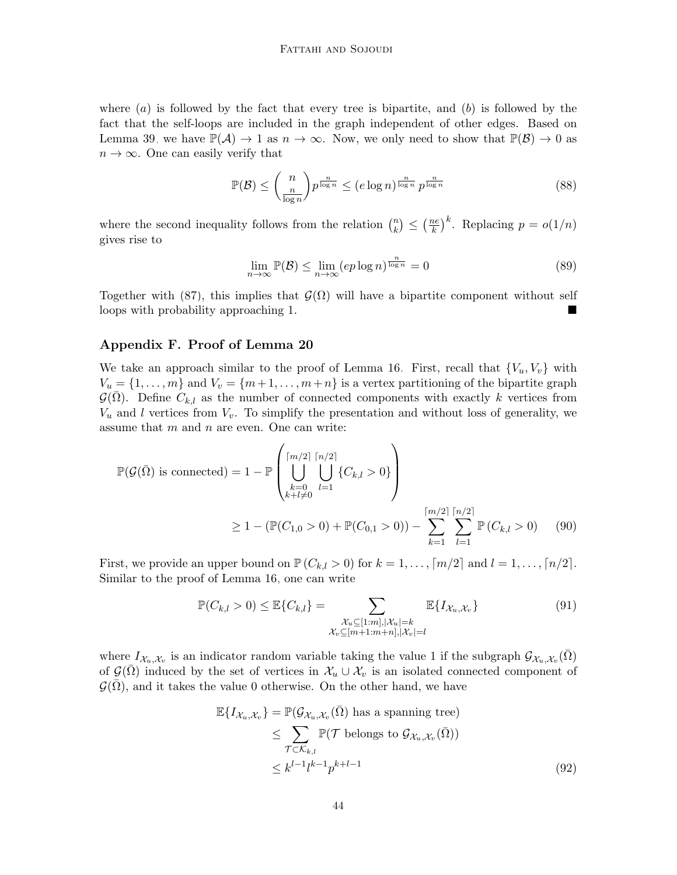where  $(a)$  is followed by the fact that every tree is bipartite, and  $(b)$  is followed by the fact that the self-loops are included in the graph independent of other edges. Based on Lemma [39,](#page-42-0) we have  $\mathbb{P}(\mathcal{A}) \to 1$  as  $n \to \infty$ . Now, we only need to show that  $\mathbb{P}(\mathcal{B}) \to 0$  as  $n \to \infty$ . One can easily verify that

$$
\mathbb{P}(\mathcal{B}) \le \binom{n}{\frac{n}{\log n}} p^{\frac{n}{\log n}} \le (e \log n)^{\frac{n}{\log n}} p^{\frac{n}{\log n}} \tag{88}
$$

where the second inequality follows from the relation  $\binom{n}{k}$  $\binom{n}{k} \leq \left(\frac{ne}{k}\right)$  $\left(\frac{ne}{k}\right)^k$ . Replacing  $p = o(1/n)$ gives rise to

$$
\lim_{n \to \infty} \mathbb{P}(\mathcal{B}) \le \lim_{n \to \infty} (ep \log n)^{\frac{n}{\log n}} = 0 \tag{89}
$$

Together with [\(87\)](#page-42-1), this implies that  $\mathcal{G}(\Omega)$  will have a bipartite component without self loops with probability approaching 1.

# Appendix F. Proof of Lemma [20](#page-19-1)

We take an approach similar to the proof of Lemma [16.](#page-18-1) First, recall that  ${V_u, V_v}$  with  $V_u = \{1, \ldots, m\}$  and  $V_v = \{m+1, \ldots, m+n\}$  is a vertex partitioning of the bipartite graph  $\mathcal{G}(\Omega)$ . Define  $C_{k,l}$  as the number of connected components with exactly k vertices from  $V_u$  and l vertices from  $V_v$ . To simplify the presentation and without loss of generality, we assume that  $m$  and  $n$  are even. One can write:

$$
\mathbb{P}(\mathcal{G}(\bar{\Omega}) \text{ is connected}) = 1 - \mathbb{P}\left(\bigcup_{\substack{k=0 \ k+l \neq 0}}^{\lceil m/2 \rceil} \bigcup_{l=1}^{\lceil n/2 \rceil} \{C_{k,l} > 0\}\right)
$$
  
\n
$$
\geq 1 - (\mathbb{P}(C_{1,0} > 0) + \mathbb{P}(C_{0,1} > 0)) - \sum_{k=1}^{\lceil m/2 \rceil} \sum_{l=1}^{\lceil n/2 \rceil} \mathbb{P}(C_{k,l} > 0) \tag{90}
$$

First, we provide an upper bound on  $\mathbb{P}(C_{k,l} > 0)$  for  $k = 1, \ldots, \lceil m/2 \rceil$  and  $l = 1, \ldots, \lceil n/2 \rceil$ . Similar to the proof of Lemma [16,](#page-18-1) one can write

<span id="page-43-0"></span>
$$
\mathbb{P}(C_{k,l} > 0) \leq \mathbb{E}\{C_{k,l}\} = \sum_{\substack{\mathcal{X}_u \subseteq [1:m], |\mathcal{X}_u| = k \\ \mathcal{X}_v \subseteq [m+1:m+n], |\mathcal{X}_v| = l}} \mathbb{E}\{I_{\mathcal{X}_u, \mathcal{X}_v}\}
$$
(91)

where  $I_{\mathcal{X}_u,\mathcal{X}_v}$  is an indicator random variable taking the value 1 if the subgraph  $\mathcal{G}_{\mathcal{X}_u,\mathcal{X}_v}(\bar{\Omega})$ of  $\mathcal{G}(\Omega)$  induced by the set of vertices in  $\mathcal{X}_u \cup \mathcal{X}_v$  is an isolated connected component of  $\mathcal{G}(\overline{\Omega})$ , and it takes the value 0 otherwise. On the other hand, we have

$$
\mathbb{E}\{I_{\mathcal{X}_u,\mathcal{X}_v}\} = \mathbb{P}(\mathcal{G}_{\mathcal{X}_u,\mathcal{X}_v}(\bar{\Omega}) \text{ has a spanning tree})
$$
  
\n
$$
\leq \sum_{\mathcal{T} \subset \mathcal{K}_{k,l}} \mathbb{P}(\mathcal{T} \text{ belongs to } \mathcal{G}_{\mathcal{X}_u,\mathcal{X}_v}(\bar{\Omega}))
$$
  
\n
$$
\leq k^{l-1}l^{k-1}p^{k+l-1}
$$
\n(92)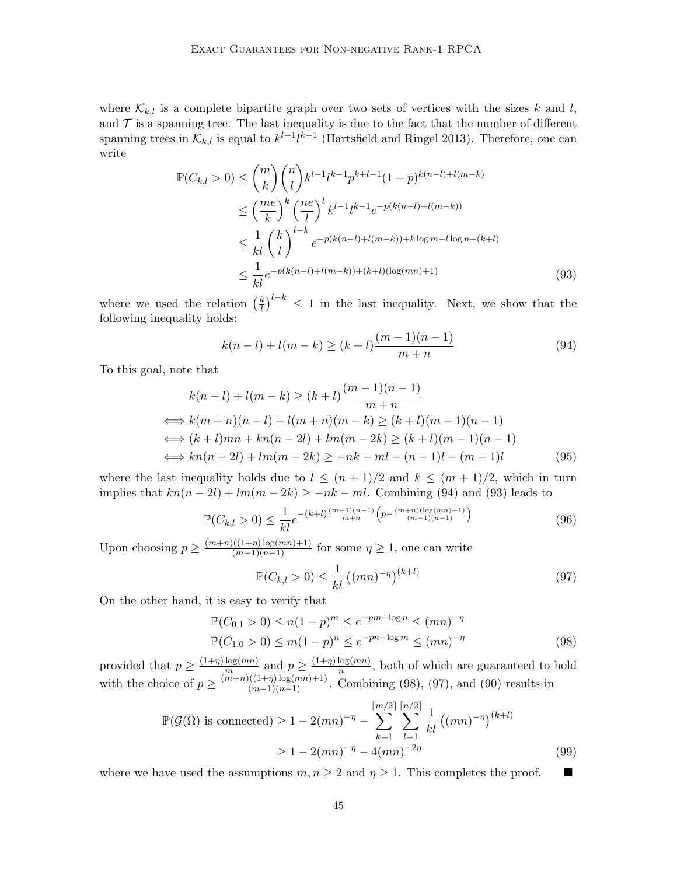where  $\mathcal{K}_{k,l}$  is a complete bipartite graph over two sets of vertices with the sizes k and l, and  $\mathcal T$  is a spanning tree. The last inequality is due to the fact that the number of different spanning trees in  $\mathcal{K}_{k,l}$  is equal to  $k^{l-1}l^{k-1}$  [\(Hartsfield and Ringel 2013\)](#page-34-14). Therefore, one can write

$$
\mathbb{P}(C_{k,l} > 0) \leq {m \choose k} {n \choose l} k^{l-1} l^{k-1} p^{k+l-1} (1-p)^{k(n-l)+l(m-k)} \n\leq \left(\frac{me}{k}\right)^k \left(\frac{ne}{l}\right)^l k^{l-1} l^{k-1} e^{-p(k(n-l)+l(m-k))} \n\leq \frac{1}{kl} \left(\frac{k}{l}\right)^{l-k} e^{-p(k(n-l)+l(m-k))+k \log m + l \log n + (k+l)} \n\leq \frac{1}{kl} e^{-p(k(n-l)+l(m-k)) + (k+l)(\log(mn)+1)}
$$
\n(93)

where we used the relation  $(\frac{k}{l})$  $\left(\frac{k}{l}\right)^{l-k} \leq 1$  in the last inequality. Next, we show that the following inequality holds:

<span id="page-44-1"></span><span id="page-44-0"></span>
$$
k(n-l) + l(m-k) \ge (k+l)\frac{(m-1)(n-1)}{m+n}
$$
\n(94)

To this goal, note that

$$
k(n-l) + l(m-k) \ge (k+l) \frac{(m-1)(n-1)}{m+n}
$$
  
\n
$$
\iff k(m+n)(n-l) + l(m+n)(m-k) \ge (k+l)(m-1)(n-1)
$$
  
\n
$$
\iff (k+l)mn + kn(n-2l) + lm(m-2k) \ge (k+l)(m-1)(n-1)
$$
  
\n
$$
\iff kn(n-2l) + lm(m-2k) \ge -nk - ml - (n-1)l - (m-1)l \tag{95}
$$

where the last inequality holds due to  $l \leq (n+1)/2$  and  $k \leq (m+1)/2$ , which in turn implies that  $kn(n-2l) + lm(m-2k) \geq -nk - ml$ . Combining [\(94\)](#page-44-0) and [\(93\)](#page-44-1) leads to

$$
\mathbb{P}(C_{k,l} > 0) \le \frac{1}{kl} e^{-(k+l)\frac{(m-1)(n-1)}{m+n} \left(p - \frac{(m+n)(\log(mn)+1)}{(m-1)(n-1)}\right)}
$$
(96)

Upon choosing  $p \geq \frac{(m+n)((1+\eta)\log(mn)+1)}{(m-1)(n-1)}$  for some  $\eta \geq 1$ , one can write

<span id="page-44-3"></span><span id="page-44-2"></span>
$$
\mathbb{P}(C_{k,l} > 0) \le \frac{1}{kl} ((mn)^{-\eta})^{(k+l)}
$$
\n(97)

On the other hand, it is easy to verify that

$$
\mathbb{P}(C_{0,1} > 0) \le n(1-p)^m \le e^{-pm + \log n} \le (mn)^{-\eta}
$$
  

$$
\mathbb{P}(C_{1,0} > 0) \le m(1-p)^n \le e^{-pn + \log m} \le (mn)^{-\eta}
$$
 (98)

provided that  $p \geq \frac{(1+\eta)\log(mn)}{m}$  $\frac{\log(mn)}{m}$  and  $p \geq \frac{(1+\eta)\log(mn)}{n}$  $\frac{\log(mn)}{n}$ , both of which are guaranteed to hold with the choice of  $p \geq \frac{(m+n)((1+\eta)\log(mn)+1)}{(m-1)(n-1)}$ . Combining [\(98\)](#page-44-2), [\(97\)](#page-44-3), and [\(90\)](#page-43-0) results in

$$
\mathbb{P}(\mathcal{G}(\bar{\Omega}) \text{ is connected}) \ge 1 - 2(mn)^{-\eta} - \sum_{k=1}^{\lceil m/2 \rceil} \sum_{l=1}^{\lceil n/2 \rceil} \frac{1}{kl} ((mn)^{-\eta})^{(k+l)} \ge 1 - 2(mn)^{-\eta} - 4(mn)^{-2\eta}
$$
\n(99)

where we have used the assumptions  $m, n \geq 2$  and  $\eta \geq 1$ . This completes the proof.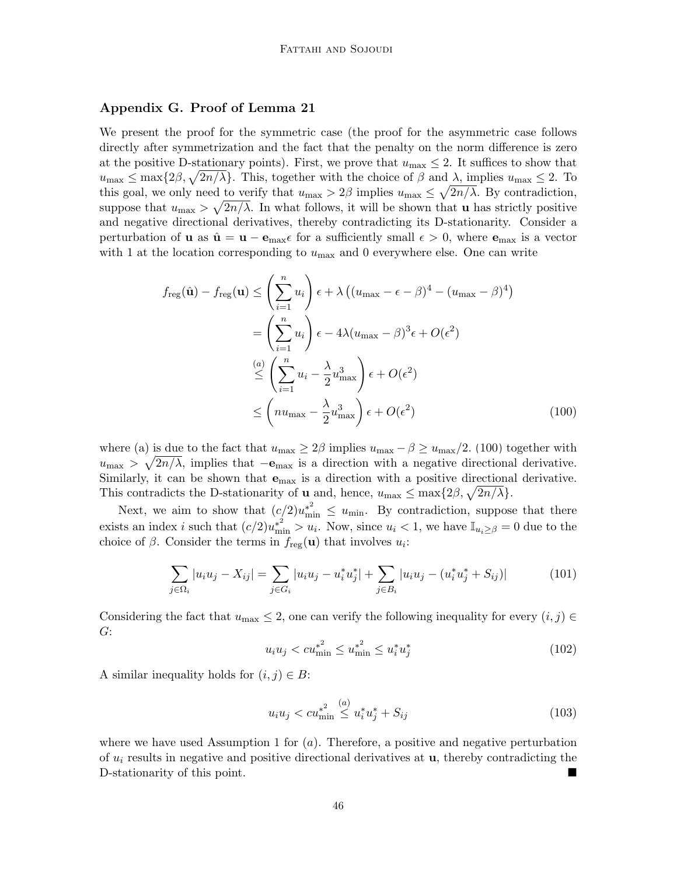# Appendix G. Proof of Lemma [21](#page-22-1)

We present the proof for the symmetric case (the proof for the asymmetric case follows directly after symmetrization and the fact that the penalty on the norm difference is zero at the positive D-stationary points). First, we prove that  $u_{\text{max}} \leq 2$ . It suffices to show that  $u_{\text{max}} \leq \max\{2\beta, \sqrt{2n/\lambda}\}.$  This, together with the choice of  $\beta$  and  $\lambda$ , implies  $u_{\text{max}} \leq 2$ . To this goal, we only need to verify that  $u_{\text{max}} > 2\beta$  implies  $u_{\text{max}} \leq \sqrt{2n/\lambda}$ . By contradiction, suppose that  $u_{\text{max}} > \sqrt{2n/\lambda}$ . In what follows, it will be shown that **u** has strictly positive and negative directional derivatives, thereby contradicting its D-stationarity. Consider a perturbation of **u** as  $\hat{\mathbf{u}} = \mathbf{u} - \mathbf{e}_{\text{max}} \epsilon$  for a sufficiently small  $\epsilon > 0$ , where  $\mathbf{e}_{\text{max}}$  is a vector with 1 at the location corresponding to  $u_{\text{max}}$  and 0 everywhere else. One can write

$$
f_{\text{reg}}(\hat{\mathbf{u}}) - f_{\text{reg}}(\mathbf{u}) \le \left(\sum_{i=1}^{n} u_i\right) \epsilon + \lambda \left((u_{\text{max}} - \epsilon - \beta)^4 - (u_{\text{max}} - \beta)^4\right)
$$
  

$$
= \left(\sum_{i=1}^{n} u_i\right) \epsilon - 4\lambda (u_{\text{max}} - \beta)^3 \epsilon + O(\epsilon^2)
$$
  

$$
\le \left(\sum_{i=1}^{n} u_i - \frac{\lambda}{2} u_{\text{max}}^3\right) \epsilon + O(\epsilon^2)
$$
  

$$
\le \left(nu_{\text{max}} - \frac{\lambda}{2} u_{\text{max}}^3\right) \epsilon + O(\epsilon^2)
$$
 (100)

where (a) is due to the fact that  $u_{\text{max}} \geq 2\beta$  implies  $u_{\text{max}} - \beta \geq u_{\text{max}}/2$ . [\(100\)](#page-45-0) together with  $u_{\text{max}} > \sqrt{2n/\lambda}$ , implies that  $-\mathbf{e}_{\text{max}}$  is a direction with a negative directional derivative. Similarly, it can be shown that  $e_{\text{max}}$  is a direction with a positive directional derivative. This contradicts the D-stationarity of **u** and, hence,  $u_{\text{max}} \leq \max\{2\beta, \sqrt{2n/\lambda}\}.$ 

Next, we aim to show that  $(c/2)u_{\min}^{*^2} \le u_{\min}$ . By contradiction, suppose that there exists an index *i* such that  $(c/2)u_{\min}^* > u_i$ . Now, since  $u_i < 1$ , we have  $\mathbb{I}_{u_i \geq \beta} = 0$  due to the choice of  $\beta$ . Consider the terms in  $f_{\text{reg}}(\mathbf{u})$  that involves  $u_i$ :

$$
\sum_{j \in \Omega_i} |u_i u_j - X_{ij}| = \sum_{j \in G_i} |u_i u_j - u_i^* u_j^*| + \sum_{j \in B_i} |u_i u_j - (u_i^* u_j^* + S_{ij})| \tag{101}
$$

Considering the fact that  $u_{\text{max}} \leq 2$ , one can verify the following inequality for every  $(i, j) \in$ G:

<span id="page-45-0"></span>
$$
u_i u_j < c u_{\min}^{*^2} \le u_{\min}^{*^2} \le u_i^* u_j^* \tag{102}
$$

A similar inequality holds for  $(i, j) \in B$ :

$$
u_i u_j < c u_{\min}^{*^2} \stackrel{(a)}{\leq} u_i^* u_j^* + S_{ij}
$$
\n(103)

where we have used Assumption [1](#page-20-4) for  $(a)$ . Therefore, a positive and negative perturbation of  $u_i$  results in negative and positive directional derivatives at  $u$ , thereby contradicting the D-stationarity of this point.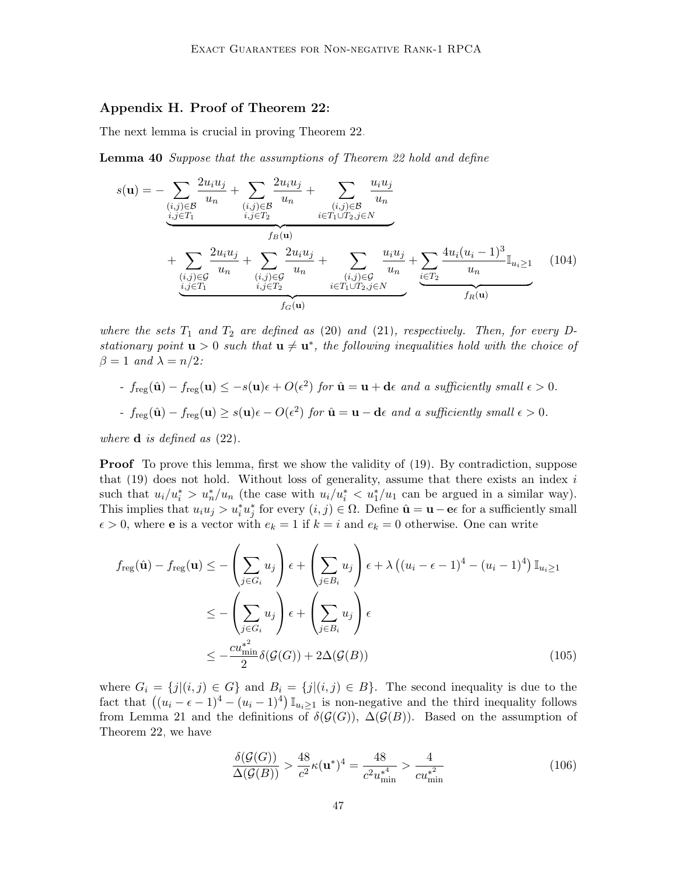# Appendix H. Proof of Theorem [22:](#page-22-0)

The next lemma is crucial in proving Theorem [22.](#page-22-0)

Lemma 40 Suppose that the assumptions of Theorem [22](#page-22-0) hold and define

<span id="page-46-0"></span>
$$
s(\mathbf{u}) = -\sum_{\substack{(i,j)\in\mathcal{B} \\ i,j\in T_1}} \frac{2u_i u_j}{u_n} + \sum_{\substack{(i,j)\in\mathcal{B} \\ i,j\in T_2}} \frac{2u_i u_j}{u_n} + \sum_{\substack{(i,j)\in\mathcal{B} \\ i\in T_1 \cup T_2, j\in N}} \frac{u_i u_j}{u_n} + \sum_{\substack{(i,j)\in\mathcal{G} \\ i,j\in T_1}} \frac{2u_i u_j}{u_n} + \sum_{\substack{(i,j)\in\mathcal{G} \\ i,j\in T_2}} \frac{2u_i u_j}{u_n} + \sum_{\substack{(i,j)\in\mathcal{G} \\ i\in T_1 \cup T_2, j\in N}} \frac{u_i u_j}{u_n} + \sum_{\substack{i\in T_2 \\ i\in T_1 \cup T_2, j\in N}} \frac{4u_i (u_i - 1)^3}{u_n} \mathbb{I}_{u_i \ge 1} \qquad (104)
$$

where the sets  $T_1$  and  $T_2$  are defined as [\(20\)](#page-15-2) and [\(21\)](#page-15-3), respectively. Then, for every Dstationary point  $u > 0$  such that  $u \neq u^*$ , the following inequalities hold with the choice of  $\beta = 1$  and  $\lambda = n/2$ :

- 
$$
f_{reg}(\hat{\mathbf{u}}) - f_{reg}(\mathbf{u}) \leq -s(\mathbf{u})\epsilon + O(\epsilon^2)
$$
 for  $\hat{\mathbf{u}} = \mathbf{u} + \mathbf{d}\epsilon$  and a sufficiently small  $\epsilon > 0$ .

- 
$$
f_{reg}(\hat{\mathbf{u}}) - f_{reg}(\mathbf{u}) \geq s(\mathbf{u})\epsilon - O(\epsilon^2)
$$
 for  $\hat{\mathbf{u}} = \mathbf{u} - \mathbf{d}\epsilon$  and a sufficiently small  $\epsilon > 0$ .

where  $\bf d$  is defined as  $(22)$ .

**Proof** To prove this lemma, first we show the validity of [\(19\)](#page-15-1). By contradiction, suppose that  $(19)$  does not hold. Without loss of generality, assume that there exists an index i such that  $u_i/u_i^* > u_n^*/u_n$  (the case with  $u_i/u_i^* < u_1^*/u_1$  can be argued in a similar way). This implies that  $u_i u_j > u_i^* u_j^*$  for every  $(i, j) \in \Omega$ . Define  $\hat{\mathbf{u}} = \mathbf{u} - \mathbf{e} \epsilon$  for a sufficiently small  $\epsilon > 0$ , where **e** is a vector with  $e_k = 1$  if  $k = i$  and  $e_k = 0$  otherwise. One can write

$$
f_{\text{reg}}(\hat{\mathbf{u}}) - f_{\text{reg}}(\mathbf{u}) \leq -\left(\sum_{j \in G_i} u_j\right) \epsilon + \left(\sum_{j \in B_i} u_j\right) \epsilon + \lambda \left((u_i - \epsilon - 1)^4 - (u_i - 1)^4\right) \mathbb{I}_{u_i \geq 1}
$$

$$
\leq -\left(\sum_{j \in G_i} u_j\right) \epsilon + \left(\sum_{j \in B_i} u_j\right) \epsilon
$$

$$
\leq -\frac{cu_{\min}^{*2}}{2} \delta(\mathcal{G}(G)) + 2\Delta(\mathcal{G}(B)) \tag{105}
$$

where  $G_i = \{j|(i,j) \in G\}$  and  $B_i = \{j|(i,j) \in B\}$ . The second inequality is due to the fact that  $((u_i - \epsilon - 1)^4 - (u_i - 1)^4) \mathbb{I}_{u_i \ge 1}$  is non-negative and the third inequality follows from Lemma [21](#page-22-1) and the definitions of  $\delta(\mathcal{G}(G))$ ,  $\Delta(\mathcal{G}(B))$ . Based on the assumption of Theorem [22,](#page-22-0) we have

$$
\frac{\delta(\mathcal{G}(G))}{\Delta(\mathcal{G}(B))} > \frac{48}{c^2} \kappa(\mathbf{u}^*)^4 = \frac{48}{c^2 u_{\min}^{*4}} > \frac{4}{c u_{\min}^{*2}}
$$
(106)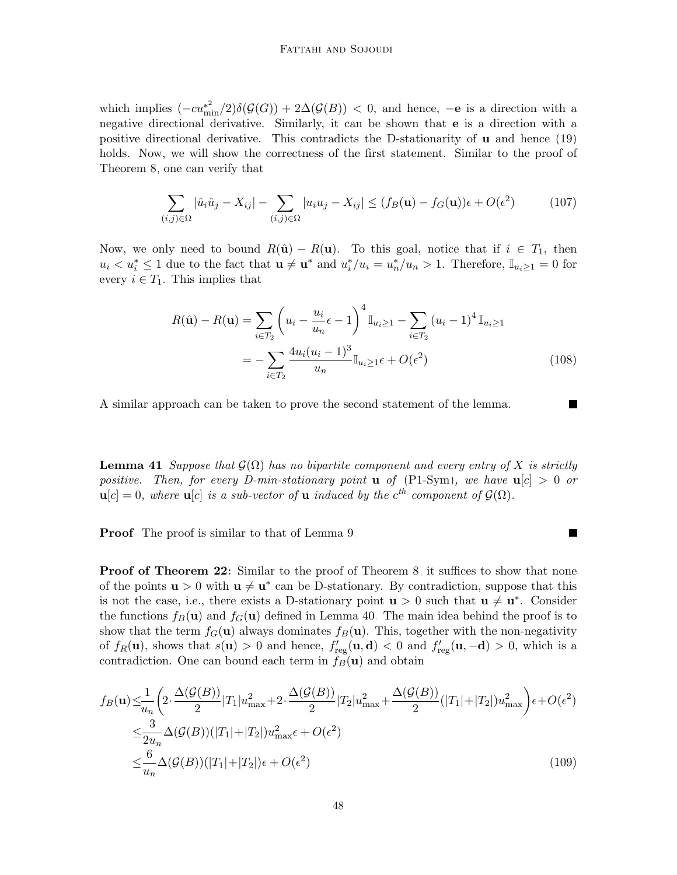which implies  $(-cu_{\min}^{*2})\delta(\mathcal{G}(G)) + 2\Delta(\mathcal{G}(B)) < 0$ , and hence,  $-e$  is a direction with a negative directional derivative. Similarly, it can be shown that e is a direction with a positive directional derivative. This contradicts the D-stationarity of u and hence [\(19\)](#page-15-1) holds. Now, we will show the correctness of the first statement. Similar to the proof of Theorem [8,](#page-14-0) one can verify that

$$
\sum_{(i,j)\in\Omega} |\hat{u}_i\hat{u}_j - X_{ij}| - \sum_{(i,j)\in\Omega} |u_iu_j - X_{ij}| \le (f_B(\mathbf{u}) - f_G(\mathbf{u}))\epsilon + O(\epsilon^2)
$$
(107)

Now, we only need to bound  $R(\hat{\mathbf{u}}) - R(\mathbf{u})$ . To this goal, notice that if  $i \in T_1$ , then  $u_i < u_i^* \leq 1$  due to the fact that  $\mathbf{u} \neq \mathbf{u}^*$  and  $u_i^*/u_i = u_n^*/u_n > 1$ . Therefore,  $\mathbb{I}_{u_i \geq 1} = 0$  for every  $i \in T_1$ . This implies that

$$
R(\hat{\mathbf{u}}) - R(\mathbf{u}) = \sum_{i \in T_2} \left( u_i - \frac{u_i}{u_n} \epsilon - 1 \right)^4 \mathbb{I}_{u_i \ge 1} - \sum_{i \in T_2} (u_i - 1)^4 \mathbb{I}_{u_i \ge 1}
$$
  
= 
$$
- \sum_{i \in T_2} \frac{4u_i(u_i - 1)^3}{u_n} \mathbb{I}_{u_i \ge 1} \epsilon + O(\epsilon^2)
$$
(108)

 $\blacksquare$ 

A similar approach can be taken to prove the second statement of the lemma.

**Lemma 41** Suppose that  $\mathcal{G}(\Omega)$  has no bipartite component and every entry of X is strictly positive. Then, for every D-min-stationary point **u** of [\(P1-Sym\)](#page-13-1), we have  $u[c] > 0$  or  $\mathbf{u}[c] = 0$ , where  $\mathbf{u}[c]$  is a sub-vector of  $\mathbf{u}$  induced by the  $c^{th}$  component of  $\mathcal{G}(\Omega)$ .

Proof The proof is similar to that of Lemma [9.](#page-14-1)

**Proof of Theorem [22:](#page-22-0)** Similar to the proof of Theorem [8,](#page-14-0) it suffices to show that none of the points  $\mathbf{u} > 0$  with  $\mathbf{u} \neq \mathbf{u}^*$  can be D-stationary. By contradiction, suppose that this is not the case, i.e., there exists a D-stationary point  $u > 0$  such that  $u \neq u^*$ . Consider the functions  $f_B(\mathbf{u})$  and  $f_G(\mathbf{u})$  defined in Lemma [40.](#page-46-0) The main idea behind the proof is to show that the term  $f_G(\mathbf{u})$  always dominates  $f_B(\mathbf{u})$ . This, together with the non-negativity of  $f_R(\mathbf{u})$ , shows that  $s(\mathbf{u}) > 0$  and hence,  $f'_{reg}(\mathbf{u}, \mathbf{d}) < 0$  and  $f'_{reg}(\mathbf{u}, -\mathbf{d}) > 0$ , which is a contradiction. One can bound each term in  $f_B(\mathbf{u})$  and obtain

$$
f_B(\mathbf{u}) \leq \frac{1}{u_n} \left( 2 \cdot \frac{\Delta(\mathcal{G}(B))}{2} |T_1| u_{\max}^2 + 2 \cdot \frac{\Delta(\mathcal{G}(B))}{2} |T_2| u_{\max}^2 + \frac{\Delta(\mathcal{G}(B))}{2} (|T_1| + |T_2|) u_{\max}^2 \right) \epsilon + O(\epsilon^2)
$$
  

$$
\leq \frac{3}{2u_n} \Delta(\mathcal{G}(B)) (|T_1| + |T_2|) u_{\max}^2 \epsilon + O(\epsilon^2)
$$
  

$$
\leq \frac{6}{u_n} \Delta(\mathcal{G}(B)) (|T_1| + |T_2|) \epsilon + O(\epsilon^2)
$$
 (109)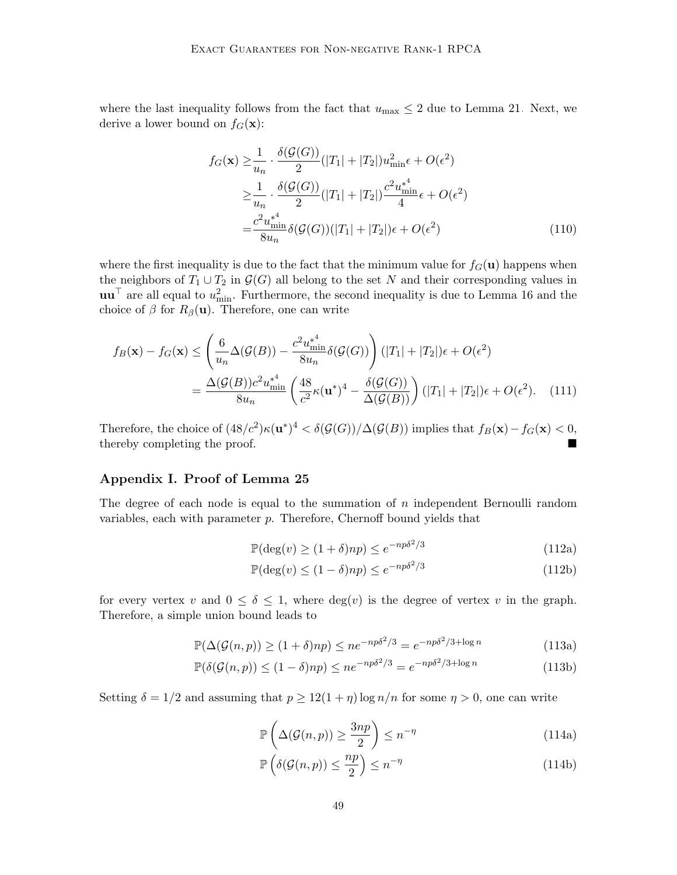where the last inequality follows from the fact that  $u_{\text{max}} \leq 2$  due to Lemma [21.](#page-22-1) Next, we derive a lower bound on  $f_G(\mathbf{x})$ :

$$
f_G(\mathbf{x}) \geq \frac{1}{u_n} \cdot \frac{\delta(\mathcal{G}(G))}{2} (|T_1| + |T_2|) u_{\min}^2 \epsilon + O(\epsilon^2)
$$
  
\n
$$
\geq \frac{1}{u_n} \cdot \frac{\delta(\mathcal{G}(G))}{2} (|T_1| + |T_2|) \frac{c^2 u_{\min}^{*4}}{4} \epsilon + O(\epsilon^2)
$$
  
\n
$$
= \frac{c^2 u_{\min}^{*4}}{8u_n} \delta(\mathcal{G}(G)) (|T_1| + |T_2|) \epsilon + O(\epsilon^2)
$$
 (110)

where the first inequality is due to the fact that the minimum value for  $f<sub>G</sub>(u)$  happens when the neighbors of  $T_1 \cup T_2$  in  $\mathcal{G}(G)$  all belong to the set N and their corresponding values in  $\mathbf{u}\mathbf{u}^{\top}$  are all equal to  $u_{\min}^2$ . Furthermore, the second inequality is due to Lemma [16](#page-18-1) and the choice of  $\beta$  for  $R_{\beta}(\mathbf{u})$ . Therefore, one can write

$$
f_B(\mathbf{x}) - f_G(\mathbf{x}) \le \left(\frac{6}{u_n} \Delta(\mathcal{G}(B)) - \frac{c^2 u_{\min}^*}{8u_n} \delta(\mathcal{G}(G))\right) (|T_1| + |T_2|)\epsilon + O(\epsilon^2)
$$
  
= 
$$
\frac{\Delta(\mathcal{G}(B))c^2 u_{\min}^*}{8u_n} \left(\frac{48}{c^2} \kappa(\mathbf{u}^*)^4 - \frac{\delta(\mathcal{G}(G))}{\Delta(\mathcal{G}(B))}\right) (|T_1| + |T_2|)\epsilon + O(\epsilon^2).
$$
 (111)

Therefore, the choice of  $(48/c^2)\kappa(\mathbf{u}^*)^4 < \delta(\mathcal{G}(G))/\Delta(\mathcal{G}(B))$  implies that  $f_B(\mathbf{x}) - f_G(\mathbf{x}) < 0$ , thereby completing the proof.

# Appendix I. Proof of Lemma [25](#page-24-1)

The degree of each node is equal to the summation of  $n$  independent Bernoulli random variables, each with parameter  $p$ . Therefore, Chernoff bound yields that

$$
\mathbb{P}(\deg(v) \ge (1+\delta)np) \le e^{-np\delta^2/3} \tag{112a}
$$

<span id="page-48-1"></span><span id="page-48-0"></span>
$$
\mathbb{P}(\deg(v) \le (1 - \delta)np) \le e^{-np\delta^2/3} \tag{112b}
$$

for every vertex v and  $0 \le \delta \le 1$ , where  $deg(v)$  is the degree of vertex v in the graph. Therefore, a simple union bound leads to

$$
\mathbb{P}(\Delta(\mathcal{G}(n,p)) \ge (1+\delta)np) \le ne^{-np\delta^2/3} = e^{-np\delta^2/3 + \log n}
$$
\n(113a)

$$
\mathbb{P}(\delta(\mathcal{G}(n, p)) \le (1 - \delta)np) \le ne^{-np\delta^2/3} = e^{-np\delta^2/3 + \log n}
$$
\n(113b)

Setting  $\delta = 1/2$  and assuming that  $p \ge 12(1 + \eta) \log n/n$  for some  $\eta > 0$ , one can write

$$
\mathbb{P}\left(\Delta(\mathcal{G}(n,p)) \ge \frac{3np}{2}\right) \le n^{-\eta} \tag{114a}
$$

$$
\mathbb{P}\left(\delta(\mathcal{G}(n,p)) \le \frac{np}{2}\right) \le n^{-\eta} \tag{114b}
$$